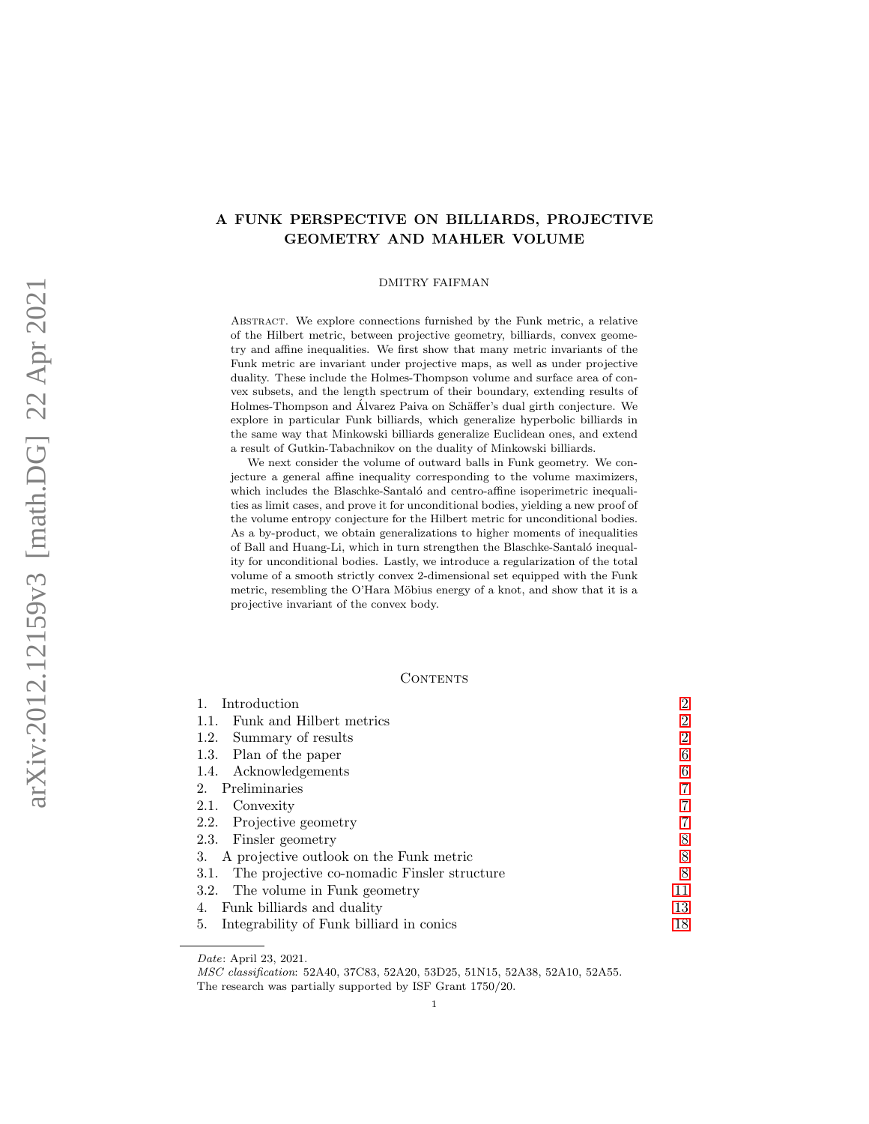# A FUNK PERSPECTIVE ON BILLIARDS, PROJECTIVE GEOMETRY AND MAHLER VOLUME

#### DMITRY FAIFMAN

Abstract. We explore connections furnished by the Funk metric, a relative of the Hilbert metric, between projective geometry, billiards, convex geometry and affine inequalities. We first show that many metric invariants of the Funk metric are invariant under projective maps, as well as under projective duality. These include the Holmes-Thompson volume and surface area of convex subsets, and the length spectrum of their boundary, extending results of Holmes-Thompson and Álvarez Paiva on Schäffer's dual girth conjecture. We explore in particular Funk billiards, which generalize hyperbolic billiards in the same way that Minkowski billiards generalize Euclidean ones, and extend a result of Gutkin-Tabachnikov on the duality of Minkowski billiards.

We next consider the volume of outward balls in Funk geometry. We conjecture a general affine inequality corresponding to the volume maximizers, which includes the Blaschke-Santaló and centro-affine isoperimetric inequalities as limit cases, and prove it for unconditional bodies, yielding a new proof of the volume entropy conjecture for the Hilbert metric for unconditional bodies. As a by-product, we obtain generalizations to higher moments of inequalities of Ball and Huang-Li, which in turn strengthen the Blaschke-Santaló inequality for unconditional bodies. Lastly, we introduce a regularization of the total volume of a smooth strictly convex 2-dimensional set equipped with the Funk metric, resembling the O'Hara Möbius energy of a knot, and show that it is a projective invariant of the convex body.

#### CONTENTS

| Introduction                                     | $\overline{2}$ |
|--------------------------------------------------|----------------|
| Funk and Hilbert metrics<br>1.1.                 | $\overline{2}$ |
| 1.2. Summary of results                          | $\overline{2}$ |
| 1.3. Plan of the paper                           | 6              |
| 1.4. Acknowledgements                            | 6              |
| 2. Preliminaries                                 | $\overline{7}$ |
| 2.1. Convexity                                   | 7              |
| 2.2. Projective geometry                         | 7              |
| 2.3. Finsler geometry                            | 8              |
| 3. A projective outlook on the Funk metric       | 8              |
| 3.1. The projective co-nomadic Finsler structure | 8              |
| 3.2. The volume in Funk geometry                 | 11             |
| Funk billiards and duality<br>4.                 | 13             |
| Integrability of Funk billiard in conics<br>5.   | 18             |

Date: April 23, 2021.

MSC classification: 52A40, 37C83, 52A20, 53D25, 51N15, 52A38, 52A10, 52A55. The research was partially supported by ISF Grant 1750/20.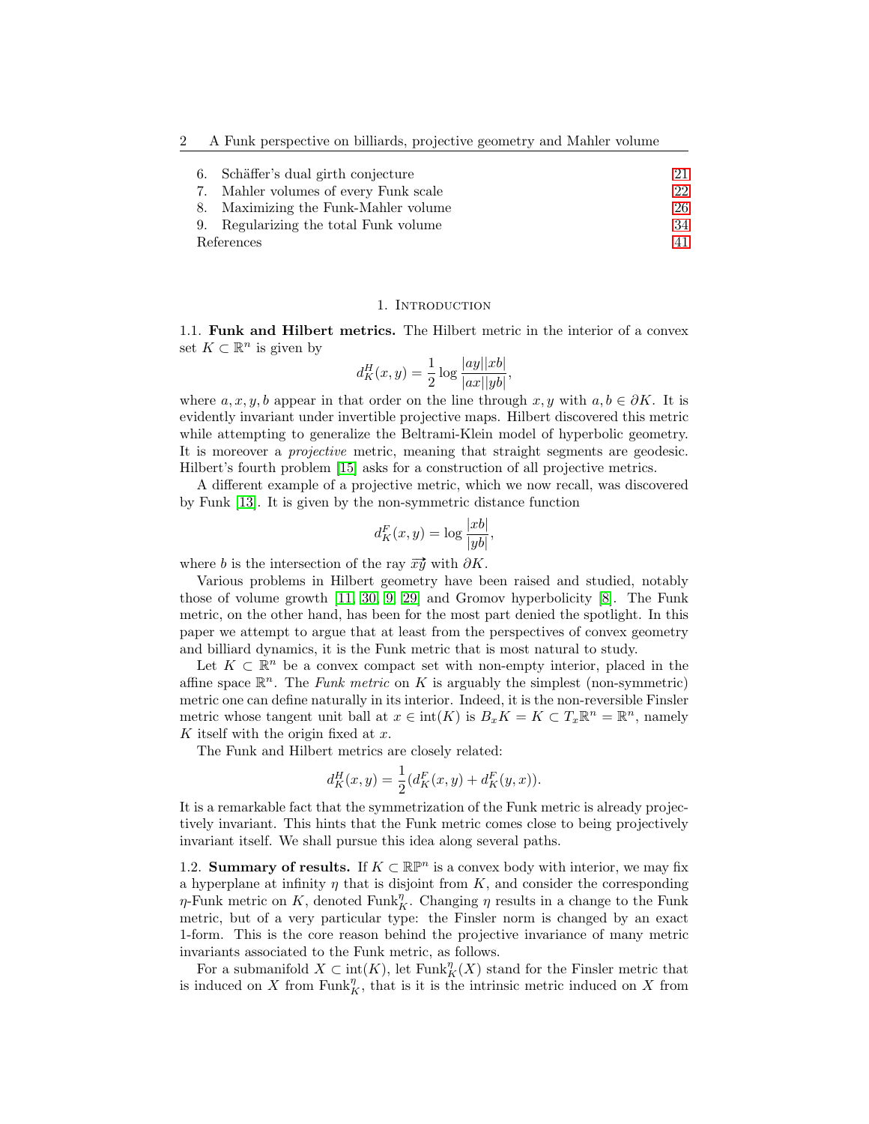| 6.         | Schäffer's dual girth conjecture      | 21 |
|------------|---------------------------------------|----|
|            | 7. Mahler volumes of every Funk scale | 22 |
|            | 8. Maximizing the Funk-Mahler volume  | 26 |
|            | 9. Regularizing the total Funk volume | 34 |
| References |                                       | 41 |

#### 1. INTRODUCTION

<span id="page-1-1"></span><span id="page-1-0"></span>1.1. Funk and Hilbert metrics. The Hilbert metric in the interior of a convex set  $K \subset \mathbb{R}^n$  is given by

$$
d_K^H(x,y) = \frac{1}{2} \log \frac{|ay||xb|}{|ax||yb|},
$$

where  $a, x, y, b$  appear in that order on the line through  $x, y$  with  $a, b \in \partial K$ . It is evidently invariant under invertible projective maps. Hilbert discovered this metric while attempting to generalize the Beltrami-Klein model of hyperbolic geometry. It is moreover a projective metric, meaning that straight segments are geodesic. Hilbert's fourth problem [\[15\]](#page-41-0) asks for a construction of all projective metrics.

A different example of a projective metric, which we now recall, was discovered by Funk [\[13\]](#page-40-1). It is given by the non-symmetric distance function

$$
d_K^F(x, y) = \log \frac{|xb|}{|yb|},
$$

where b is the intersection of the ray  $\overrightarrow{xy}$  with  $\partial K$ .

Various problems in Hilbert geometry have been raised and studied, notably those of volume growth [\[11,](#page-40-2) [30,](#page-41-1) [9,](#page-40-3) [29\]](#page-41-2) and Gromov hyperbolicity [\[8\]](#page-40-4). The Funk metric, on the other hand, has been for the most part denied the spotlight. In this paper we attempt to argue that at least from the perspectives of convex geometry and billiard dynamics, it is the Funk metric that is most natural to study.

Let  $K \subset \mathbb{R}^n$  be a convex compact set with non-empty interior, placed in the affine space  $\mathbb{R}^n$ . The Funk metric on K is arguably the simplest (non-symmetric) metric one can define naturally in its interior. Indeed, it is the non-reversible Finsler metric whose tangent unit ball at  $x \in \text{int}(K)$  is  $B_x K = K \subset T_x \mathbb{R}^n = \mathbb{R}^n$ , namely K itself with the origin fixed at  $x$ .

The Funk and Hilbert metrics are closely related:

$$
d_K^H(x, y) = \frac{1}{2} (d_K^F(x, y) + d_K^F(y, x)).
$$

It is a remarkable fact that the symmetrization of the Funk metric is already projectively invariant. This hints that the Funk metric comes close to being projectively invariant itself. We shall pursue this idea along several paths.

<span id="page-1-2"></span>1.2. Summary of results. If  $K \subset \mathbb{R}^n$  is a convex body with interior, we may fix a hyperplane at infinity  $\eta$  that is disjoint from  $K$ , and consider the corresponding  $\eta$ -Funk metric on K, denoted Funk $\eta$ <sup>7</sup>. Changing  $\eta$  results in a change to the Funk metric, but of a very particular type: the Finsler norm is changed by an exact 1-form. This is the core reason behind the projective invariance of many metric invariants associated to the Funk metric, as follows.

For a submanifold  $X \subset \text{int}(K)$ , let  $\text{Fun } \mathbb{K}_K^n(X)$  stand for the Finsler metric that is induced on X from Funk<sub>K</sub>, that is it is the intrinsic metric induced on X from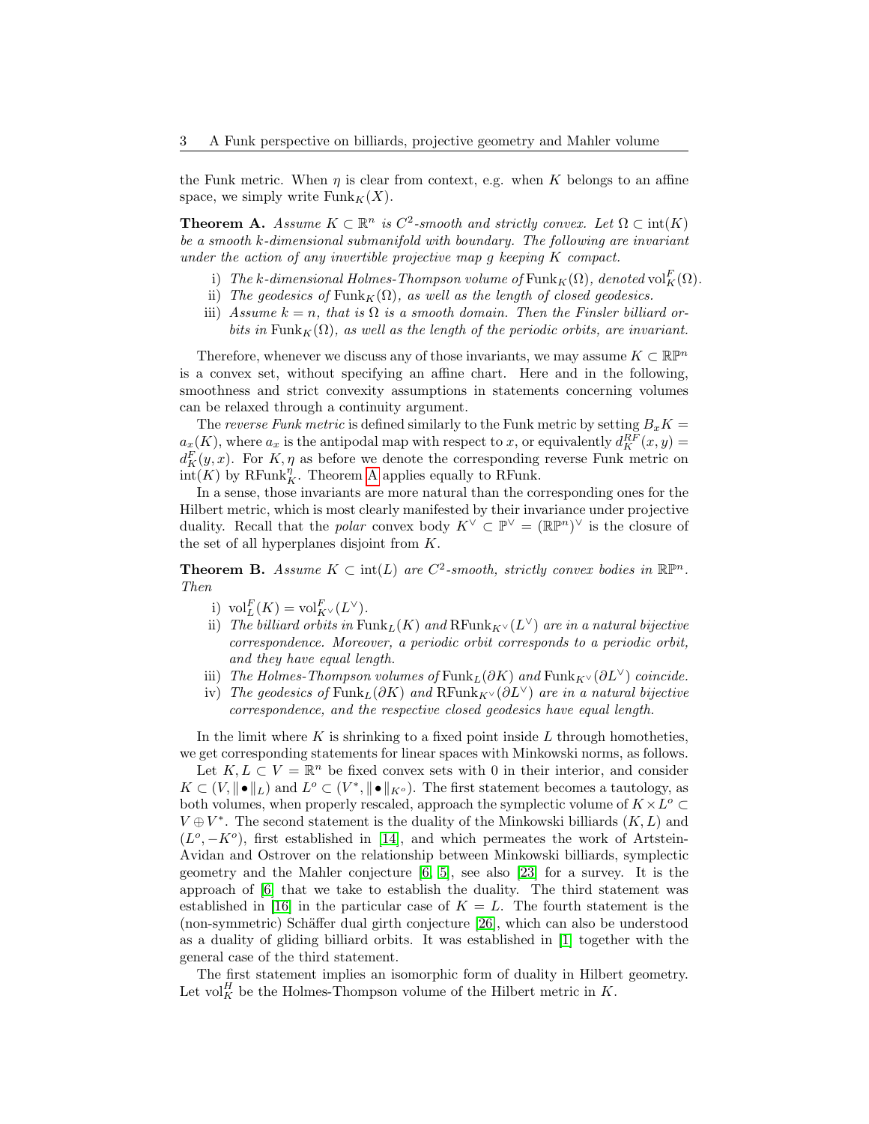the Funk metric. When  $\eta$  is clear from context, e.g. when K belongs to an affine space, we simply write  $Funk_K(X)$ .

<span id="page-2-0"></span>**Theorem A.** Assume  $K \subset \mathbb{R}^n$  is  $C^2$ -smooth and strictly convex. Let  $\Omega \subset \text{int}(K)$ be a smooth k-dimensional submanifold with boundary. The following are invariant under the action of any invertible projective map g keeping K compact.

- i) The k-dimensional Holmes-Thompson volume of  $\mathrm{Funk}_K(\Omega)$ , denoted  $\mathrm{vol}_K^F(\Omega)$ .
- ii) The geodesics of Funk<sub>K</sub>( $\Omega$ ), as well as the length of closed geodesics.
- iii) Assume  $k = n$ , that is  $\Omega$  is a smooth domain. Then the Finsler billiard orbits in Funk<sub>K</sub> $(\Omega)$ , as well as the length of the periodic orbits, are invariant.

Therefore, whenever we discuss any of those invariants, we may assume  $K \subset \mathbb{R}P^n$ is a convex set, without specifying an affine chart. Here and in the following, smoothness and strict convexity assumptions in statements concerning volumes can be relaxed through a continuity argument.

The reverse Funk metric is defined similarly to the Funk metric by setting  $B_xK =$  $a_x(K)$ , where  $a_x$  is the antipodal map with respect to x, or equivalently  $d_K^{RF}(x, y) =$  $d_K^F(y, x)$ . For K,  $\eta$  as before we denote the corresponding reverse Funk metric on  $\overline{\text{int}(K)}$  by RFunk<sup> $\eta$ </sup>. Theorem [A](#page-2-0) applies equally to RFunk.

In a sense, those invariants are more natural than the corresponding ones for the Hilbert metric, which is most clearly manifested by their invariance under projective duality. Recall that the *polar* convex body  $K^{\vee} \subset \mathbb{P}^{\vee} = (\mathbb{R}\mathbb{P}^n)^{\vee}$  is the closure of the set of all hyperplanes disjoint from K.

<span id="page-2-1"></span>**Theorem B.** Assume  $K \subset \text{int}(L)$  are  $C^2$ -smooth, strictly convex bodies in  $\mathbb{R}P^n$ . Then

- i)  $\mathrm{vol}_{L}^{F}(K) = \mathrm{vol}_{K^{\vee}}^{F}(L^{\vee}).$
- ii) The billiard orbits in  $\mathrm{Funk}_L(K)$  and  $\mathrm{RFunk}_{K^\vee}(L^\vee)$  are in a natural bijective correspondence. Moreover, a periodic orbit corresponds to a periodic orbit, and they have equal length.
- iii) The Holmes-Thompson volumes of Funk<sub>L</sub>(∂K) and Funk<sub>K</sub> $\vee$ (∂L<sup> $\vee$ </sup>) coincide.
- iv) The geodesics of Funk<sub>L</sub>(∂K) and RFunk<sub>K</sub> $\vee$ (∂L<sup> $\vee$ </sup>) are in a natural bijective correspondence, and the respective closed geodesics have equal length.

In the limit where K is shrinking to a fixed point inside L through homotheties, we get corresponding statements for linear spaces with Minkowski norms, as follows.

Let  $K, L \subset V = \mathbb{R}^n$  be fixed convex sets with 0 in their interior, and consider  $K \subset (V, ||\bullet||_L)$  and  $L^o \subset (V^*, ||\bullet||_{K^o})$ . The first statement becomes a tautology, as both volumes, when properly rescaled, approach the symplectic volume of  $K \times L^{\circ} \subset$  $V \oplus V^*$ . The second statement is the duality of the Minkowski billiards  $(K, L)$  and  $(L^o, -K^o)$ , first established in [\[14\]](#page-41-3), and which permeates the work of Artstein-Avidan and Ostrover on the relationship between Minkowski billiards, symplectic geometry and the Mahler conjecture  $[6, 5]$  $[6, 5]$ , see also  $[23]$  for a survey. It is the approach of [\[6\]](#page-40-5) that we take to establish the duality. The third statement was established in [\[16\]](#page-41-5) in the particular case of  $K = L$ . The fourth statement is the (non-symmetric) Schäffer dual girth conjecture [\[26\]](#page-41-6), which can also be understood as a duality of gliding billiard orbits. It was established in [\[1\]](#page-40-7) together with the general case of the third statement.

The first statement implies an isomorphic form of duality in Hilbert geometry. Let vol<sup>H</sup><sub>K</sub> be the Holmes-Thompson volume of the Hilbert metric in K.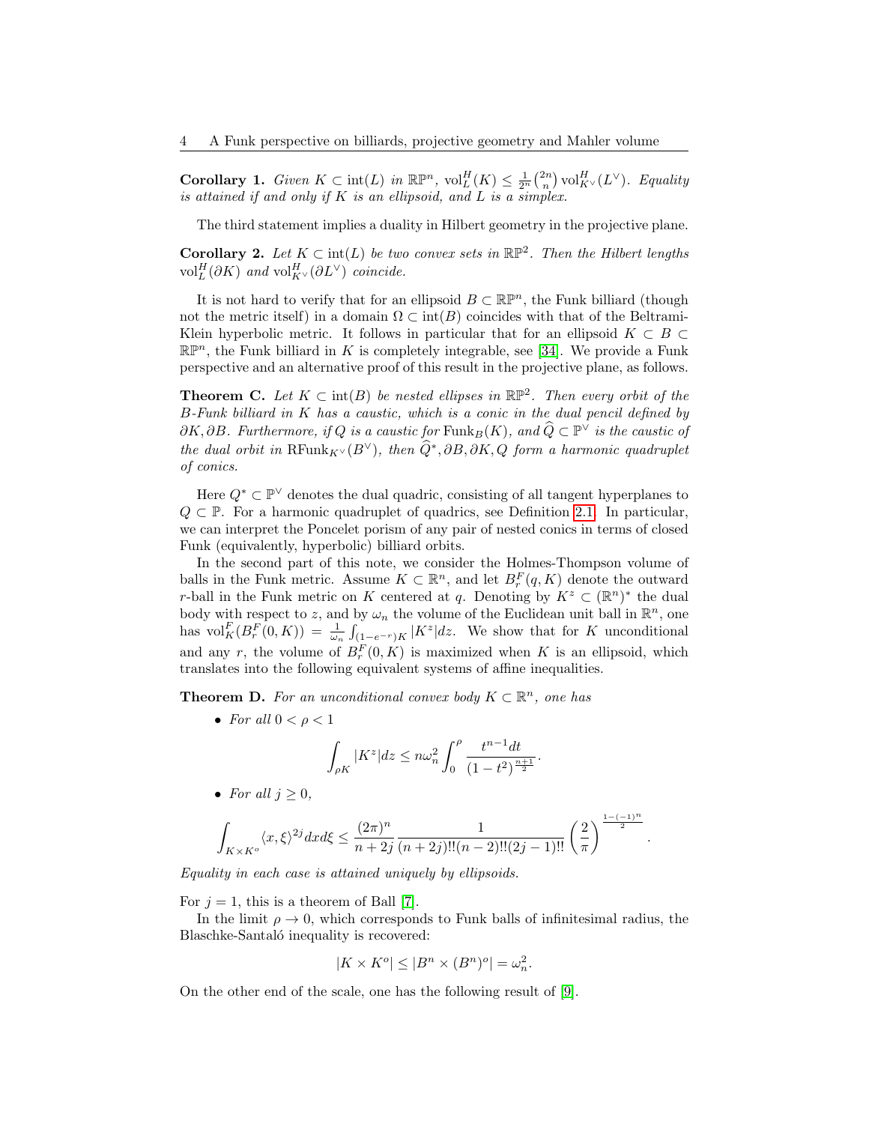<span id="page-3-1"></span>**Corollary 1.** Given  $K \subset \text{int}(L)$  in  $\mathbb{R}\mathbb{P}^n$ ,  $\text{vol}_L^H(K) \leq \frac{1}{2^n} {2n \choose n} \text{vol}_{K^\vee}^H(L^\vee)$ . Equality is attained if and only if  $K$  is an ellipsoid, and  $L$  is a simplex.

The third statement implies a duality in Hilbert geometry in the projective plane.

<span id="page-3-3"></span>**Corollary 2.** Let  $K \subset \text{int}(L)$  be two convex sets in  $\mathbb{RP}^2$ . Then the Hilbert lengths vol $_L^H(\partial K)$  and vol $_{K^\vee}^H(\partial L^\vee)$  coincide.

It is not hard to verify that for an ellipsoid  $B \subset \mathbb{R}^n$ , the Funk billiard (though not the metric itself) in a domain  $\Omega \subset \text{int}(B)$  coincides with that of the Beltrami-Klein hyperbolic metric. It follows in particular that for an ellipsoid  $K \subset B \subset$  $\mathbb{R}\mathbb{P}^n$ , the Funk billiard in K is completely integrable, see [\[34\]](#page-41-7). We provide a Funk perspective and an alternative proof of this result in the projective plane, as follows.

<span id="page-3-2"></span>**Theorem C.** Let  $K \subset \text{int}(B)$  be nested ellipses in  $\mathbb{RP}^2$ . Then every orbit of the B-Funk billiard in K has a caustic, which is a conic in the dual pencil defined by  $\partial K, \partial B$ . Furthermore, if Q is a caustic for Funk<sub>B</sub>(K), and  $\widehat{Q} \subset \mathbb{P}^{\vee}$  is the caustic of the dual orbit in  $\text{RFunk}_{K} \vee (B^{\vee})$ , then  $\widehat{Q}^*, \partial B, \partial K, Q$  form a harmonic quadruplet of conics.

Here  $Q^* \subset \mathbb{P}^{\vee}$  denotes the dual quadric, consisting of all tangent hyperplanes to  $Q \subset \mathbb{P}$ . For a harmonic quadruplet of quadrics, see Definition [2.1.](#page-7-3) In particular, we can interpret the Poncelet porism of any pair of nested conics in terms of closed Funk (equivalently, hyperbolic) billiard orbits.

In the second part of this note, we consider the Holmes-Thompson volume of balls in the Funk metric. Assume  $K \subset \mathbb{R}^n$ , and let  $B_r^F(q,K)$  denote the outward r-ball in the Funk metric on K centered at q. Denoting by  $K^z \subset (\mathbb{R}^n)^*$  the dual body with respect to z, and by  $\omega_n$  the volume of the Euclidean unit ball in  $\mathbb{R}^n$ , one has  $\text{vol}_{K}^{F}(B_{r}^{F}(0,K)) = \frac{1}{\omega_{n}} \int_{(1-e^{-r})K} |K^{z}| dz$ . We show that for K unconditional and any r, the volume of  $B_r^F(0,K)$  is maximized when K is an ellipsoid, which translates into the following equivalent systems of affine inequalities.

<span id="page-3-0"></span>**Theorem D.** For an unconditional convex body  $K \subset \mathbb{R}^n$ , one has

• For all  $0 < \rho < 1$ 

$$
\int_{\rho K} |K^z| dz \le n\omega_n^2 \int_0^{\rho} \frac{t^{n-1} dt}{(1-t^2)^{\frac{n+1}{2}}}.
$$

• For all  $j \geq 0$ ,

$$
\int_{K\times K^o}\langle x,\xi\rangle^{2j}dxd\xi\leq \frac{(2\pi)^n}{n+2j}\frac{1}{(n+2j)!!(n-2)!!(2j-1)!!}\left(\frac{2}{\pi}\right)^{\frac{1-(-1)^n}{2}}
$$

.

Equality in each case is attained uniquely by ellipsoids.

For  $j = 1$ , this is a theorem of Ball [\[7\]](#page-40-8).

In the limit  $\rho \rightarrow 0$ , which corresponds to Funk balls of infinitesimal radius, the Blaschke-Santaló inequality is recovered:

$$
|K \times K^o| \le |B^n \times (B^n)^o| = \omega_n^2.
$$

On the other end of the scale, one has the following result of [\[9\]](#page-40-3).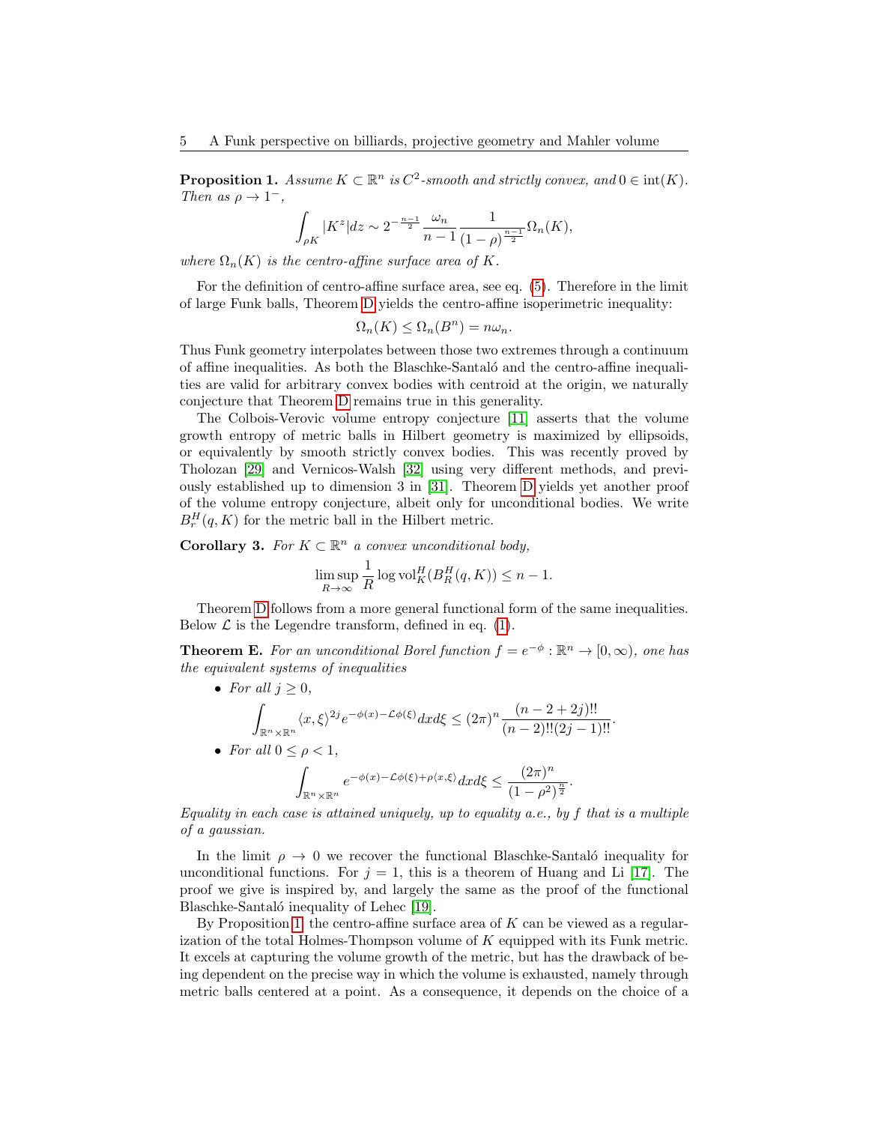<span id="page-4-0"></span>**Proposition 1.** Assume  $K \subset \mathbb{R}^n$  is  $C^2$ -smooth and strictly convex, and  $0 \in \text{int}(K)$ . Then as  $\rho \to 1^-$ ,

$$
\int_{\rho K} |K^z| dz \sim 2^{-\frac{n-1}{2}} \frac{\omega_n}{n-1} \frac{1}{(1-\rho)^{\frac{n-1}{2}}} \Omega_n(K),
$$

where  $\Omega_n(K)$  is the centro-affine surface area of K.

For the definition of centro-affine surface area, see eq. [\(5\)](#page-22-0). Therefore in the limit of large Funk balls, Theorem [D](#page-3-0) yields the centro-affine isoperimetric inequality:

$$
\Omega_n(K) \leq \Omega_n(B^n) = n\omega_n.
$$

Thus Funk geometry interpolates between those two extremes through a continuum of affine inequalities. As both the Blaschke-Santal´o and the centro-affine inequalities are valid for arbitrary convex bodies with centroid at the origin, we naturally conjecture that Theorem [D](#page-3-0) remains true in this generality.

The Colbois-Verovic volume entropy conjecture [\[11\]](#page-40-2) asserts that the volume growth entropy of metric balls in Hilbert geometry is maximized by ellipsoids, or equivalently by smooth strictly convex bodies. This was recently proved by Tholozan [\[29\]](#page-41-2) and Vernicos-Walsh [\[32\]](#page-41-8) using very different methods, and previously established up to dimension 3 in [\[31\]](#page-41-9). Theorem [D](#page-3-0) yields yet another proof of the volume entropy conjecture, albeit only for unconditional bodies. We write  $B_r^H(q, K)$  for the metric ball in the Hilbert metric.

<span id="page-4-2"></span>**Corollary 3.** For  $K \subset \mathbb{R}^n$  a convex unconditional body,

$$
\limsup_{R \to \infty} \frac{1}{R} \log \text{vol}_{K}^{H}(B_{R}^{H}(q, K)) \leq n - 1.
$$

Theorem [D](#page-3-0) follows from a more general functional form of the same inequalities. Below  $\mathcal L$  is the Legendre transform, defined in eq. [\(1\)](#page-6-3).

<span id="page-4-1"></span>**Theorem E.** For an unconditional Borel function  $f = e^{-\phi}: \mathbb{R}^n \to [0, \infty)$ , one has the equivalent systems of inequalities

• For all  $j > 0$ , Z  $\mathbb{R}^n \times \mathbb{R}^n$  $\langle x,\xi \rangle^{2j} e^{-\phi(x)-\mathcal{L}\phi(\xi)} dx d\xi \leq (2\pi)^n \frac{(n-2+2j)!!}{(n-2)!!(2j-1)!!}.$ • For all  $0 \leq \rho < 1$ , Z  $\mathbb{R}^n \times \mathbb{R}^n$  $e^{-\phi(x)-\mathcal{L}\phi(\xi)+\rho\langle x,\xi\rangle}dxd\xi \leq \frac{(2\pi)^n}{(1-\gamma)^n}$  $\frac{(-\mu)}{(1-\rho^2)^{\frac{n}{2}}}.$ 

Equality in each case is attained uniquely, up to equality a.e., by  $f$  that is a multiple of a gaussian.

In the limit  $\rho \to 0$  we recover the functional Blaschke-Santaló inequality for unconditional functions. For  $j = 1$ , this is a theorem of Huang and Li [\[17\]](#page-41-10). The proof we give is inspired by, and largely the same as the proof of the functional Blaschke-Santaló inequality of Lehec [\[19\]](#page-41-11).

By Proposition [1,](#page-4-0) the centro-affine surface area of  $K$  can be viewed as a regularization of the total Holmes-Thompson volume of K equipped with its Funk metric. It excels at capturing the volume growth of the metric, but has the drawback of being dependent on the precise way in which the volume is exhausted, namely through metric balls centered at a point. As a consequence, it depends on the choice of a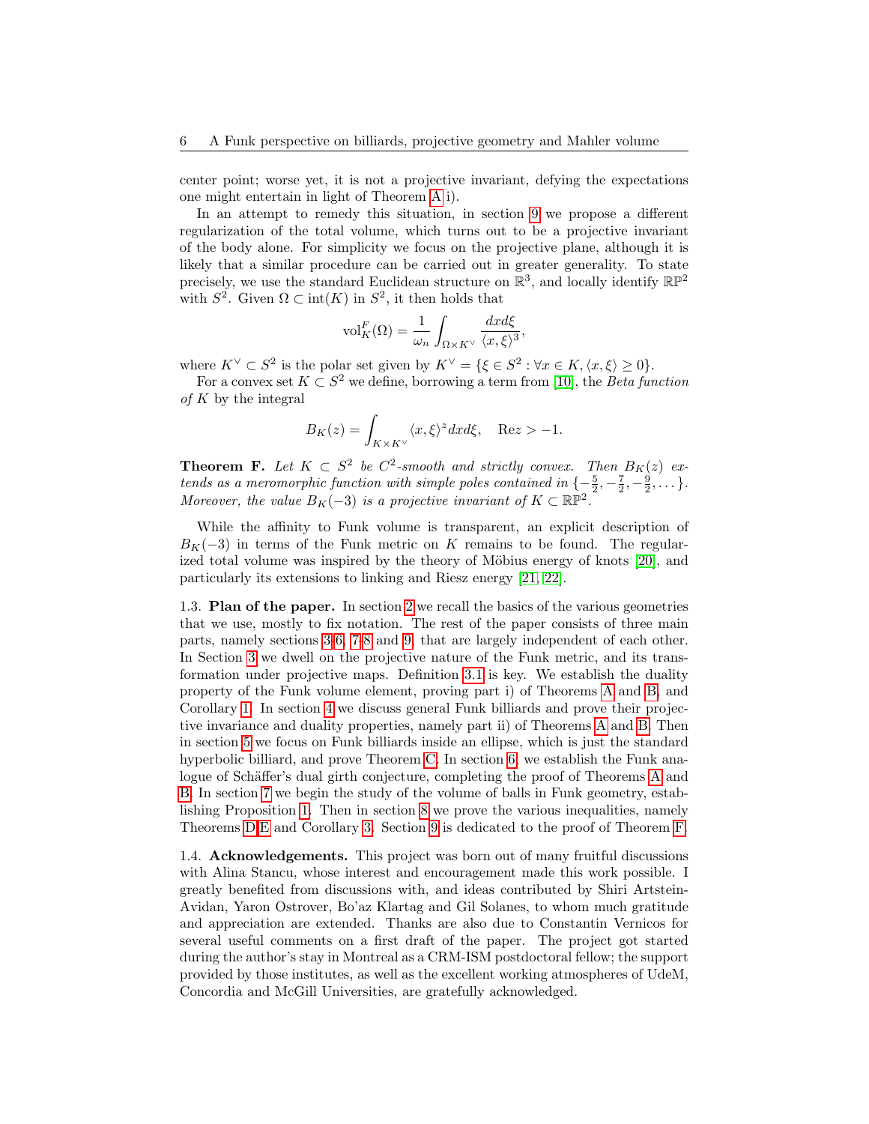center point; worse yet, it is not a projective invariant, defying the expectations one might entertain in light of Theorem [A](#page-2-0) i).

In an attempt to remedy this situation, in section [9](#page-33-0) we propose a different regularization of the total volume, which turns out to be a projective invariant of the body alone. For simplicity we focus on the projective plane, although it is likely that a similar procedure can be carried out in greater generality. To state precisely, we use the standard Euclidean structure on  $\mathbb{R}^3$ , and locally identify  $\mathbb{RP}^2$ with  $S^2$ . Given  $\Omega \subset \text{int}(K)$  in  $S^2$ , it then holds that

$$
\mathrm{vol}_{K}^{F}(\Omega) = \frac{1}{\omega_{n}} \int_{\Omega \times K^{\vee}} \frac{dx d\xi}{\langle x, \xi \rangle^{3}}
$$

,

where  $K^{\vee} \subset S^2$  is the polar set given by  $K^{\vee} = \{\xi \in S^2 : \forall x \in K, \langle x, \xi \rangle \geq 0\}.$ 

For a convex set  $K \subset S^2$  we define, borrowing a term from [\[10\]](#page-40-9), the *Beta function* of  $K$  by the integral

$$
B_K(z) = \int_{K \times K^\vee} \langle x, \xi \rangle^z dx d\xi, \quad \text{Re} z > -1.
$$

<span id="page-5-2"></span>**Theorem F.** Let  $K \subset S^2$  be  $C^2$ -smooth and strictly convex. Then  $B_K(z)$  extends as a meromorphic function with simple poles contained in  $\{-\frac{5}{2}, -\frac{7}{2}, -\frac{9}{2}, \dots\}$ . Moreover, the value  $B_K(-3)$  is a projective invariant of  $K \subset \mathbb{RP}^2$ .

While the affinity to Funk volume is transparent, an explicit description of  $B_K(-3)$  in terms of the Funk metric on K remains to be found. The regularized total volume was inspired by the theory of Möbius energy of knots  $[20]$ , and particularly its extensions to linking and Riesz energy [\[21,](#page-41-13) [22\]](#page-41-14).

<span id="page-5-0"></span>1.3. Plan of the paper. In section [2](#page-6-0) we recall the basics of the various geometries that we use, mostly to fix notation. The rest of the paper consists of three main parts, namely sections [3](#page-7-1)[-6,](#page-20-0) [7](#page-21-0)[-8](#page-25-0) and [9,](#page-33-0) that are largely independent of each other. In Section [3](#page-7-1) we dwell on the projective nature of the Funk metric, and its transformation under projective maps. Definition [3.1](#page-8-0) is key. We establish the duality property of the Funk volume element, proving part i) of Theorems [A](#page-2-0) and [B,](#page-2-1) and Corollary [1.](#page-3-1) In section [4](#page-12-0) we discuss general Funk billiards and prove their projective invariance and duality properties, namely part ii) of Theorems [A](#page-2-0) and [B.](#page-2-1) Then in section [5](#page-17-0) we focus on Funk billiards inside an ellipse, which is just the standard hyperbolic billiard, and prove Theorem [C.](#page-3-2) In section [6,](#page-20-0) we establish the Funk ana-logue of Schäffer's dual girth conjecture, completing the proof of Theorems [A](#page-2-0) and [B.](#page-2-1) In section [7](#page-21-0) we begin the study of the volume of balls in Funk geometry, establishing Proposition [1.](#page-4-0) Then in section [8](#page-25-0) we prove the various inequalities, namely Theorems [D](#page-3-0)[,E](#page-4-1) and Corollary [3.](#page-4-2) Section [9](#page-33-0) is dedicated to the proof of Theorem [F.](#page-5-2)

<span id="page-5-1"></span>1.4. Acknowledgements. This project was born out of many fruitful discussions with Alina Stancu, whose interest and encouragement made this work possible. I greatly benefited from discussions with, and ideas contributed by Shiri Artstein-Avidan, Yaron Ostrover, Bo'az Klartag and Gil Solanes, to whom much gratitude and appreciation are extended. Thanks are also due to Constantin Vernicos for several useful comments on a first draft of the paper. The project got started during the author's stay in Montreal as a CRM-ISM postdoctoral fellow; the support provided by those institutes, as well as the excellent working atmospheres of UdeM, Concordia and McGill Universities, are gratefully acknowledged.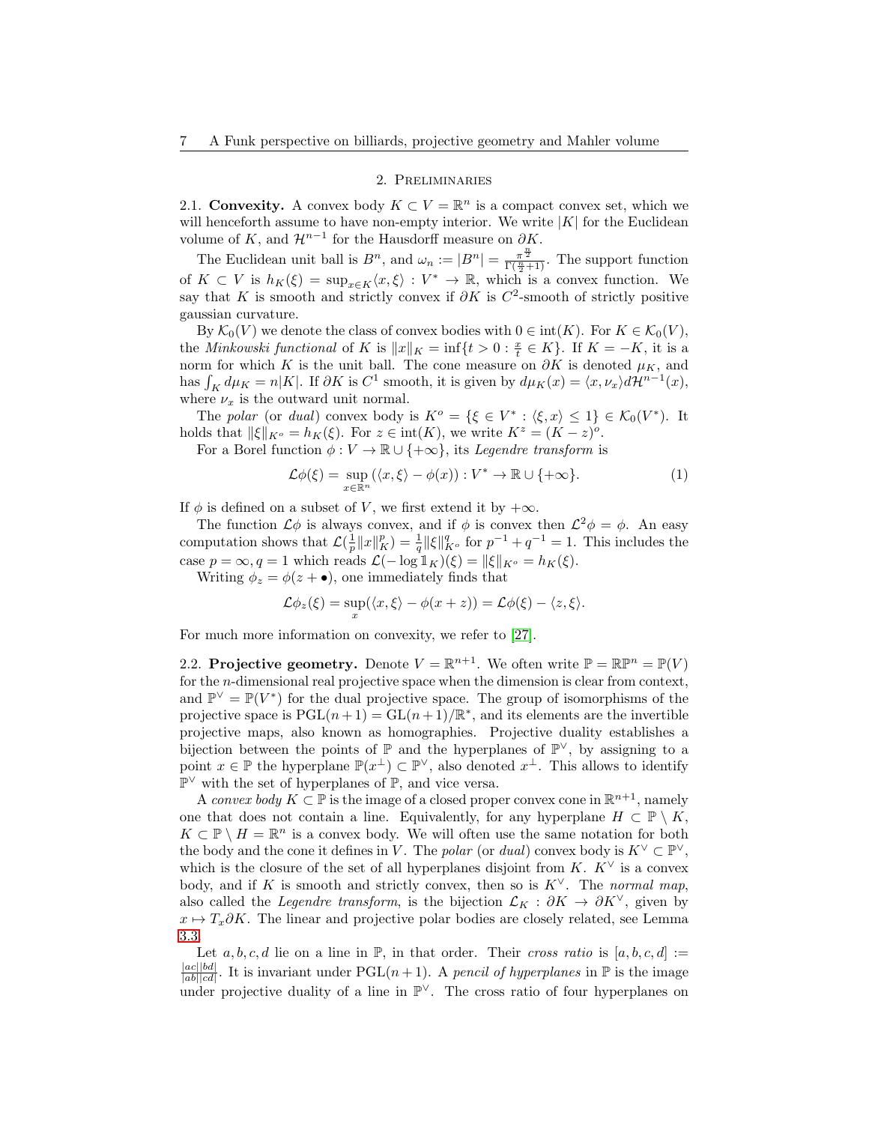# 2. Preliminaries

<span id="page-6-1"></span><span id="page-6-0"></span>2.1. Convexity. A convex body  $K \subset V = \mathbb{R}^n$  is a compact convex set, which we will henceforth assume to have non-empty interior. We write  $|K|$  for the Euclidean volume of K, and  $\mathcal{H}^{n-1}$  for the Hausdorff measure on  $\partial K$ .

The Euclidean unit ball is  $B^n$ , and  $\omega_n := |B^n| = \frac{\pi^{\frac{n}{2}}}{\Gamma(\frac{n}{2}+1)}$ . The support function of  $K \subset V$  is  $h_K(\xi) = \sup_{x \in K} \langle x, \xi \rangle : V^* \to \mathbb{R}$ , which is a convex function. We say that K is smooth and strictly convex if  $\partial K$  is  $C^2$ -smooth of strictly positive gaussian curvature.

By  $\mathcal{K}_0(V)$  we denote the class of convex bodies with  $0 \in \text{int}(K)$ . For  $K \in \mathcal{K}_0(V)$ , the *Minkowski functional* of K is  $||x||_K = \inf\{t > 0 : \frac{x}{t} \in K\}$ . If  $K = -K$ , it is a norm for which K is the unit ball. The cone measure on  $\partial K$  is denoted  $\mu_K$ , and has  $\int_K d\mu_K = n|K|$ . If  $\partial K$  is  $C^1$  smooth, it is given by  $d\mu_K(x) = \langle x, \nu_x \rangle d\mathcal{H}^{n-1}(x)$ , where  $\nu_x$  is the outward unit normal.

The polar (or dual) convex body is  $K^o = \{\xi \in V^* : \langle \xi, x \rangle \leq 1\} \in \mathcal{K}_0(V^*)$ . It holds that  $\|\xi\|_{K^o} = h_K(\xi)$ . For  $z \in \text{int}(K)$ , we write  $K^z = (K - z)^o$ .

For a Borel function  $\phi: V \to \mathbb{R} \cup \{+\infty\}$ , its *Legendre transform* is

<span id="page-6-3"></span>
$$
\mathcal{L}\phi(\xi) = \sup_{x \in \mathbb{R}^n} (\langle x, \xi \rangle - \phi(x)) : V^* \to \mathbb{R} \cup \{ +\infty \}. \tag{1}
$$

If  $\phi$  is defined on a subset of V, we first extend it by  $+\infty$ .

The function  $\mathcal{L}\phi$  is always convex, and if  $\phi$  is convex then  $\mathcal{L}^2\phi = \phi$ . An easy computation shows that  $\mathcal{L}(\frac{1}{p}||x||_K^p) = \frac{1}{q} ||\xi||_{K^o}^q$  for  $p^{-1} + q^{-1} = 1$ . This includes the case  $p = \infty, q = 1$  which reads  $\mathcal{L}(-\log 1_K)(\xi) = ||\xi||_{K^o} = h_K(\xi)$ .

Writing  $\phi_z = \phi(z + \bullet)$ , one immediately finds that

$$
\mathcal{L}\phi_z(\xi) = \sup_x(\langle x,\xi\rangle - \phi(x+z)) = \mathcal{L}\phi(\xi) - \langle z,\xi\rangle.
$$

For much more information on convexity, we refer to [\[27\]](#page-41-15).

<span id="page-6-2"></span>2.2. Projective geometry. Denote  $V = \mathbb{R}^{n+1}$ . We often write  $\mathbb{P} = \mathbb{R}\mathbb{P}^n = \mathbb{P}(V)$ for the n-dimensional real projective space when the dimension is clear from context, and  $\mathbb{P}^{\vee} = \mathbb{P}(V^*)$  for the dual projective space. The group of isomorphisms of the projective space is  $PGL(n+1) = GL(n+1)/\mathbb{R}^*$ , and its elements are the invertible projective maps, also known as homographies. Projective duality establishes a bijection between the points of  $\mathbb P$  and the hyperplanes of  $\mathbb P^{\vee}$ , by assigning to a point  $x \in \mathbb{P}$  the hyperplane  $\mathbb{P}(x^{\perp}) \subset \mathbb{P}^{\vee}$ , also denoted  $x^{\perp}$ . This allows to identify P <sup>∨</sup> with the set of hyperplanes of P, and vice versa.

A convex body  $K \subset \mathbb{P}$  is the image of a closed proper convex cone in  $\mathbb{R}^{n+1}$ , namely one that does not contain a line. Equivalently, for any hyperplane  $H \subset \mathbb{P} \setminus K$ ,  $K \subset \mathbb{P} \setminus H = \mathbb{R}^n$  is a convex body. We will often use the same notation for both the body and the cone it defines in V. The polar (or dual) convex body is  $K^{\vee} \subset \mathbb{P}^{\vee}$ , which is the closure of the set of all hyperplanes disjoint from K.  $K^{\vee}$  is a convex body, and if K is smooth and strictly convex, then so is  $K^{\vee}$ . The normal map, also called the Legendre transform, is the bijection  $\mathcal{L}_K : \partial K \to \partial K^{\vee}$ , given by  $x \mapsto T_x \partial K$ . The linear and projective polar bodies are closely related, see Lemma [3.3.](#page-8-1)

Let a, b, c, d lie on a line in  $\mathbb{P}$ , in that order. Their cross ratio is  $[a, b, c, d] :=$  $|ac||bd|$  $\frac{|ac||bd|}{|ab||cd|}$ . It is invariant under PGL $(n+1)$ . A pencil of hyperplanes in  $\mathbb P$  is the image under projective duality of a line in  $\mathbb{P}^{\vee}$ . The cross ratio of four hyperplanes on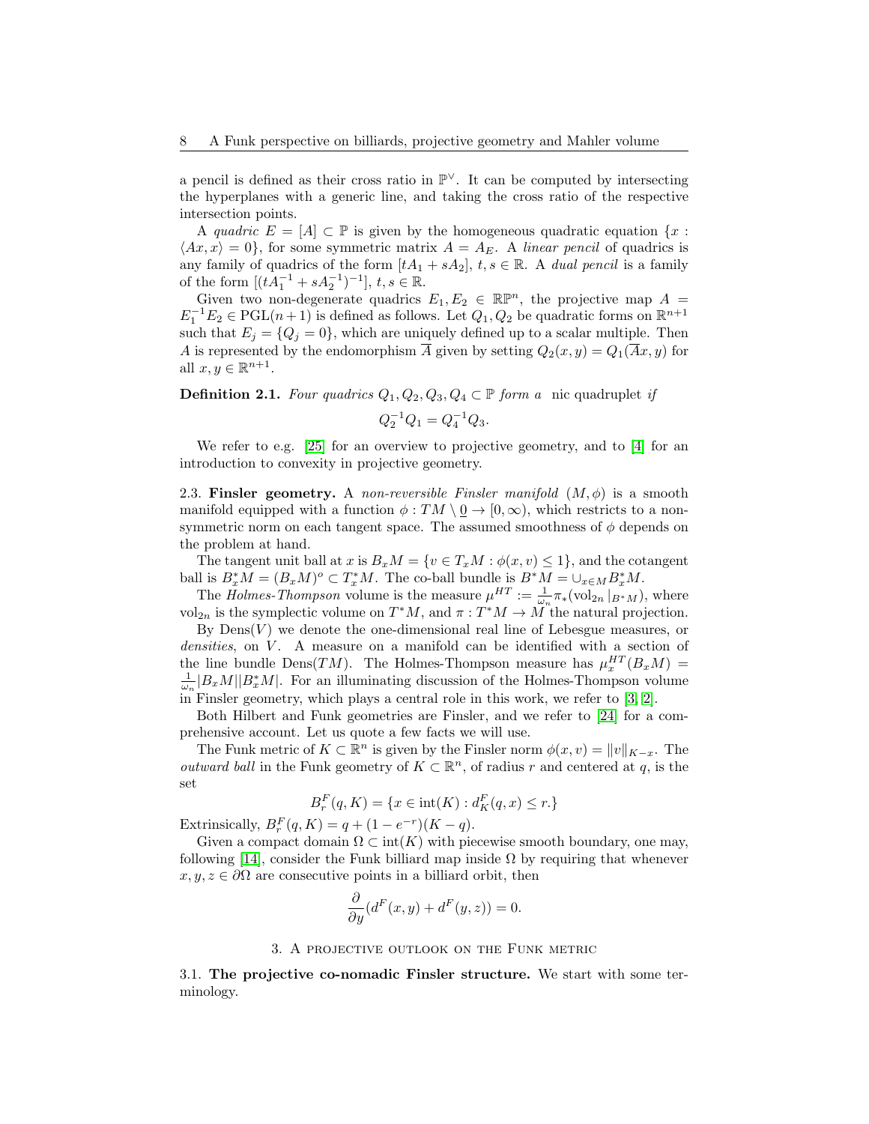a pencil is defined as their cross ratio in  $\mathbb{P}^{\vee}$ . It can be computed by intersecting the hyperplanes with a generic line, and taking the cross ratio of the respective intersection points.

A quadric  $E = [A] \subset \mathbb{P}$  is given by the homogeneous quadratic equation  $\{x :$  $\langle Ax, x \rangle = 0$ , for some symmetric matrix  $A = A_E$ . A linear pencil of quadrics is any family of quadrics of the form  $[tA_1 + sA_2]$ ,  $t, s \in \mathbb{R}$ . A dual pencil is a family of the form  $[(tA_1^{-1} + sA_2^{-1})^{-1}], t, s \in \mathbb{R}$ .

Given two non-degenerate quadrics  $E_1, E_2 \in \mathbb{R}^n$ , the projective map  $A =$  $E_1^{-1}E_2 \in \mathrm{PGL}(n+1)$  is defined as follows. Let  $Q_1, Q_2$  be quadratic forms on  $\mathbb{R}^{n+1}$ such that  $E_j = \{Q_j = 0\}$ , which are uniquely defined up to a scalar multiple. Then A is represented by the endomorphism  $\overline{A}$  given by setting  $Q_2(x, y) = Q_1(\overline{A}x, y)$  for all  $x, y \in \mathbb{R}^{n+1}$ .

<span id="page-7-3"></span>**Definition 2.1.** Four quadrics  $Q_1, Q_2, Q_3, Q_4 \subset \mathbb{P}$  form a nic quadruplet if

$$
Q_2^{-1}Q_1 = Q_4^{-1}Q_3.
$$

We refer to e.g. [\[25\]](#page-41-16) for an overview to projective geometry, and to [\[4\]](#page-40-10) for an introduction to convexity in projective geometry.

<span id="page-7-0"></span>2.3. Finsler geometry. A non-reversible Finsler manifold  $(M, \phi)$  is a smooth manifold equipped with a function  $\phi : TM \setminus \underline{0} \to [0, \infty)$ , which restricts to a nonsymmetric norm on each tangent space. The assumed smoothness of  $\phi$  depends on the problem at hand.

The tangent unit ball at x is  $B_xM = \{v \in T_xM : \phi(x, v) \leq 1\}$ , and the cotangent ball is  $B_x^*M = (B_xM)^o \subset T_x^*M$ . The co-ball bundle is  $B^*M = \bigcup_{x \in M} B_x^*M$ .

The *Holmes-Thompson* volume is the measure  $\mu^{HT} := \frac{1}{\omega_n} \pi_*(\text{vol}_{2n} |_{B^*M})$ , where vol<sub>2n</sub> is the symplectic volume on  $T^*M$ , and  $\pi: T^*M \to M$  the natural projection.

By  $Dens(V)$  we denote the one-dimensional real line of Lebesgue measures, or densities, on V. A measure on a manifold can be identified with a section of the line bundle Dens $(TM)$ . The Holmes-Thompson measure has  $\mu_x^{HT}(B_xM)$  =  $\frac{1}{\omega_n}|B_xM||B_x^*M|$ . For an illuminating discussion of the Holmes-Thompson volume in Finsler geometry, which plays a central role in this work, we refer to [\[3,](#page-40-11) [2\]](#page-40-12).

Both Hilbert and Funk geometries are Finsler, and we refer to [\[24\]](#page-41-17) for a comprehensive account. Let us quote a few facts we will use.

The Funk metric of  $K \subset \mathbb{R}^n$  is given by the Finsler norm  $\phi(x, v) = ||v||_{K-x}$ . The *outward ball* in the Funk geometry of  $K \subset \mathbb{R}^n$ , of radius r and centered at q, is the set

$$
B_r^F(q, K) = \{ x \in \text{int}(K) : d_K^F(q, x) \le r \}
$$

Extrinsically,  $B_r^F(q, K) = q + (1 - e^{-r})(K - q)$ .

Given a compact domain  $\Omega \subset \text{int}(K)$  with piecewise smooth boundary, one may, following [\[14\]](#page-41-3), consider the Funk billiard map inside  $\Omega$  by requiring that whenever  $x, y, z \in \partial\Omega$  are consecutive points in a billiard orbit, then

$$
\frac{\partial}{\partial y}(d^F(x,y) + d^F(y,z)) = 0.
$$

#### 3. A projective outlook on the Funk metric

<span id="page-7-2"></span><span id="page-7-1"></span>3.1. The projective co-nomadic Finsler structure. We start with some terminology.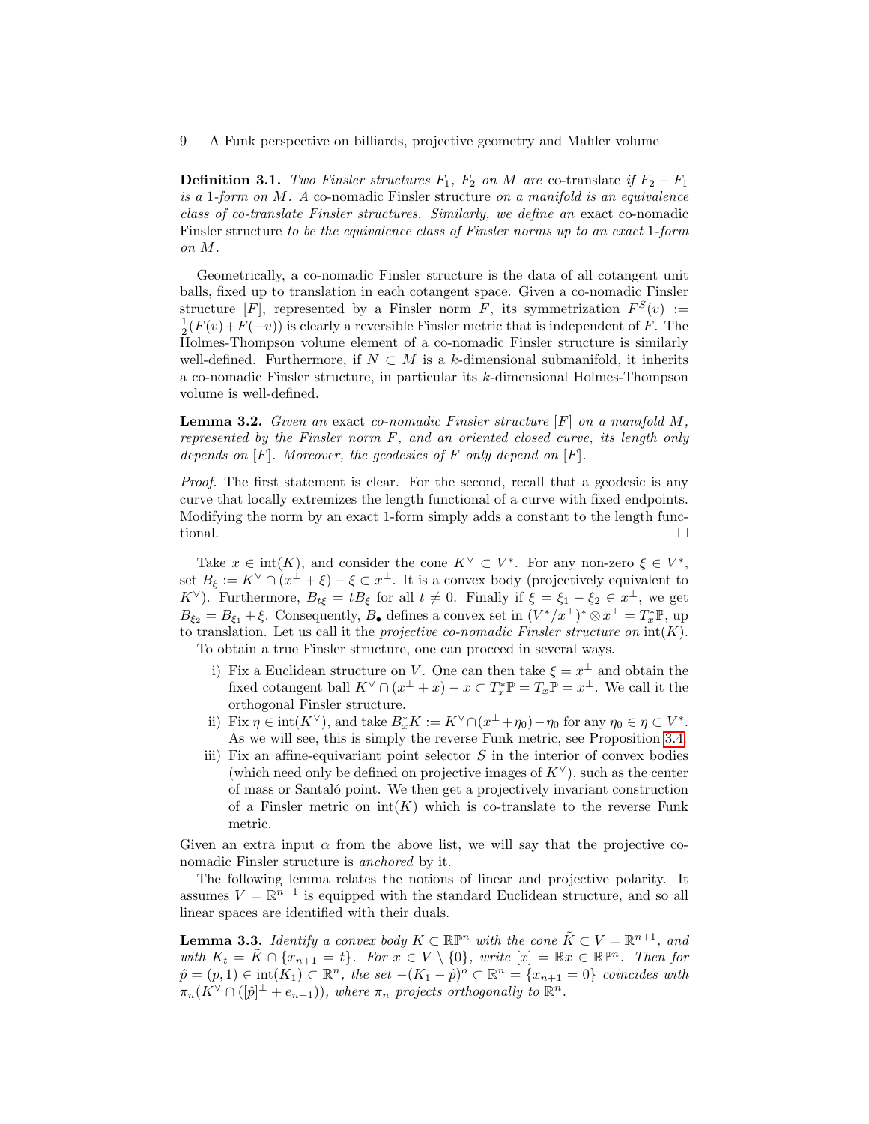<span id="page-8-0"></span>**Definition 3.1.** Two Finsler structures  $F_1$ ,  $F_2$  on M are co-translate if  $F_2 - F_1$ is a 1-form on  $M$ . A co-nomadic Finsler structure on a manifold is an equivalence class of co-translate Finsler structures. Similarly, we define an exact co-nomadic Finsler structure to be the equivalence class of Finsler norms up to an exact 1-form on M.

Geometrically, a co-nomadic Finsler structure is the data of all cotangent unit balls, fixed up to translation in each cotangent space. Given a co-nomadic Finsler structure [F], represented by a Finsler norm F, its symmetrization  $F^S(v) :=$  $\frac{1}{2}(F(v)+F(-v))$  is clearly a reversible Finsler metric that is independent of F. The Holmes-Thompson volume element of a co-nomadic Finsler structure is similarly well-defined. Furthermore, if  $N \subset M$  is a k-dimensional submanifold, it inherits a co-nomadic Finsler structure, in particular its k-dimensional Holmes-Thompson volume is well-defined.

<span id="page-8-2"></span>**Lemma 3.2.** Given an exact co-nomadic Finsler structure  $[F]$  on a manifold M, represented by the Finsler norm F, and an oriented closed curve, its length only depends on  $[F]$ . Moreover, the geodesics of F only depend on  $[F]$ .

Proof. The first statement is clear. For the second, recall that a geodesic is any curve that locally extremizes the length functional of a curve with fixed endpoints. Modifying the norm by an exact 1-form simply adds a constant to the length functional.

Take  $x \in \text{int}(K)$ , and consider the cone  $K^{\vee} \subset V^*$ . For any non-zero  $\xi \in V^*$ , set  $B_{\xi} := K^{\vee} \cap (x^{\perp} + \xi) - \xi \subset x^{\perp}$ . It is a convex body (projectively equivalent to K<sup> $\vee$ </sup>). Furthermore,  $B_{t\xi} = tB_{\xi}$  for all  $t \neq 0$ . Finally if  $\xi = \xi_1 - \xi_2 \in x^{\perp}$ , we get  $B_{\xi_2} = B_{\xi_1} + \xi$ . Consequently,  $B_{\bullet}$  defines a convex set in  $(V^*/x^{\perp})^* \otimes x^{\perp} = T_x^* \mathbb{P}$ , up to translation. Let us call it the projective co-nomadic Finsler structure on  $\text{int}(K)$ . To obtain a true Finsler structure, one can proceed in several ways.

- i) Fix a Euclidean structure on V. One can then take  $\xi = x^{\perp}$  and obtain the fixed cotangent ball  $K^{\vee} \cap (x^{\perp} + x) - x \subset T_x^* \mathbb{P} = T_x \mathbb{P} = x^{\perp}$ . We call it the orthogonal Finsler structure.
- ii) Fix  $\eta \in \text{int}(K^{\vee})$ , and take  $B_x^* K := K^{\vee} \cap (x^{\perp} + \eta_0) \eta_0$  for any  $\eta_0 \in \eta \subset V^*$ . As we will see, this is simply the reverse Funk metric, see Proposition [3.4.](#page-9-0)
- iii) Fix an affine-equivariant point selector  $S$  in the interior of convex bodies (which need only be defined on projective images of  $K^{\vee}$ ), such as the center of mass or Santal´o point. We then get a projectively invariant construction of a Finsler metric on  $int(K)$  which is co-translate to the reverse Funk metric.

Given an extra input  $\alpha$  from the above list, we will say that the projective conomadic Finsler structure is anchored by it.

The following lemma relates the notions of linear and projective polarity. It assumes  $V = \mathbb{R}^{n+1}$  is equipped with the standard Euclidean structure, and so all linear spaces are identified with their duals.

<span id="page-8-1"></span>**Lemma 3.3.** Identify a convex body  $K \subset \mathbb{RP}^n$  with the cone  $\tilde{K} \subset V = \mathbb{R}^{n+1}$ , and with  $K_t = \tilde{K} \cap \{x_{n+1} = t\}$ . For  $x \in V \setminus \{0\}$ , write  $[x] = \mathbb{R}x \in \mathbb{R}^n$ . Then for  $\hat{p} = (p, 1) \in \text{int}(\tilde{K_1}) \subset \mathbb{R}^n$ , the set  $-(K_1 - \hat{p})^o \subset \mathbb{R}^n = \{x_{n+1} = 0\}$  coincides with  $\pi_n(K^{\vee}\cap([\hat{p}]^{\perp}+e_{n+1})),$  where  $\pi_n$  projects orthogonally to  $\mathbb{R}^n$ .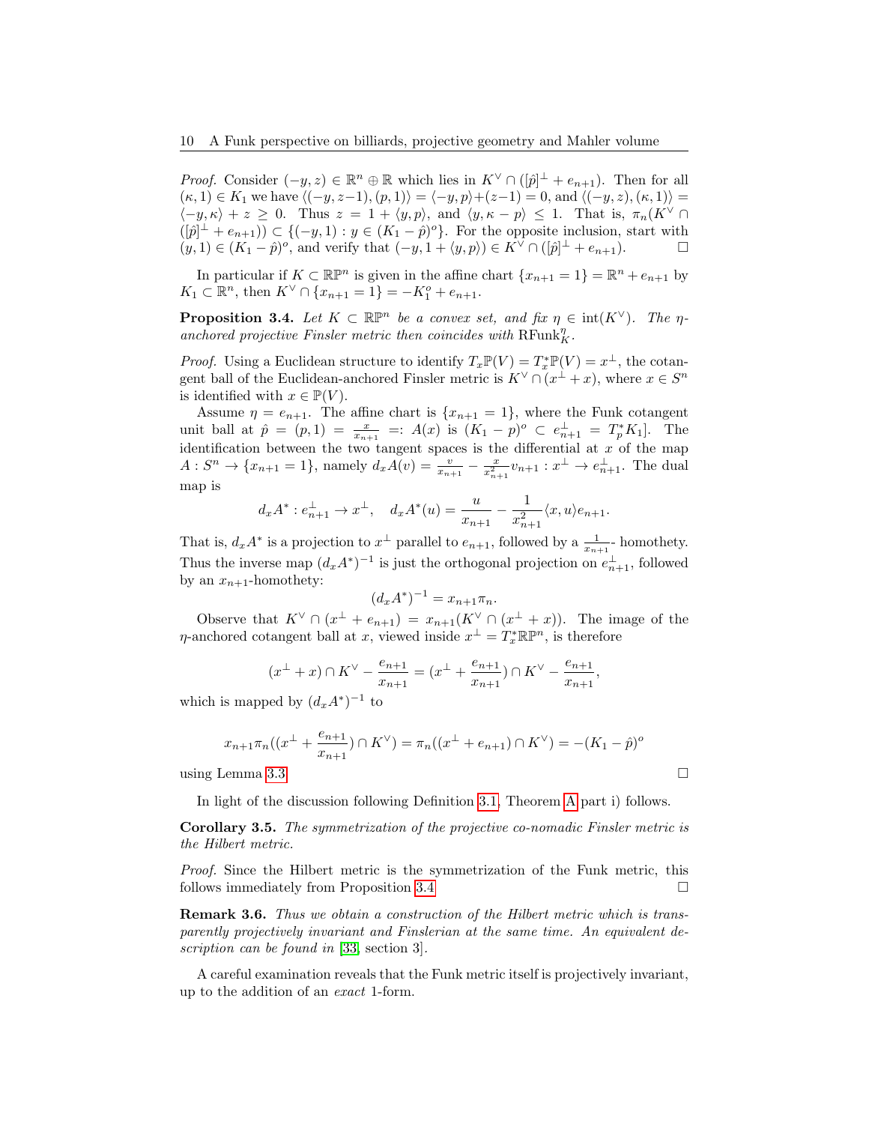*Proof.* Consider  $(-y, z) \in \mathbb{R}^n \oplus \mathbb{R}$  which lies in  $K^{\vee} \cap (\hat{p})^{\perp} + e_{n+1}$ . Then for all  $(k, 1) \in K_1$  we have  $\langle (-y, z-1), (p, 1) \rangle = \langle -y, p \rangle + (z-1) = 0$ , and  $\langle (-y, z), (k, 1) \rangle =$  $\langle -y, \kappa \rangle + z \geq 0$ . Thus  $z = 1 + \langle y, p \rangle$ , and  $\langle y, \kappa - p \rangle \leq 1$ . That is,  $\pi_n(K^{\vee} \cap$  $([\hat{p}]^{\perp} + e_{n+1}) \subset \{(-y,1) : y \in (K_1 - \hat{p})^{\circ}\}.$  For the opposite inclusion, start with  $(y,1) \in (K_1 - \hat{p})^o$ , and verify that  $(-y, 1 + \langle y, p \rangle) \in K^{\vee} \cap ([\hat{p}]^{\perp} + e_{n+1}).$ 

In particular if  $K \subset \mathbb{R}P^n$  is given in the affine chart  $\{x_{n+1} = 1\} = \mathbb{R}^n + e_{n+1}$  by  $K_1 \subset \mathbb{R}^n$ , then  $K^{\vee} \cap \{x_{n+1} = 1\} = -K_1^o + e_{n+1}$ .

<span id="page-9-0"></span>**Proposition 3.4.** Let  $K \subset \mathbb{R}P^n$  be a convex set, and fix  $\eta \in \text{int}(K^{\vee})$ . The  $\eta$ anchored projective Finsler metric then coincides with  $\operatorname{RFunk}_K^{\eta}$ .

*Proof.* Using a Euclidean structure to identify  $T_x \mathbb{P}(V) = T_x^* \mathbb{P}(V) = x^{\perp}$ , the cotangent ball of the Euclidean-anchored Finsler metric is  $K^{\vee} \cap (x^{\perp} + x)$ , where  $x \in S^n$ is identified with  $x \in \mathbb{P}(V)$ .

Assume  $\eta = e_{n+1}$ . The affine chart is  $\{x_{n+1} = 1\}$ , where the Funk cotangent unit ball at  $\hat{p} = (p, 1) = \frac{x}{x_{n+1}} =: A(x)$  is  $(K_1 - p)^o \subset e_{n+1}^{\perp} = T_p^* K_1$ . The identification between the two tangent spaces is the differential at  $x$  of the map  $A: S^n \to \{x_{n+1} = 1\}$ , namely  $d_x A(v) = \frac{v}{x_{n+1}} - \frac{x}{x_{n+1}^2} v_{n+1} : x^{\perp} \to e_{n+1}^{\perp}$ . The dual map is

$$
d_x A^* : e_{n+1}^\perp \to x^\perp, \quad d_x A^*(u) = \frac{u}{x_{n+1}} - \frac{1}{x_{n+1}^2} \langle x, u \rangle e_{n+1}.
$$

That is,  $d_x A^*$  is a projection to  $x^{\perp}$  parallel to  $e_{n+1}$ , followed by a  $\frac{1}{x_{n+1}}$ - homothety. Thus the inverse map  $(d_x A^*)^{-1}$  is just the orthogonal projection on  $e_{n+1}^{\perp}$ , followed by an  $x_{n+1}$ -homothety:

$$
(d_x A^*)^{-1} = x_{n+1} \pi_n.
$$

Observe that  $K^{\vee} \cap (x^{\perp} + e_{n+1}) = x_{n+1}(K^{\vee} \cap (x^{\perp} + x)).$  The image of the  $\eta$ -anchored cotangent ball at x, viewed inside  $x^{\perp} = T_x^* \mathbb{R} \mathbb{P}^n$ , is therefore

$$
(x^{\perp} + x) \cap K^{\vee} - \frac{e_{n+1}}{x_{n+1}} = (x^{\perp} + \frac{e_{n+1}}{x_{n+1}}) \cap K^{\vee} - \frac{e_{n+1}}{x_{n+1}},
$$

which is mapped by  $(d_x A^*)^{-1}$  to

$$
x_{n+1}\pi_n((x^{\perp}+\frac{e_{n+1}}{x_{n+1}})\cap K^{\vee})=\pi_n((x^{\perp}+e_{n+1})\cap K^{\vee})=-(K_1-\hat{p})^o
$$

using Lemma [3.3.](#page-8-1)

In light of the discussion following Definition [3.1,](#page-8-0) Theorem [A](#page-2-0) part i) follows.

Corollary 3.5. The symmetrization of the projective co-nomadic Finsler metric is the Hilbert metric.

Proof. Since the Hilbert metric is the symmetrization of the Funk metric, this follows immediately from Proposition [3.4](#page-9-0)

Remark 3.6. Thus we obtain a construction of the Hilbert metric which is transparently projectively invariant and Finslerian at the same time. An equivalent description can be found in [\[33,](#page-41-18) section 3].

A careful examination reveals that the Funk metric itself is projectively invariant, up to the addition of an exact 1-form.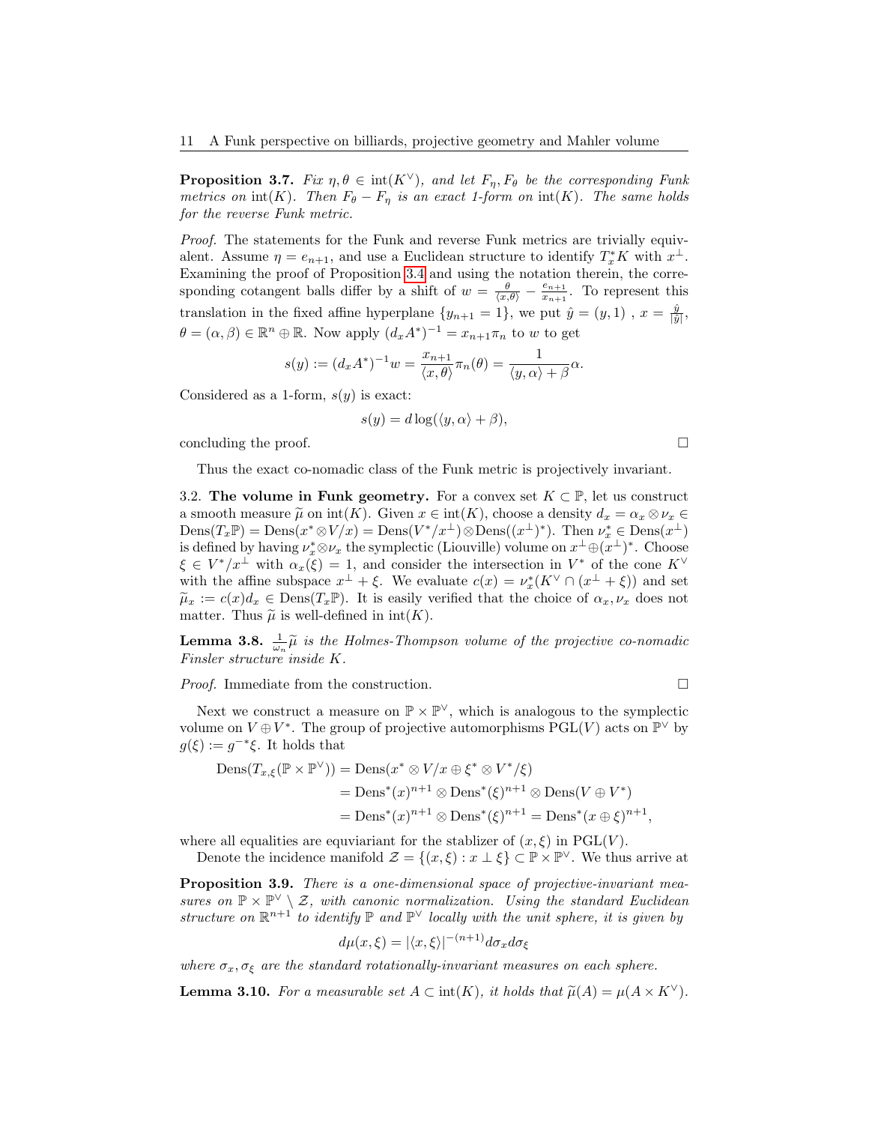<span id="page-10-3"></span>**Proposition 3.7.** Fix  $\eta, \theta \in \text{int}(K^{\vee})$ , and let  $F_n, F_{\theta}$  be the corresponding Funk metrics on  $\text{int}(K)$ . Then  $F_{\theta} - F_{\eta}$  is an exact 1-form on  $\text{int}(K)$ . The same holds for the reverse Funk metric.

Proof. The statements for the Funk and reverse Funk metrics are trivially equivalent. Assume  $\eta = e_{n+1}$ , and use a Euclidean structure to identify  $T_x^* K$  with  $x^{\perp}$ . Examining the proof of Proposition [3.4](#page-9-0) and using the notation therein, the corresponding cotangent balls differ by a shift of  $w = \frac{\theta}{\langle x, \theta \rangle} - \frac{e_{n+1}}{x_{n+1}}$  $\frac{e_{n+1}}{x_{n+1}}$ . To represent this translation in the fixed affine hyperplane  $\{y_{n+1} = 1\}$ , we put  $\hat{y} = (y, 1)$ ,  $x = \frac{\hat{y}}{|\hat{y}|}$ ,  $\theta = (\alpha, \beta) \in \mathbb{R}^n \oplus \mathbb{R}$ . Now apply  $(d_x A^*)^{-1} = x_{n+1} \pi_n$  to w to get

$$
s(y) := (d_x A^*)^{-1} w = \frac{x_{n+1}}{\langle x, \theta \rangle} \pi_n(\theta) = \frac{1}{\langle y, \alpha \rangle + \beta} \alpha.
$$

Considered as a 1-form,  $s(y)$  is exact:

$$
s(y) = d\log(\langle y, \alpha \rangle + \beta),
$$

concluding the proof.  $\Box$ 

Thus the exact co-nomadic class of the Funk metric is projectively invariant.

<span id="page-10-0"></span>3.2. The volume in Funk geometry. For a convex set  $K \subset \mathbb{P}$ , let us construct a smooth measure  $\tilde{\mu}$  on int(K). Given  $x \in \text{int}(K)$ , choose a density  $d_x = \alpha_x \otimes \nu_x \in$  $\text{Dens}(T_x \mathbb{P}) = \text{Dens}(x^* \otimes V/x) = \text{Dens}(V^*/x^{\perp}) \otimes \text{Dens}((x^{\perp})^*)$ . Then  $\nu_x^* \in \text{Dens}(x^{\perp})$ is defined by having  $\nu_x^* \otimes \nu_x$  the symplectic (Liouville) volume on  $x^{\perp} \oplus (x^{\perp})^*$ . Choose  $\xi \in V^*/x^{\perp}$  with  $\alpha_x(\xi) = 1$ , and consider the intersection in  $V^*$  of the cone  $K^{\vee}$ with the affine subspace  $x^{\perp} + \xi$ . We evaluate  $c(x) = \nu_x^*(K^{\vee} \cap (x^{\perp} + \xi))$  and set  $\tilde{\mu}_x := c(x)d_x \in \text{Dens}(T_x\mathbb{P})$ . It is easily verified that the choice of  $\alpha_x, \nu_x$  does not matter. Thus  $\tilde{\mu}$  is well-defined in  $int(K)$ .

<span id="page-10-1"></span>**Lemma 3.8.**  $\frac{1}{\omega_n} \tilde{\mu}$  is the Holmes-Thompson volume of the projective co-nomadic Einglan structure inside K Finsler structure inside K.

*Proof.* Immediate from the construction.  $\Box$ 

Next we construct a measure on  $\mathbb{P} \times \mathbb{P}^{\vee}$ , which is analogous to the symplectic volume on  $V \oplus V^*$ . The group of projective automorphisms  $PGL(V)$  acts on  $\mathbb{P}^{\vee}$  by  $g(\xi) := g^{-*}\xi$ . It holds that

$$
\begin{aligned} \text{Dens}(T_{x,\xi}(\mathbb{P} \times \mathbb{P}^{\vee})) &= \text{Dens}(x^* \otimes V/x \oplus \xi^* \otimes V^*/\xi) \\ &= \text{Dens}^*(x)^{n+1} \otimes \text{Dens}^*(\xi)^{n+1} \otimes \text{Dens}(V \oplus V^*) \\ &= \text{Dens}^*(x)^{n+1} \otimes \text{Dens}^*(\xi)^{n+1} = \text{Dens}^*(x \oplus \xi)^{n+1}, \end{aligned}
$$

where all equalities are equviariant for the stablizer of  $(x, \xi)$  in PGL(V).

Denote the incidence manifold  $\mathcal{Z} = \{(x, \xi) : x \perp \xi\} \subset \mathbb{P} \times \mathbb{P}^{\vee}$ . We thus arrive at

<span id="page-10-4"></span>**Proposition 3.9.** There is a one-dimensional space of projective-invariant measures on  $\mathbb{P} \times \mathbb{P}^{\vee} \setminus \mathcal{Z}$ , with canonic normalization. Using the standard Euclidean structure on  $\mathbb{R}^{n+1}$  to identify  $\mathbb{P}$  and  $\mathbb{P}^{\vee}$  locally with the unit sphere, it is given by

$$
d\mu(x,\xi) = |\langle x,\xi\rangle|^{-(n+1)} d\sigma_x d\sigma_\xi
$$

where  $\sigma_x, \sigma_{\xi}$  are the standard rotationally-invariant measures on each sphere.

<span id="page-10-2"></span>**Lemma 3.10.** For a measurable set  $A \subset \text{int}(K)$ , it holds that  $\tilde{\mu}(A) = \mu(A \times K^{\vee})$ .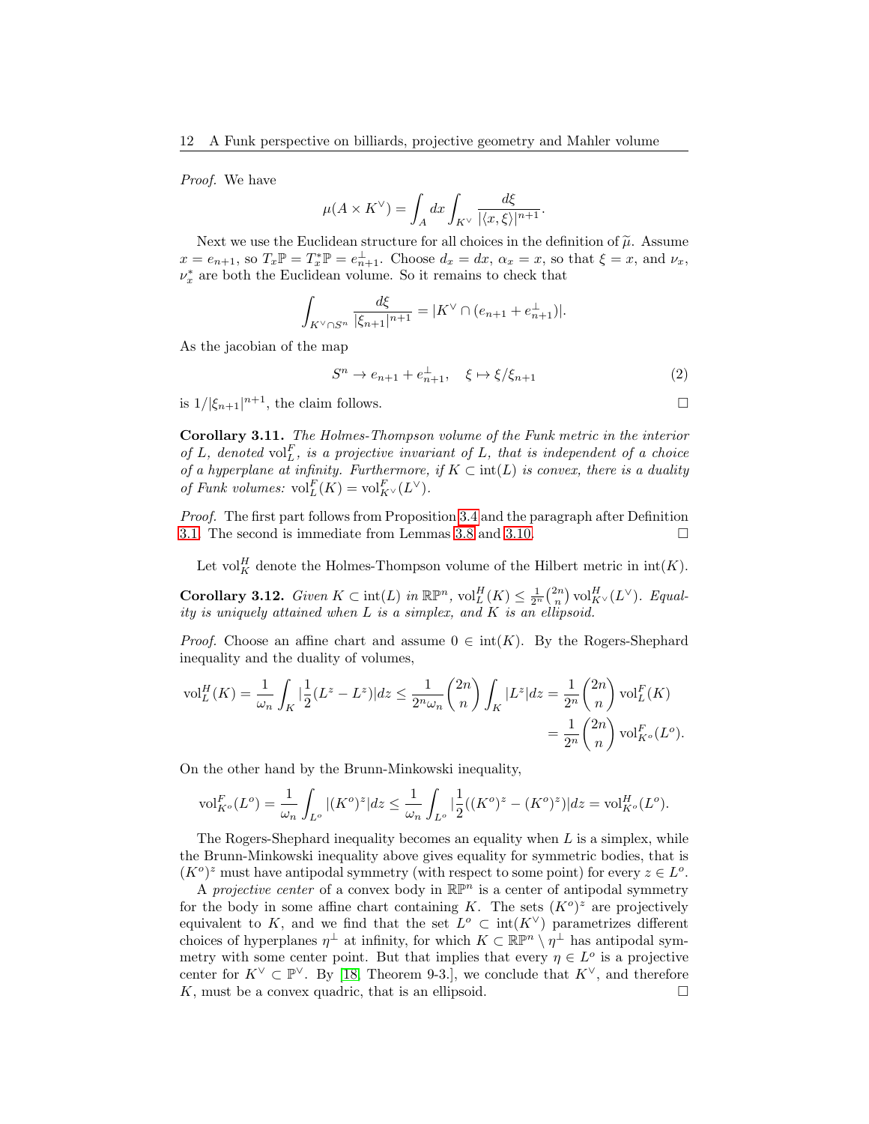Proof. We have

$$
\mu(A\times K^\vee)=\int_A dx\int_{K^\vee}\frac{d\xi}{|\langle x,\xi\rangle|^{n+1}}.
$$

Next we use the Euclidean structure for all choices in the definition of  $\tilde{\mu}$ . Assume  $x = e_{n+1}$ , so  $T_x \mathbb{P} = T_x^* \mathbb{P} = e_{n+1}^{\perp}$ . Choose  $d_x = dx$ ,  $\alpha_x = x$ , so that  $\xi = x$ , and  $\nu_x$ ,  $\nu_x^*$  are both the Euclidean volume. So it remains to check that

$$
\int_{K^{\vee} \cap S^{n}} \frac{d\xi}{|\xi_{n+1}|^{n+1}} = |K^{\vee} \cap (e_{n+1} + e_{n+1}^{\perp})|.
$$

As the jacobian of the map

$$
S^{n} \to e_{n+1} + e_{n+1}^{\perp}, \quad \xi \mapsto \xi/\xi_{n+1}
$$
 (2)

is  $1/|\xi_{n+1}|^{n+1}$ , the claim follows.

<span id="page-11-0"></span>Corollary 3.11. The Holmes-Thompson volume of the Funk metric in the interior of L, denoted  $vol_L^F$ , is a projective invariant of L, that is independent of a choice of a hyperplane at infinity. Furthermore, if  $K \subset \text{int}(L)$  is convex, there is a duality of Funk volumes:  $\mathrm{vol}_{L}^{F}(K) = \mathrm{vol}_{K^{\vee}}^{F}(L^{\vee}).$ 

Proof. The first part follows from Proposition [3.4](#page-9-0) and the paragraph after Definition [3.1.](#page-8-0) The second is immediate from Lemmas [3.8](#page-10-1) and [3.10.](#page-10-2)

Let vol<sup>H</sup><sub>K</sub> denote the Holmes-Thompson volume of the Hilbert metric in  $int(K)$ .

<span id="page-11-1"></span>Corollary 3.12. Given  $K \subset \text{int}(L)$  in  $\mathbb{R}\mathbb{P}^n$ ,  $\text{vol}_L^H(K) \leq \frac{1}{2^n} {2n \choose n} \text{vol}_{K^\vee}^H(L^\vee)$ . Equality is uniquely attained when L is a simplex, and K is an ellipsoid.

*Proof.* Choose an affine chart and assume  $0 \in \text{int}(K)$ . By the Rogers-Shephard inequality and the duality of volumes,

$$
\text{vol}_{L}^{H}(K) = \frac{1}{\omega_{n}} \int_{K} \left| \frac{1}{2} (L^{z} - L^{z}) \right| dz \leq \frac{1}{2^{n} \omega_{n}} {2n \choose n} \int_{K} |L^{z}| dz = \frac{1}{2^{n}} {2n \choose n} \text{vol}_{L}^{F}(K)
$$

$$
= \frac{1}{2^{n}} {2n \choose n} \text{vol}_{K^{o}}^{F}(L^{o}).
$$

On the other hand by the Brunn-Minkowski inequality,

$$
\text{vol}_{K^o}^F(L^o) = \frac{1}{\omega_n} \int_{L^o} |(K^o)^z| dz \le \frac{1}{\omega_n} \int_{L^o} \left| \frac{1}{2} ((K^o)^z - (K^o)^z) \right| dz = \text{vol}_{K^o}^H(L^o).
$$

The Rogers-Shephard inequality becomes an equality when  $L$  is a simplex, while the Brunn-Minkowski inequality above gives equality for symmetric bodies, that is  $(K^o)^z$  must have antipodal symmetry (with respect to some point) for every  $z \in L^o$ .

A projective center of a convex body in  $\mathbb{R}\mathbb{P}^n$  is a center of antipodal symmetry for the body in some affine chart containing K. The sets  $(K^o)^z$  are projectively equivalent to K, and we find that the set  $L^{\circ} \subset \text{int}(K^{\vee})$  parametrizes different choices of hyperplanes  $\eta^{\perp}$  at infinity, for which  $K \subset \mathbb{R}^n \setminus \eta^{\perp}$  has antipodal symmetry with some center point. But that implies that every  $\eta \in L^{\circ}$  is a projective center for  $K^{\vee} \subset \mathbb{P}^{\vee}$ . By [\[18,](#page-41-19) Theorem 9-3.], we conclude that  $K^{\vee}$ , and therefore  $K$ , must be a convex quadric, that is an ellipsoid.  $\square$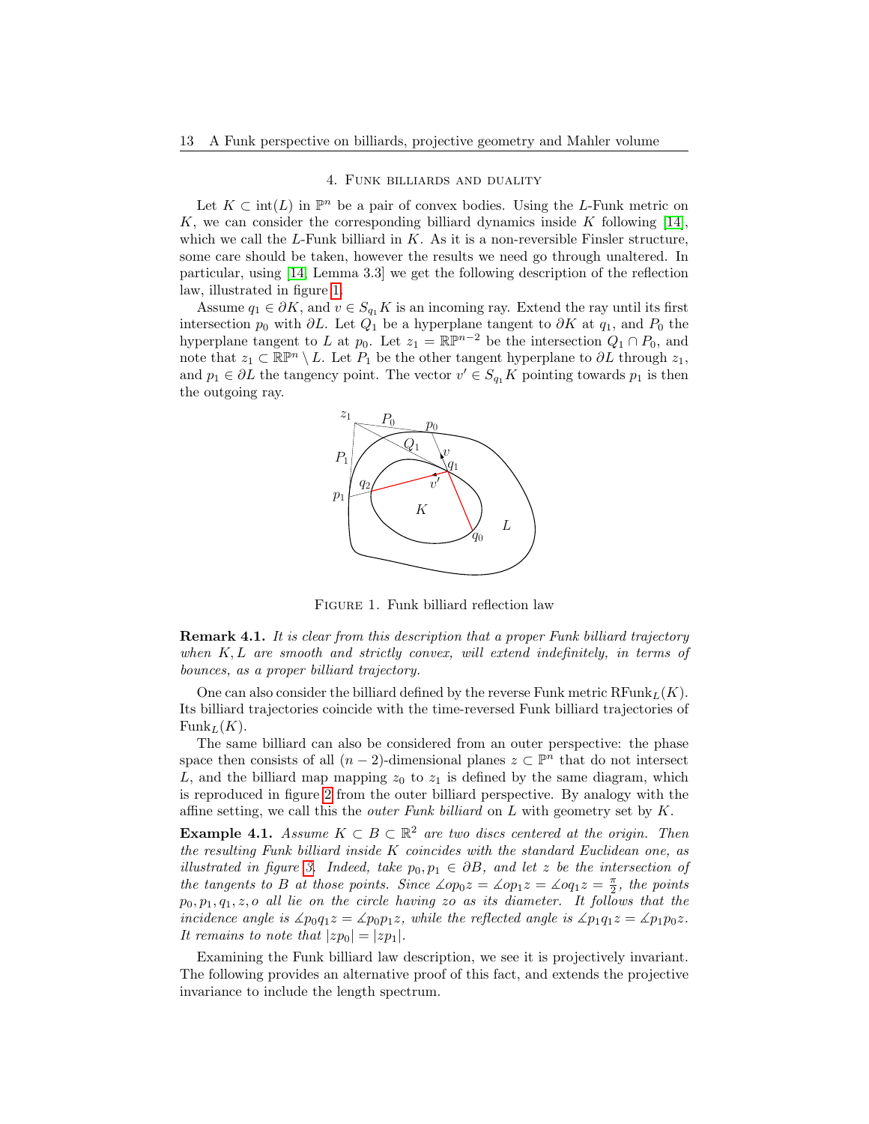## 4. Funk billiards and duality

<span id="page-12-0"></span>Let  $K \subset \text{int}(L)$  in  $\mathbb{P}^n$  be a pair of convex bodies. Using the L-Funk metric on K, we can consider the corresponding billiard dynamics inside K following  $[14]$ , which we call the  $L$ -Funk billiard in  $K$ . As it is a non-reversible Finsler structure, some care should be taken, however the results we need go through unaltered. In particular, using [\[14,](#page-41-3) Lemma 3.3] we get the following description of the reflection law, illustrated in figure [1.](#page-12-1)

Assume  $q_1 \in \partial K$ , and  $v \in S_{q_1} K$  is an incoming ray. Extend the ray until its first intersection  $p_0$  with ∂L. Let  $Q_1$  be a hyperplane tangent to  $\partial K$  at  $q_1$ , and  $P_0$  the hyperplane tangent to L at  $p_0$ . Let  $z_1 = \mathbb{RP}^{n-2}$  be the intersection  $Q_1 \cap P_0$ , and note that  $z_1 \subset \mathbb{R}\mathbb{P}^n \setminus L$ . Let  $P_1$  be the other tangent hyperplane to  $\partial L$  through  $z_1$ , and  $p_1 \in \partial L$  the tangency point. The vector  $v' \in S_{q_1}K$  pointing towards  $p_1$  is then the outgoing ray.



<span id="page-12-1"></span>FIGURE 1. Funk billiard reflection law

<span id="page-12-2"></span>**Remark 4.1.** It is clear from this description that a proper Funk billiard trajectory when  $K, L$  are smooth and strictly convex, will extend indefinitely, in terms of bounces, as a proper billiard trajectory.

One can also consider the billiard defined by the reverse Funk metric  $\text{RFunk}_L(K)$ . Its billiard trajectories coincide with the time-reversed Funk billiard trajectories of  $\text{Funk}_L(K)$ .

The same billiard can also be considered from an outer perspective: the phase space then consists of all  $(n-2)$ -dimensional planes  $z \subset \mathbb{P}^n$  that do not intersect L, and the billiard map mapping  $z_0$  to  $z_1$  is defined by the same diagram, which is reproduced in figure [2](#page-13-0) from the outer billiard perspective. By analogy with the affine setting, we call this the *outer Funk billiard* on  $L$  with geometry set by  $K$ .

**Example 4.1.** Assume  $K \subset B \subset \mathbb{R}^2$  are two discs centered at the origin. Then the resulting Funk billiard inside K coincides with the standard Euclidean one, as illustrated in figure [3.](#page-13-1) Indeed, take  $p_0, p_1 \in \partial B$ , and let z be the intersection of the tangents to B at those points. Since  $\angle op_0z = \angle op_1z = \angle oq_1z = \frac{\pi}{2}$ , the points  $p_0, p_1, q_1, z, o$  all lie on the circle having zo as its diameter. It follows that the incidence angle is  $\angle p_0q_1z = \angle p_0p_1z$ , while the reflected angle is  $\angle p_1q_1z = \angle p_1p_0z$ . It remains to note that  $|zp_0| = |zp_1|$ .

Examining the Funk billiard law description, we see it is projectively invariant. The following provides an alternative proof of this fact, and extends the projective invariance to include the length spectrum.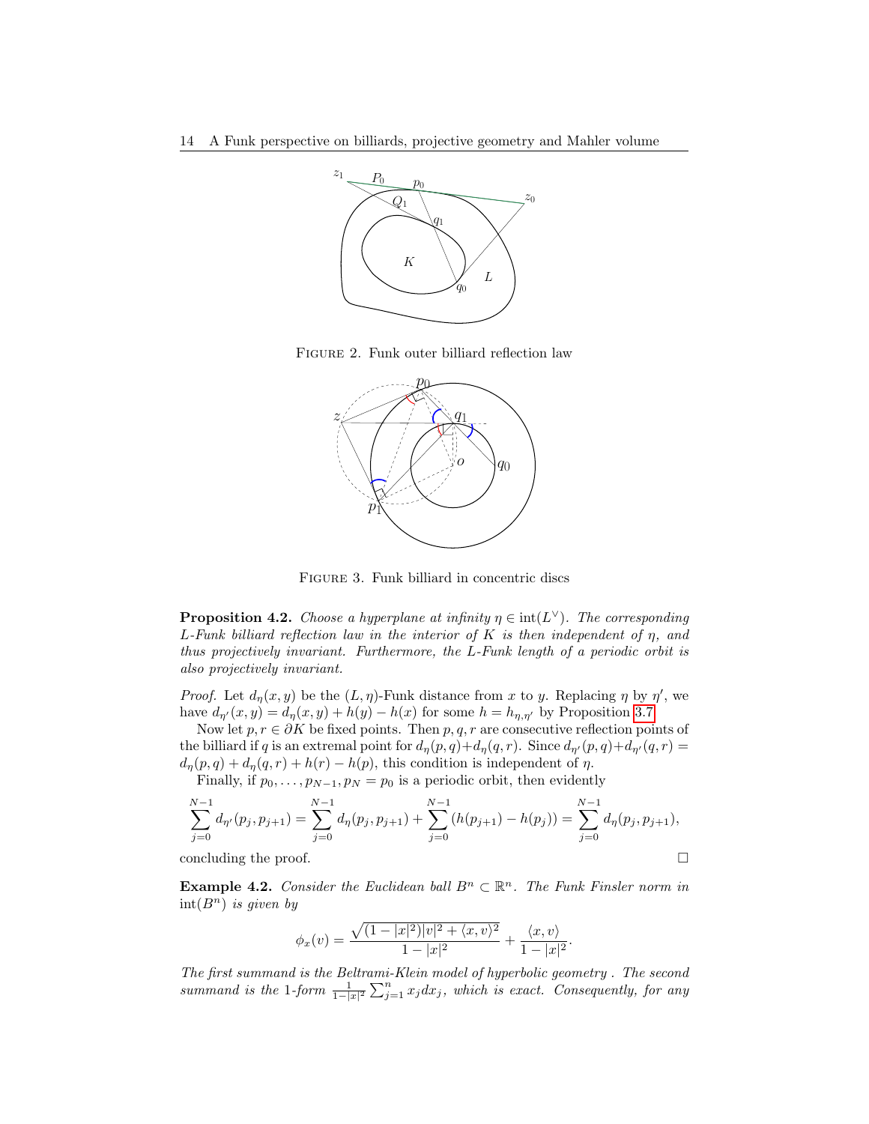

Figure 2. Funk outer billiard reflection law

<span id="page-13-0"></span>

<span id="page-13-1"></span>Figure 3. Funk billiard in concentric discs

<span id="page-13-2"></span>**Proposition 4.2.** Choose a hyperplane at infinity  $\eta \in \text{int}(L^{\vee})$ . The corresponding L-Funk billiard reflection law in the interior of K is then independent of  $\eta$ , and thus projectively invariant. Furthermore, the L-Funk length of a periodic orbit is also projectively invariant.

*Proof.* Let  $d_{\eta}(x, y)$  be the  $(L, \eta)$ -Funk distance from x to y. Replacing  $\eta$  by  $\eta'$ , we have  $d_{\eta}(x, y) = d_{\eta}(x, y) + h(y) - h(x)$  for some  $h = h_{\eta, \eta'}$  by Proposition [3.7.](#page-10-3)

Now let  $p, r \in \partial K$  be fixed points. Then  $p, q, r$  are consecutive reflection points of the billiard if q is an extremal point for  $d_{\eta}(p, q)+d_{\eta}(q, r)$ . Since  $d_{\eta}(p, q)+d_{\eta}(q, r) =$  $d_{\eta}(p,q) + d_{\eta}(q,r) + h(r) - h(p)$ , this condition is independent of  $\eta$ .

Finally, if  $p_0, \ldots, p_{N-1}, p_N = p_0$  is a periodic orbit, then evidently

$$
\sum_{j=0}^{N-1} d_{\eta'}(p_j, p_{j+1}) = \sum_{j=0}^{N-1} d_{\eta}(p_j, p_{j+1}) + \sum_{j=0}^{N-1} (h(p_{j+1}) - h(p_j)) = \sum_{j=0}^{N-1} d_{\eta}(p_j, p_{j+1}),
$$

concluding the proof.

<span id="page-13-3"></span>**Example 4.2.** Consider the Euclidean ball  $B<sup>n</sup> \subset \mathbb{R}<sup>n</sup>$ . The Funk Finsler norm in  $int(B^n)$  is given by

$$
\phi_x(v) = \frac{\sqrt{(1-|x|^2)|v|^2 + \langle x, v \rangle^2}}{1-|x|^2} + \frac{\langle x, v \rangle}{1-|x|^2}.
$$

The first summand is the Beltrami-Klein model of hyperbolic geometry . The second summand is the 1-form  $\frac{1}{1-|x|^2}\sum_{j=1}^n x_j dx_j$ , which is exact. Consequently, for any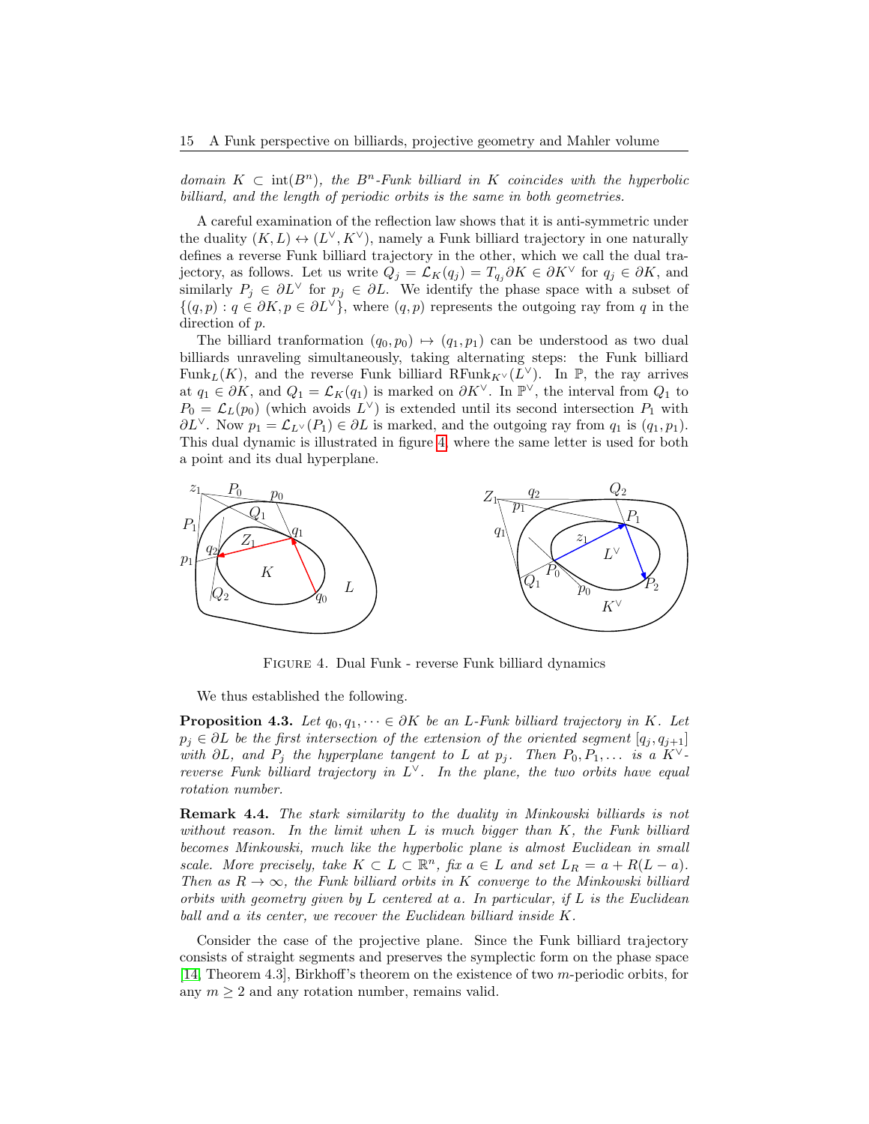domain  $K \subset \text{int}(B^n)$ , the  $B^n$ -Funk billiard in K coincides with the hyperbolic billiard, and the length of periodic orbits is the same in both geometries.

A careful examination of the reflection law shows that it is anti-symmetric under the duality  $(K, L) \leftrightarrow (L^{\vee}, K^{\vee})$ , namely a Funk billiard trajectory in one naturally defines a reverse Funk billiard trajectory in the other, which we call the dual trajectory, as follows. Let us write  $Q_j = \mathcal{L}_K(q_j) = T_{q_j} \partial K \in \partial K^\vee$  for  $q_j \in \partial K$ , and similarly  $P_j \in \partial L^\vee$  for  $p_j \in \partial L$ . We identify the phase space with a subset of  $\{(q,p): q \in \partial K, p \in \partial L^{\vee}\}\,$ , where  $(q,p)$  represents the outgoing ray from q in the direction of p.

The billiard tranformation  $(q_0, p_0) \mapsto (q_1, p_1)$  can be understood as two dual billiards unraveling simultaneously, taking alternating steps: the Funk billiard Funk<sub>L</sub>(K), and the reverse Funk billiard RFunk<sub>K</sub> $\vee$ (L<sup> $\vee$ </sup>). In P, the ray arrives at  $q_1 \in \partial K$ , and  $Q_1 = \mathcal{L}_K(q_1)$  is marked on  $\partial K^{\vee}$ . In  $\mathbb{P}^{\vee}$ , the interval from  $Q_1$  to  $P_0 = \mathcal{L}_L(p_0)$  (which avoids  $L^{\vee}$ ) is extended until its second intersection  $P_1$  with  $\partial L^{\vee}$ . Now  $p_1 = \mathcal{L}_{L^{\vee}}(P_1) \in \partial L$  is marked, and the outgoing ray from  $q_1$  is  $(q_1, p_1)$ . This dual dynamic is illustrated in figure [4,](#page-14-0) where the same letter is used for both a point and its dual hyperplane.



<span id="page-14-0"></span>Figure 4. Dual Funk - reverse Funk billiard dynamics

We thus established the following.

<span id="page-14-1"></span>**Proposition 4.3.** Let  $q_0, q_1, \dots \in \partial K$  be an L-Funk billiard trajectory in K. Let  $p_j \in \partial L$  be the first intersection of the extension of the oriented segment  $[q_j, q_{j+1}]$ with  $\partial L$ , and  $P_j$  the hyperplane tangent to L at  $p_j$ . Then  $P_0, P_1, \ldots$  is a  $K^{\vee}$ reverse Funk billiard trajectory in  $L^{\vee}$ . In the plane, the two orbits have equal rotation number.

Remark 4.4. The stark similarity to the duality in Minkowski billiards is not without reason. In the limit when  $L$  is much bigger than  $K$ , the Funk billiard becomes Minkowski, much like the hyperbolic plane is almost Euclidean in small scale. More precisely, take  $K \subset L \subset \mathbb{R}^n$ , fix  $a \in L$  and set  $L_R = a + R(L - a)$ . Then as  $R \to \infty$ , the Funk billiard orbits in K converge to the Minkowski billiard orbits with geometry given by L centered at a. In particular, if  $L$  is the Euclidean ball and a its center, we recover the Euclidean billiard inside K.

Consider the case of the projective plane. Since the Funk billiard trajectory consists of straight segments and preserves the symplectic form on the phase space [\[14,](#page-41-3) Theorem 4.3], Birkhoff's theorem on the existence of two m-periodic orbits, for any  $m \geq 2$  and any rotation number, remains valid.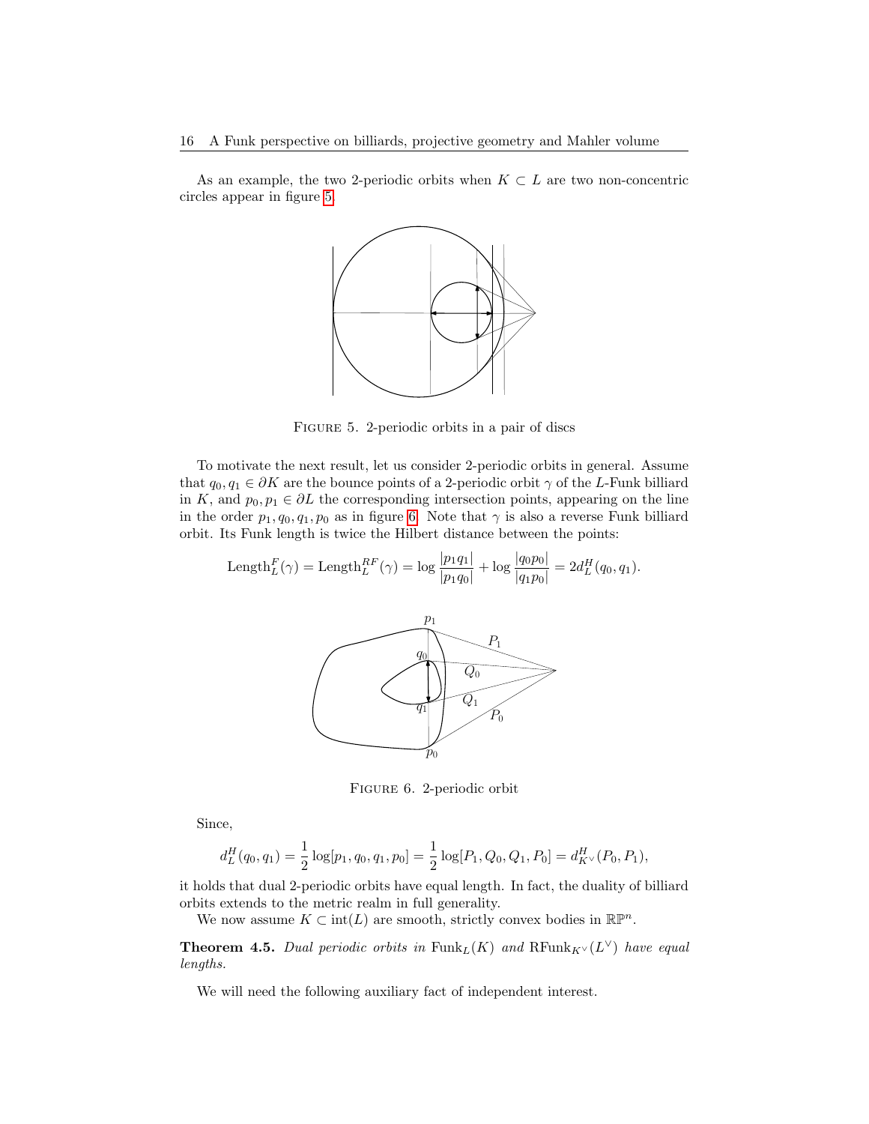As an example, the two 2-periodic orbits when  $K \subset L$  are two non-concentric circles appear in figure [5.](#page-15-0)



<span id="page-15-0"></span>Figure 5. 2-periodic orbits in a pair of discs

To motivate the next result, let us consider 2-periodic orbits in general. Assume that  $q_0, q_1 \in \partial K$  are the bounce points of a 2-periodic orbit  $\gamma$  of the L-Funk billiard in K, and  $p_0, p_1 \in \partial L$  the corresponding intersection points, appearing on the line in the order  $p_1, q_0, q_1, p_0$  as in figure [6.](#page-15-1) Note that  $\gamma$  is also a reverse Funk billiard orbit. Its Funk length is twice the Hilbert distance between the points:

Length<sub>L</sub><sup>F</sup>(
$$
\gamma
$$
) = Length<sub>L</sub><sup>RF</sup>( $\gamma$ ) = log  $\frac{|p_1 q_1|}{|p_1 q_0|}$  + log  $\frac{|q_0 p_0|}{|q_1 p_0|}$  = 2d<sub>L</sub><sup>H</sup>(q<sub>0</sub>, q<sub>1</sub>).



<span id="page-15-1"></span>Figure 6. 2-periodic orbit

Since,

$$
d_L^H(q_0, q_1) = \frac{1}{2} \log[p_1, q_0, q_1, p_0] = \frac{1}{2} \log[P_1, Q_0, Q_1, P_0] = d_{K^\vee}^H(P_0, P_1),
$$

it holds that dual 2-periodic orbits have equal length. In fact, the duality of billiard orbits extends to the metric realm in full generality.

We now assume  $K \subset \text{int}(L)$  are smooth, strictly convex bodies in  $\mathbb{R}\mathbb{P}^n$ .

<span id="page-15-2"></span>**Theorem 4.5.** Dual periodic orbits in  $\text{Funk}_L(K)$  and  $\text{RFunk}_{K} \vee (L^{\vee})$  have equal lengths.

We will need the following auxiliary fact of independent interest.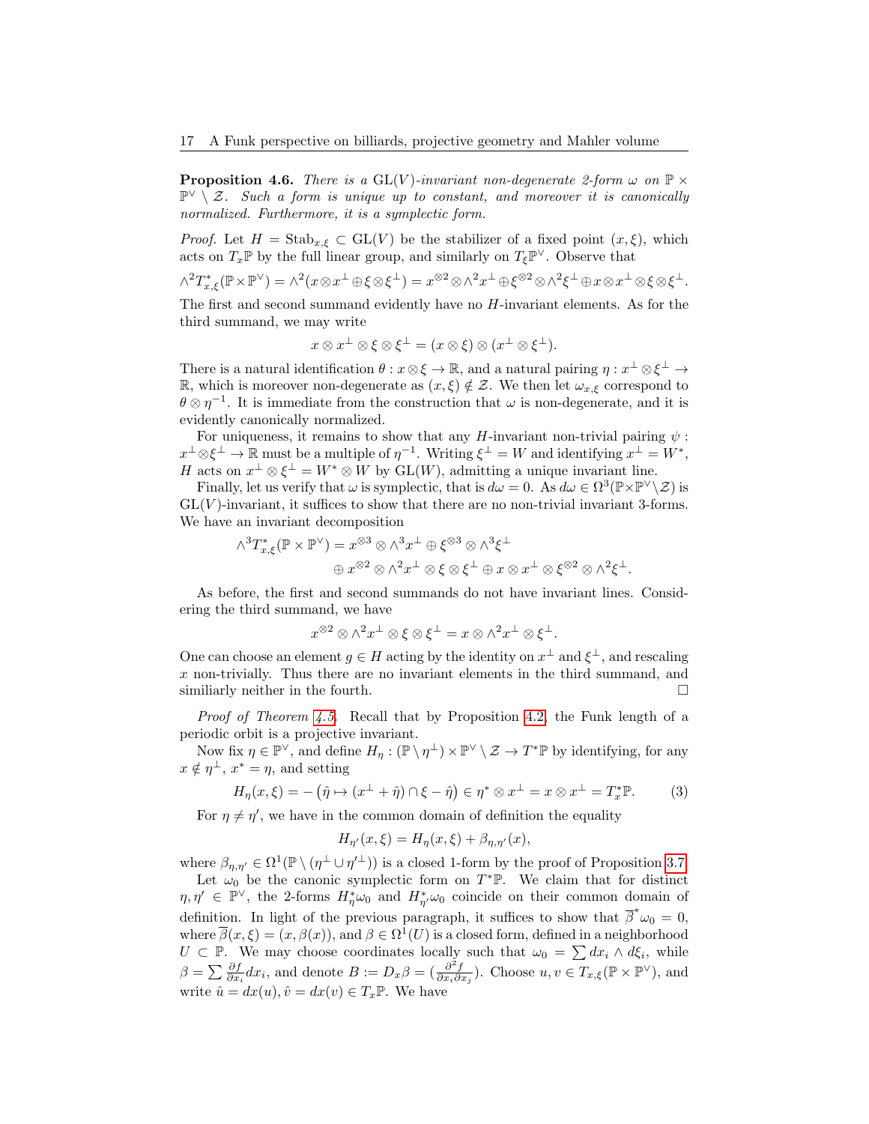<span id="page-16-0"></span>**Proposition 4.6.** There is a  $GL(V)$ -invariant non-degenerate 2-form  $\omega$  on  $\mathbb{P} \times$  $\mathbb{P}^{\vee} \setminus \mathcal{Z}$ . Such a form is unique up to constant, and moreover it is canonically normalized. Furthermore, it is a symplectic form.

*Proof.* Let  $H = \text{Stab}_{x,\xi} \subset GL(V)$  be the stabilizer of a fixed point  $(x,\xi)$ , which acts on  $T_x \mathbb{P}$  by the full linear group, and similarly on  $T_\xi \mathbb{P}^\vee$ . Observe that

$$
\wedge^2 T_{x,\xi}^* (\mathbb{P} \times \mathbb{P}^{\vee}) = \wedge^2 (x \otimes x^{\perp} \oplus \xi \otimes \xi^{\perp}) = x^{\otimes 2} \otimes \wedge^2 x^{\perp} \oplus \xi^{\otimes 2} \otimes \wedge^2 \xi^{\perp} \oplus x \otimes x^{\perp} \otimes \xi \otimes \xi^{\perp}.
$$

The first and second summand evidently have no H-invariant elements. As for the third summand, we may write

$$
x\otimes x^{\perp}\otimes \xi \otimes \xi^{\perp}=(x\otimes \xi)\otimes (x^{\perp}\otimes \xi^{\perp}).
$$

There is a natural identification  $\theta: x \otimes \xi \to \mathbb{R}$ , and a natural pairing  $\eta: x^{\perp} \otimes \xi^{\perp} \to$ R, which is moreover non-degenerate as  $(x, \xi) \notin \mathcal{Z}$ . We then let  $\omega_{x,\xi}$  correspond to  $\theta \otimes \eta^{-1}$ . It is immediate from the construction that  $\omega$  is non-degenerate, and it is evidently canonically normalized.

For uniqueness, it remains to show that any H-invariant non-trivial pairing  $\psi$ :  $x^{\perp} \otimes \xi^{\perp} \to \mathbb{R}$  must be a multiple of  $\eta^{-1}$ . Writing  $\xi^{\perp} = W$  and identifying  $x^{\perp} = W^*$ , H acts on  $x^{\perp} \otimes \xi^{\perp} = W^* \otimes W$  by  $GL(W)$ , admitting a unique invariant line.

Finally, let us verify that  $\omega$  is symplectic, that is  $d\omega = 0$ . As  $d\omega \in \Omega^3(\mathbb{P} \times \mathbb{P}^{\vee} \setminus \mathcal{Z})$  is  $GL(V)$ -invariant, it suffices to show that there are no non-trivial invariant 3-forms. We have an invariant decomposition

$$
\begin{aligned} \wedge^3 T_{x,\xi}^* ( \mathbb{P} \times \mathbb{P}^{\vee} ) = x^{\otimes 3} \otimes \wedge^3 x^{\perp} \oplus \xi^{\otimes 3} \otimes \wedge^3 \xi^{\perp} \\ \oplus \, x^{\otimes 2} \otimes \wedge^2 x^{\perp} \otimes \xi \otimes \xi^{\perp} \oplus x \otimes x^{\perp} \otimes \xi^{\otimes 2} \otimes \wedge^2 \xi^{\perp}. \end{aligned}
$$

As before, the first and second summands do not have invariant lines. Considering the third summand, we have

$$
x^{\otimes 2}\otimes \wedge^2 x^\perp\otimes \xi\otimes \xi^\perp = x\otimes \wedge^2 x^\perp\otimes \xi^\perp.
$$

One can choose an element  $g \in H$  acting by the identity on  $x^{\perp}$  and  $\xi^{\perp}$ , and rescaling x non-trivially. Thus there are no invariant elements in the third summand, and similiarly neither in the fourth.  $\Box$ 

Proof of Theorem [4.5.](#page-15-2) Recall that by Proposition [4.2,](#page-13-2) the Funk length of a periodic orbit is a projective invariant.

Now fix  $\eta \in \mathbb{P}^{\vee}$ , and define  $H_{\eta}: (\mathbb{P} \setminus \eta^{\perp}) \times \mathbb{P}^{\vee} \setminus \mathcal{Z} \to T^* \mathbb{P}$  by identifying, for any  $x \notin \eta^{\perp}, x^* = \eta$ , and setting

<span id="page-16-1"></span>
$$
H_{\eta}(x,\xi) = -(\hat{\eta} \mapsto (x^{\perp} + \hat{\eta}) \cap \xi - \hat{\eta}) \in \eta^* \otimes x^{\perp} = x \otimes x^{\perp} = T_x^* \mathbb{P}.
$$
 (3)

For  $\eta \neq \eta'$ , we have in the common domain of definition the equality

$$
H_{\eta'}(x,\xi) = H_{\eta}(x,\xi) + \beta_{\eta,\eta'}(x),
$$

where  $\beta_{\eta,\eta'} \in \Omega^1(\mathbb{P} \setminus (\eta^{\perp} \cup \eta'^{\perp}))$  is a closed 1-form by the proof of Proposition [3.7.](#page-10-3)

Let  $\omega_0$  be the canonic symplectic form on  $T^*\mathbb{P}$ . We claim that for distinct  $\eta, \eta' \in \mathbb{P}^{\vee}$ , the 2-forms  $H^*_{\eta}\omega_0$  and  $H^*_{\eta'}\omega_0$  coincide on their common domain of definition. In light of the previous paragraph, it suffices to show that  $\overline{\beta}^* \omega_0 = 0$ , where  $\overline{\beta}(x,\xi) = (x,\beta(x))$ , and  $\beta \in \Omega^1(U)$  is a closed form, defined in a neighborhood  $U \subset \mathbb{P}$ . We may choose coordinates locally such that  $\omega_0 = \sum dx_i \wedge d\xi_i$ , while  $\beta = \sum \frac{\partial f}{\partial x_i} dx_i$ , and denote  $B := D_x \beta = (\frac{\partial^2 f}{\partial x_i \partial x_j})$ . Choose  $u, v \in T_{x, \xi}(\mathbb{P} \times \mathbb{P}^{\vee})$ , and write  $\hat{u} = dx(u), \hat{v} = dx(v) \in T_x \mathbb{P}$ . We have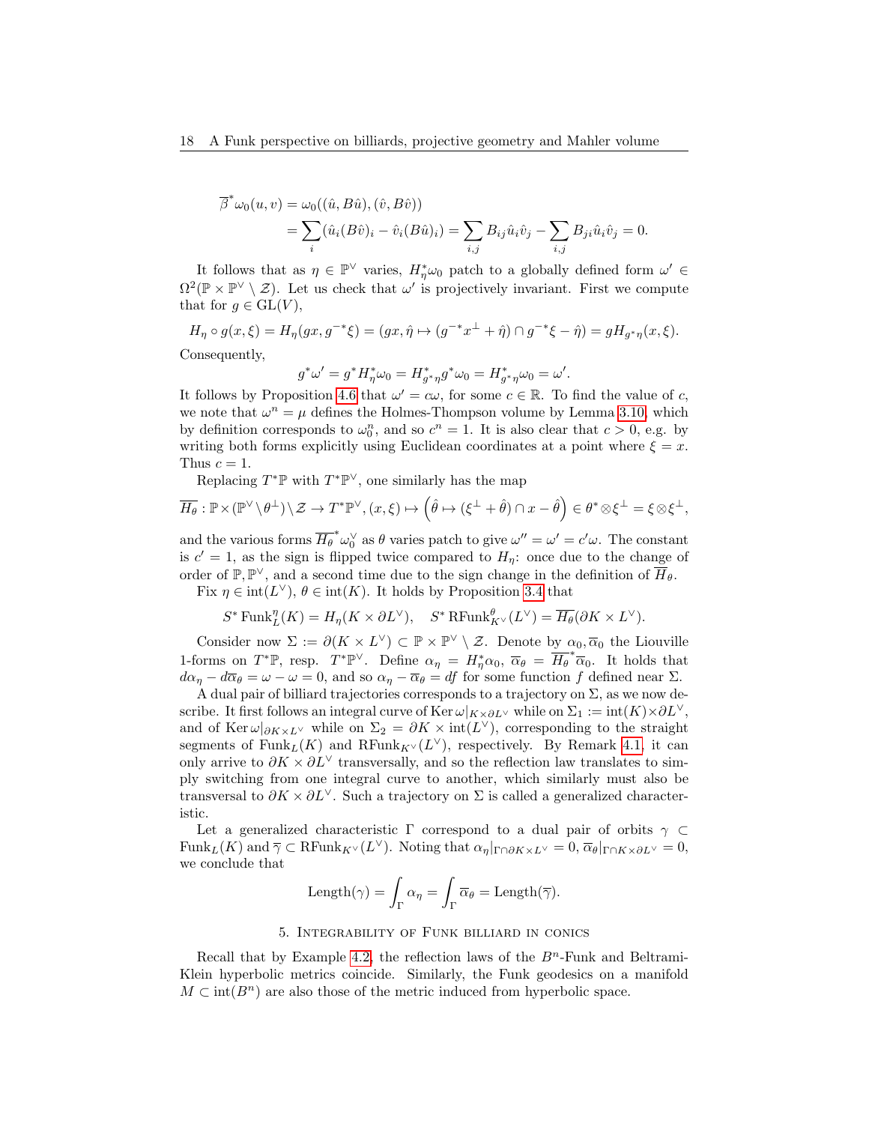$$
\overline{\beta}^* \omega_0(u, v) = \omega_0((\hat{u}, B\hat{u}), (\hat{v}, B\hat{v})) \n= \sum_i (\hat{u}_i(B\hat{v})_i - \hat{v}_i(B\hat{u})_i) = \sum_{i,j} B_{ij} \hat{u}_i \hat{v}_j - \sum_{i,j} B_{ji} \hat{u}_i \hat{v}_j = 0.
$$

It follows that as  $\eta \in \mathbb{P}^{\vee}$  varies,  $H_{\eta}^* \omega_0$  patch to a globally defined form  $\omega' \in$  $\Omega^2(\mathbb{P} \times \mathbb{P}^{\vee} \setminus \mathcal{Z})$ . Let us check that  $\omega'$  is projectively invariant. First we compute that for  $g \in GL(V)$ ,

$$
H_{\eta} \circ g(x,\xi) = H_{\eta}(gx, g^{-*}\xi) = (gx, \hat{\eta} \mapsto (g^{-*}x^{\perp} + \hat{\eta}) \cap g^{-*}\xi - \hat{\eta}) = gH_{g^{*}\eta}(x,\xi).
$$
  
Consequently,

$$
g^*\omega' = g^*H_{\eta}^*\omega_0 = H_{g^*\eta}^*g^*\omega_0 = H_{g^*\eta}^*\omega_0 = \omega'.
$$

It follows by Proposition [4.6](#page-16-0) that  $\omega' = c\omega$ , for some  $c \in \mathbb{R}$ . To find the value of c, we note that  $\omega^n = \mu$  defines the Holmes-Thompson volume by Lemma [3.10,](#page-10-2) which by definition corresponds to  $\omega_0^n$ , and so  $c^n = 1$ . It is also clear that  $c > 0$ , e.g. by writing both forms explicitly using Euclidean coordinates at a point where  $\xi = x$ . Thus  $c = 1$ .

Replacing  $T^*\mathbb{P}$  with  $T^*\mathbb{P}^{\vee}$ , one similarly has the map

$$
\overline{H_{\theta}} : \mathbb{P} \times (\mathbb{P}^{\vee} \setminus \theta^{\perp}) \setminus \mathcal{Z} \to T^* \mathbb{P}^{\vee}, (x, \xi) \mapsto (\hat{\theta} \mapsto (\xi^{\perp} + \hat{\theta}) \cap x - \hat{\theta}) \in \theta^* \otimes \xi^{\perp} = \xi \otimes \xi^{\perp},
$$

and the various forms  $\overline{H_{\theta}}^* \omega_0^{\vee}$  as  $\theta$  varies patch to give  $\omega'' = \omega' = c'\omega$ . The constant is  $c' = 1$ , as the sign is flipped twice compared to  $H_{\eta}$ : once due to the change of order of  $\mathbb{P}, \mathbb{P}^{\vee}$ , and a second time due to the sign change in the definition of  $\overline{H}_{\theta}$ .

Fix  $\eta \in \text{int}(L^{\vee}), \theta \in \text{int}(K)$ . It holds by Proposition [3.4](#page-9-0) that

$$
S^* \operatorname{Funk}^{\eta}_L(K) = H_{\eta}(K \times \partial L^{\vee}), \quad S^* \operatorname{RFunk}^{\theta}_{K^{\vee}}(L^{\vee}) = \overline{H_{\theta}}(\partial K \times L^{\vee}).
$$

Consider now  $\Sigma := \partial (K \times L^{\vee}) \subset \mathbb{P} \times \mathbb{P}^{\vee} \setminus \mathcal{Z}$ . Denote by  $\alpha_0, \overline{\alpha}_0$  the Liouville 1-forms on  $T^*\mathbb{P}$ , resp.  $T^*\mathbb{P}^\vee$ . Define  $\alpha_\eta = H^*_\eta \alpha_0$ ,  $\overline{\alpha_\theta} = \overline{H^*_\theta}^* \overline{\alpha_0}$ . It holds that  $d\alpha_{\eta} - d\overline{\alpha}_{\theta} = \omega - \omega = 0$ , and so  $\alpha_{\eta} - \overline{\alpha}_{\theta} = df$  for some function f defined near  $\Sigma$ .

A dual pair of billiard trajectories corresponds to a trajectory on  $\Sigma$ , as we now describe. It first follows an integral curve of Ker  $\omega|_{K\times\partial L^{\vee}}$  while on  $\Sigma_1 := \text{int}(K)\times\partial L^{\vee}$ , and of Ker  $\omega|_{\partial K \times L^{\vee}}$  while on  $\Sigma_2 = \partial K \times \text{int}(L^{\vee})$ , corresponding to the straight segments of  $Funk_L(K)$  and  $RFunk_{K}((L^{\vee})$ , respectively. By Remark [4.1,](#page-12-2) it can only arrive to  $\partial K \times \partial L^{\vee}$  transversally, and so the reflection law translates to simply switching from one integral curve to another, which similarly must also be transversal to  $\partial K \times \partial L^{\vee}$ . Such a trajectory on  $\Sigma$  is called a generalized characteristic.

Let a generalized characteristic Γ correspond to a dual pair of orbits  $\gamma \subset$ Funk<sub>L</sub>(K) and  $\overline{\gamma} \subset \text{RFunk}_{K}(\mathcal{L}^{\vee})$ . Noting that  $\alpha_{\eta}|_{\Gamma \cap \partial K \times L^{\vee}} = 0$ ,  $\overline{\alpha}_{\theta}|_{\Gamma \cap K \times \partial L^{\vee}} = 0$ , we conclude that

Length(
$$
\gamma
$$
) =  $\int_{\Gamma} \alpha_{\eta} = \int_{\Gamma} \overline{\alpha}_{\theta} = \text{Length}(\overline{\gamma}).$ 

#### 5. Integrability of Funk billiard in conics

<span id="page-17-0"></span>Recall that by Example [4.2,](#page-13-3) the reflection laws of the  $B<sup>n</sup>$ -Funk and Beltrami-Klein hyperbolic metrics coincide. Similarly, the Funk geodesics on a manifold  $M \subset \text{int}(B^n)$  are also those of the metric induced from hyperbolic space.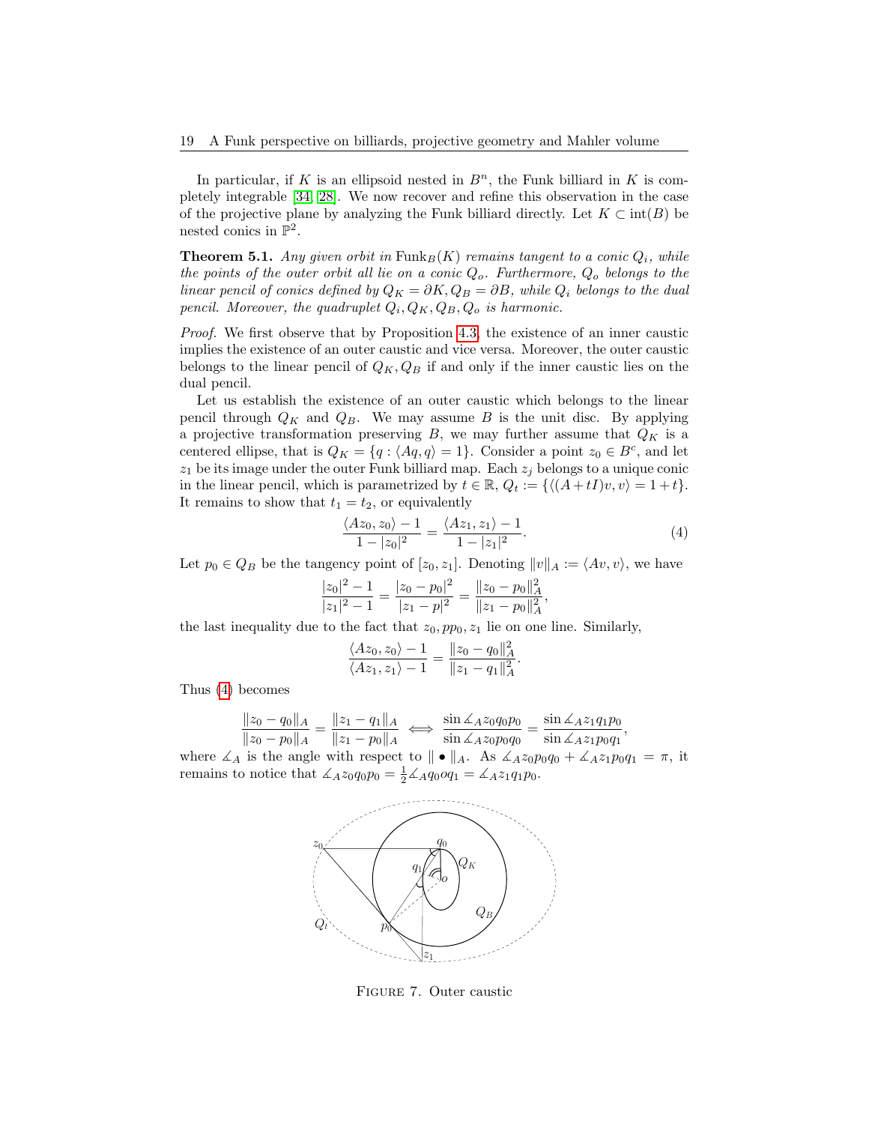In particular, if K is an ellipsoid nested in  $B<sup>n</sup>$ , the Funk billiard in K is completely integrable [\[34,](#page-41-7) [28\]](#page-41-20). We now recover and refine this observation in the case of the projective plane by analyzing the Funk billiard directly. Let  $K \subset \text{int}(B)$  be nested conics in  $\mathbb{P}^2$ .

**Theorem 5.1.** Any given orbit in  $\text{Funk}_B(K)$  remains tangent to a conic  $Q_i$ , while the points of the outer orbit all lie on a conic  $Q_o$ . Furthermore,  $Q_o$  belongs to the linear pencil of conics defined by  $Q_K = \partial K$ ,  $Q_B = \partial B$ , while  $Q_i$  belongs to the dual pencil. Moreover, the quadruplet  $Q_i, Q_K, Q_B, Q_o$  is harmonic.

Proof. We first observe that by Proposition [4.3,](#page-14-1) the existence of an inner caustic implies the existence of an outer caustic and vice versa. Moreover, the outer caustic belongs to the linear pencil of  $Q_K, Q_B$  if and only if the inner caustic lies on the dual pencil.

Let us establish the existence of an outer caustic which belongs to the linear pencil through  $Q_K$  and  $Q_B$ . We may assume B is the unit disc. By applying a projective transformation preserving  $B$ , we may further assume that  $Q_K$  is a centered ellipse, that is  $Q_K = \{q : \langle Aq, q \rangle = 1\}$ . Consider a point  $z_0 \in B^c$ , and let  $z_1$  be its image under the outer Funk billiard map. Each  $z_j$  belongs to a unique conic in the linear pencil, which is parametrized by  $t \in \mathbb{R}$ ,  $Q_t := \{ \langle (A + tI)v, v \rangle = 1 + t \}.$ It remains to show that  $t_1 = t_2$ , or equivalently

<span id="page-18-0"></span>
$$
\frac{\langle Az_0, z_0 \rangle - 1}{1 - |z_0|^2} = \frac{\langle Az_1, z_1 \rangle - 1}{1 - |z_1|^2}.
$$
\n(4)

Let  $p_0 \in Q_B$  be the tangency point of  $[z_0, z_1]$ . Denoting  $||v||_A := \langle Av, v \rangle$ , we have

$$
\frac{|z_0|^2 - 1}{|z_1|^2 - 1} = \frac{|z_0 - p_0|^2}{|z_1 - p|^2} = \frac{\|z_0 - p_0\|_A^2}{\|z_1 - p_0\|_A^2},
$$

the last inequality due to the fact that  $z_0$ ,  $pp_0$ ,  $z_1$  lie on one line. Similarly,

$$
\frac{\langle Az_0, z_0 \rangle - 1}{\langle Az_1, z_1 \rangle - 1} = \frac{\|z_0 - q_0\|_A^2}{\|z_1 - q_1\|_A^2}.
$$

Thus [\(4\)](#page-18-0) becomes

$$
\frac{\|z_0 - q_0\|_A}{\|z_0 - p_0\|_A} = \frac{\|z_1 - q_1\|_A}{\|z_1 - p_0\|_A} \iff \frac{\sin \measuredangle_A z_0 q_0 p_0}{\sin \measuredangle_A z_0 p_0 q_0} = \frac{\sin \measuredangle_A z_1 q_1 p_0}{\sin \measuredangle_A z_1 p_0 q_1},
$$
\nwhere  $\measuredangle_A$  is the angle with respect to  $\|\bullet\|_A$ . As  $\measuredangle_A z_0 p_0 q_0 + \measuredangle_A z_1 p_0 q_1 = \pi$ , it

remains to notice that  $\angle A z_0 q_0 p_0 = \frac{1}{2} \angle A q_0 q_1 = \angle A z_1 q_1 p_0$ .



Figure 7. Outer caustic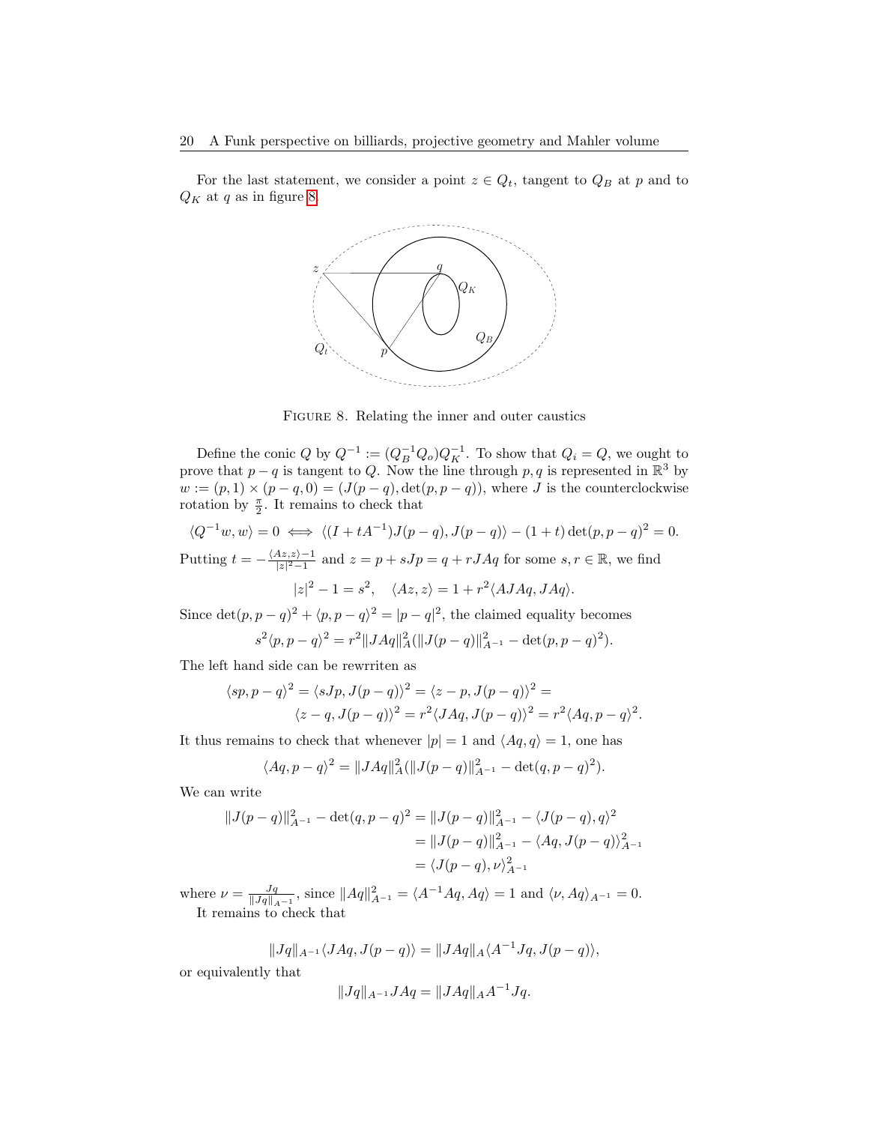For the last statement, we consider a point  $z \in Q_t$ , tangent to  $Q_B$  at p and to  $Q_K$  at q as in figure [8.](#page-19-0)



<span id="page-19-0"></span>Figure 8. Relating the inner and outer caustics

Define the conic Q by  $Q^{-1} := (Q_B^{-1} Q_o) Q_K^{-1}$ . To show that  $Q_i = Q$ , we ought to prove that  $p - q$  is tangent to Q. Now the line through p, q is represented in  $\mathbb{R}^3$  by  $w := (p, 1) \times (p - q, 0) = (J(p - q), det(p, p - q)),$  where J is the counterclockwise rotation by  $\frac{\pi}{2}$ . It remains to check that

$$
\langle Q^{-1}w, w \rangle = 0 \iff \langle (I + tA^{-1})J(p - q), J(p - q) \rangle - (1 + t) \det(p, p - q)^2 = 0.
$$

Putting  $t = -\frac{\langle Az,z\rangle-1}{|z|^2-1}$  $\frac{Az,z\rangle-1}{|z|^2-1}$  and  $z=p+sJp=q+rJAq$  for some  $s,r\in\mathbb{R}$ , we find

 $|z|^2 - 1 = s^2$ ,  $\langle Az, z \rangle = 1 + r^2 \langle AJAq, JAq \rangle$ .

Since  $\det(p, p - q)^2 + \langle p, p - q \rangle^2 = |p - q|^2$ , the claimed equality becomes

$$
s^{2} \langle p, p - q \rangle^{2} = r^{2} \| JAq\|_{A}^{2} (\|J(p - q)\|_{A^{-1}}^{2} - \det(p, p - q)^{2}).
$$

The left hand side can be rewrriten as

$$
\langle sp, p - q \rangle^2 = \langle sJp, J(p - q) \rangle^2 = \langle z - p, J(p - q) \rangle^2 =
$$
  

$$
\langle z - q, J(p - q) \rangle^2 = r^2 \langle J A q, J(p - q) \rangle^2 = r^2 \langle A q, p - q \rangle^2.
$$

It thus remains to check that whenever  $|p| = 1$  and  $\langle Aq, q \rangle = 1$ , one has

$$
\langle Aq, p - q \rangle^2 = ||JAq||_A^2 (||J(p - q)||_{A^{-1}}^2 - \det(q, p - q)^2).
$$

We can write

$$
||J(p-q)||_{A^{-1}}^2 - \det(q, p-q)^2 = ||J(p-q)||_{A^{-1}}^2 - \langle J(p-q), q \rangle^2
$$
  
= 
$$
||J(p-q)||_{A^{-1}}^2 - \langle Aq, J(p-q) \rangle_{A^{-1}}^2
$$
  
= 
$$
\langle J(p-q), \nu \rangle_{A^{-1}}^2
$$

where  $\nu = \frac{Jq}{\|Jq\|_{A^{-1}}}$ , since  $\|Aq\|_{A^{-1}}^2 = \langle A^{-1}Aq, Aq \rangle = 1$  and  $\langle \nu, Aq \rangle_{A^{-1}} = 0$ . It remains to check that

$$
||Jq||_{A^{-1}}\langle JAq,J(p-q)\rangle = ||JAq||_{A}\langle A^{-1}Jq,J(p-q)\rangle,
$$

or equivalently that

$$
||Jq||_{A^{-1}}JAq = ||JAq||_A A^{-1}Jq.
$$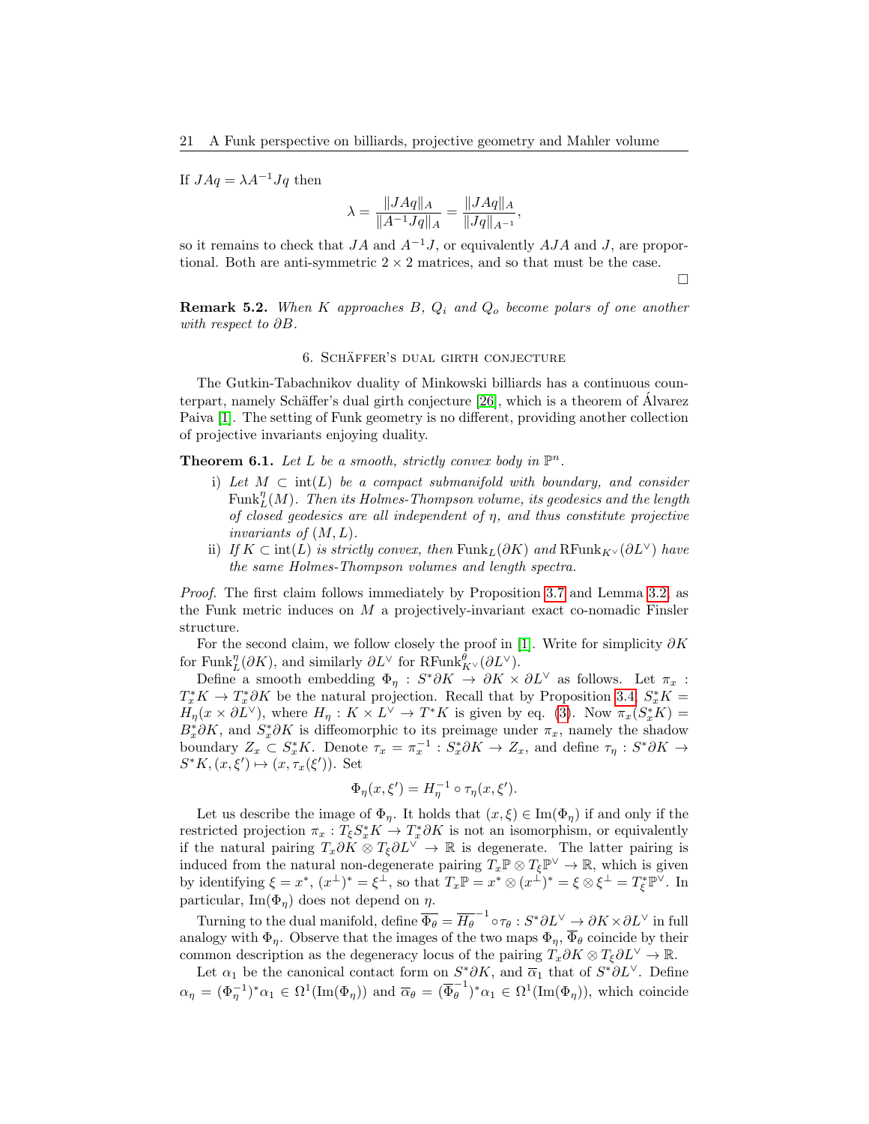If  $JAq = \lambda A^{-1}Jq$  then

$$
\lambda = \frac{\|JAq\|_A}{\|A^{-1}Jq\|_A} = \frac{\|JAq\|_A}{\|Jq\|_{A^{-1}}},
$$

so it remains to check that  $JA$  and  $A^{-1}J$ , or equivalently  $AJA$  and J, are proportional. Both are anti-symmetric  $2 \times 2$  matrices, and so that must be the case.

 $\Box$ 

**Remark 5.2.** When K approaches B,  $Q_i$  and  $Q_o$  become polars of one another with respect to ∂B.

## 6. SCHÄFFER'S DUAL GIRTH CONJECTURE

<span id="page-20-0"></span>The Gutkin-Tabachnikov duality of Minkowski billiards has a continuous counterpart, namely Schäffer's dual girth conjecture  $[26]$ , which is a theorem of Alvarez Paiva [\[1\]](#page-40-7). The setting of Funk geometry is no different, providing another collection of projective invariants enjoying duality.

<span id="page-20-1"></span>**Theorem 6.1.** Let L be a smooth, strictly convex body in  $\mathbb{P}^n$ .

- i) Let  $M \subset \text{int}(L)$  be a compact submanifold with boundary, and consider  $\mathrm{Funk}_L^\eta(M).$  Then its Holmes-Thompson volume, its geodesics and the length of closed geodesics are all independent of  $\eta$ , and thus constitute projective invariants of  $(M, L)$ .
- ii) If K ⊂ int(L) is strictly convex, then Funk<sub>L</sub>( $\partial K$ ) and RFunk<sub>K</sub> $\vee$ ( $\partial L^{\vee}$ ) have the same Holmes-Thompson volumes and length spectra.

Proof. The first claim follows immediately by Proposition [3.7](#page-10-3) and Lemma [3.2,](#page-8-2) as the Funk metric induces on  $M$  a projectively-invariant exact co-nomadic Finsler structure.

For the second claim, we follow closely the proof in [\[1\]](#page-40-7). Write for simplicity  $\partial K$ for Funk $_{L}^{\eta}(\partial K)$ , and similarly  $\partial L^{\vee}$  for RFunk $_{K^{\vee}}^{\theta}(\partial L^{\vee})$ .

Define a smooth embedding  $\Phi_{\eta}: S^*\partial K \to \partial K \times \partial L^{\vee}$  as follows. Let  $\pi_x$ :  $T_x^* K \to T_x^* \partial K$  be the natural projection. Recall that by Proposition [3.4,](#page-9-0)  $S_x^* K =$  $H_{\eta}(x \times \partial L^{\vee})$ , where  $H_{\eta}: K \times L^{\vee} \to T^*K$  is given by eq. [\(3\)](#page-16-1). Now  $\pi_x(S_x^*K) =$  $B_x^* \partial K$ , and  $S_x^* \partial K$  is diffeomorphic to its preimage under  $\pi_x$ , namely the shadow boundary  $Z_x \subset S_x^* K$ . Denote  $\tau_x = \pi_x^{-1} : S_x^* \partial K \to Z_x$ , and define  $\tau_{\eta} : S^* \partial K \to$  $S^*K, (x, \xi') \mapsto (x, \tau_x(\xi'))$ . Set

$$
\Phi_{\eta}(x,\xi') = H_{\eta}^{-1} \circ \tau_{\eta}(x,\xi').
$$

Let us describe the image of  $\Phi_{\eta}$ . It holds that  $(x,\xi) \in \text{Im}(\Phi_{\eta})$  if and only if the restricted projection  $\pi_x: T_{\xi} S_x^* K \to T_x^* \partial K$  is not an isomorphism, or equivalently if the natural pairing  $T_x\partial K \otimes T_\xi \partial L^{\vee} \to \mathbb{R}$  is degenerate. The latter pairing is induced from the natural non-degenerate pairing  $T_x \mathbb{P} \otimes T_\xi \mathbb{P}^\vee \to \mathbb{R}$ , which is given by identifying  $\xi = x^*$ ,  $(x^{\perp})^* = \xi^{\perp}$ , so that  $T_x \mathbb{P} = x^* \otimes (x^{\perp})^* = \xi \otimes \xi^{\perp} = T_{\xi}^* \mathbb{P}^{\vee}$ . In particular,  $\text{Im}(\Phi_n)$  does not depend on  $\eta$ .

Turning to the dual manifold, define  $\overline{\Phi_{\theta}} = \overline{H_{\theta}}^{-1} \circ \tau_{\theta} : S^* \partial L^{\vee} \to \partial K \times \partial L^{\vee}$  in full analogy with  $\Phi_n$ . Observe that the images of the two maps  $\Phi_n$ ,  $\overline{\Phi}_{\theta}$  coincide by their common description as the degeneracy locus of the pairing  $T_x \partial K \otimes T_{\xi} \partial L^{\vee} \to \mathbb{R}$ .

Let  $\alpha_1$  be the canonical contact form on  $S^*\partial K$ , and  $\overline{\alpha}_1$  that of  $S^*\partial L^{\vee}$ . Define  $\alpha_{\eta} = (\Phi_{\eta}^{-1})^* \alpha_1 \in \Omega^1(\text{Im}(\Phi_{\eta}))$  and  $\overline{\alpha}_{\theta} = (\overline{\Phi}_{\theta}^{-1})^*$  $\int_{\theta}^{-1} \phi^* \alpha_1 \in \Omega^1(\text{Im}(\Phi_{\eta}))$ , which coincide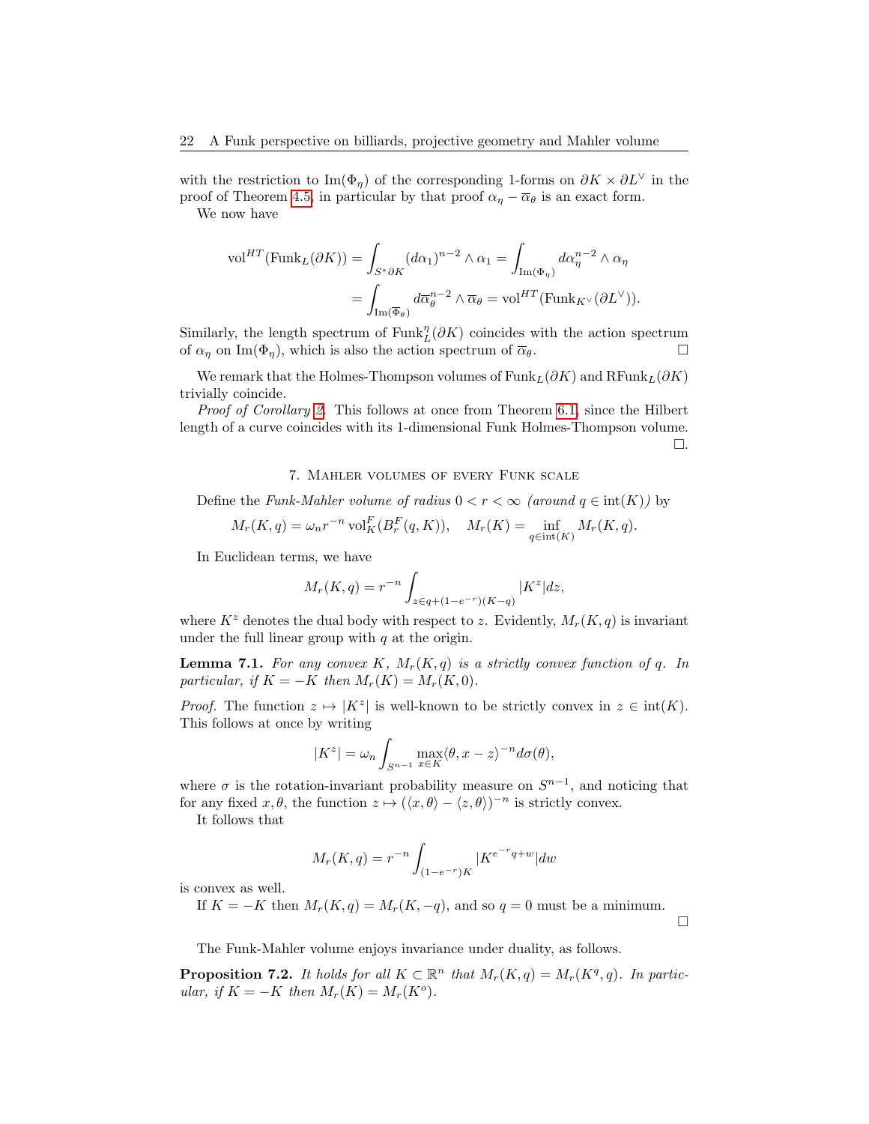with the restriction to Im( $\Phi_n$ ) of the corresponding 1-forms on  $\partial K \times \partial L^{\vee}$  in the proof of Theorem [4.5,](#page-15-2) in particular by that proof  $\alpha_{\eta} - \overline{\alpha}_{\theta}$  is an exact form.

We now have

$$
\text{vol}^{HT}(\text{Funk}_L(\partial K)) = \int_{S^* \partial K} (d\alpha_1)^{n-2} \wedge \alpha_1 = \int_{\text{Im}(\Phi_\eta)} d\alpha_\eta^{n-2} \wedge \alpha_\eta
$$

$$
= \int_{\text{Im}(\overline{\Phi}_\theta)} d\overline{\alpha}_\theta^{n-2} \wedge \overline{\alpha}_\theta = \text{vol}^{HT}(\text{Funk}_{K^\vee}(\partial L^\vee)).
$$

Similarly, the length spectrum of  $\text{Funk}_L^{\eta}(\partial K)$  coincides with the action spectrum of  $\alpha_{\eta}$  on Im( $\Phi_{\eta}$ ), which is also the action spectrum of  $\overline{\alpha}_{\theta}$ .

We remark that the Holmes-Thompson volumes of  $\text{Funk}_L(\partial K)$  and  $\text{RFunk}_L(\partial K)$ trivially coincide.

*Proof of Corollary [2.](#page-3-3)* This follows at once from Theorem [6.1,](#page-20-1) since the Hilbert length of a curve coincides with its 1-dimensional Funk Holmes-Thompson volume.  $\Box.$ 

## 7. Mahler volumes of every Funk scale

<span id="page-21-0"></span>Define the Funk-Mahler volume of radius  $0 < r < \infty$  (around  $q \in \text{int}(K)$ ) by

$$
M_r(K,q) = \omega_n r^{-n} \operatorname{vol}_K^F(B_r^F(q,K)), \quad M_r(K) = \inf_{q \in \operatorname{int}(K)} M_r(K,q).
$$

In Euclidean terms, we have

$$
M_r(K, q) = r^{-n} \int_{z \in q + (1 - e^{-r})(K - q)} |K^z| dz,
$$

where  $K^z$  denotes the dual body with respect to z. Evidently,  $M_r(K, q)$  is invariant under the full linear group with  $q$  at the origin.

<span id="page-21-1"></span>**Lemma 7.1.** For any convex K,  $M_r(K,q)$  is a strictly convex function of q. In particular, if  $K = -K$  then  $M_r(K) = M_r(K, 0)$ .

*Proof.* The function  $z \mapsto |K^z|$  is well-known to be strictly convex in  $z \in \text{int}(K)$ . This follows at once by writing

$$
|K^z| = \omega_n \int_{S^{n-1}} \max_{x \in K} \langle \theta, x - z \rangle^{-n} d\sigma(\theta),
$$

where  $\sigma$  is the rotation-invariant probability measure on  $S^{n-1}$ , and noticing that for any fixed  $x, \theta$ , the function  $z \mapsto (\langle x, \theta \rangle - \langle z, \theta \rangle)^{-n}$  is strictly convex.

It follows that

$$
M_r(K, q) = r^{-n} \int_{(1 - e^{-r})K} |K^{e^{-r}q + w}| dw
$$

is convex as well.

If  $K = -K$  then  $M_r(K, q) = M_r(K, -q)$ , and so  $q = 0$  must be a minimum.

 $\Box$ 

The Funk-Mahler volume enjoys invariance under duality, as follows.

**Proposition 7.2.** It holds for all  $K \subset \mathbb{R}^n$  that  $M_r(K,q) = M_r(K^q,q)$ . In particular, if  $K = -K$  then  $M_r(K) = M_r(K^o)$ .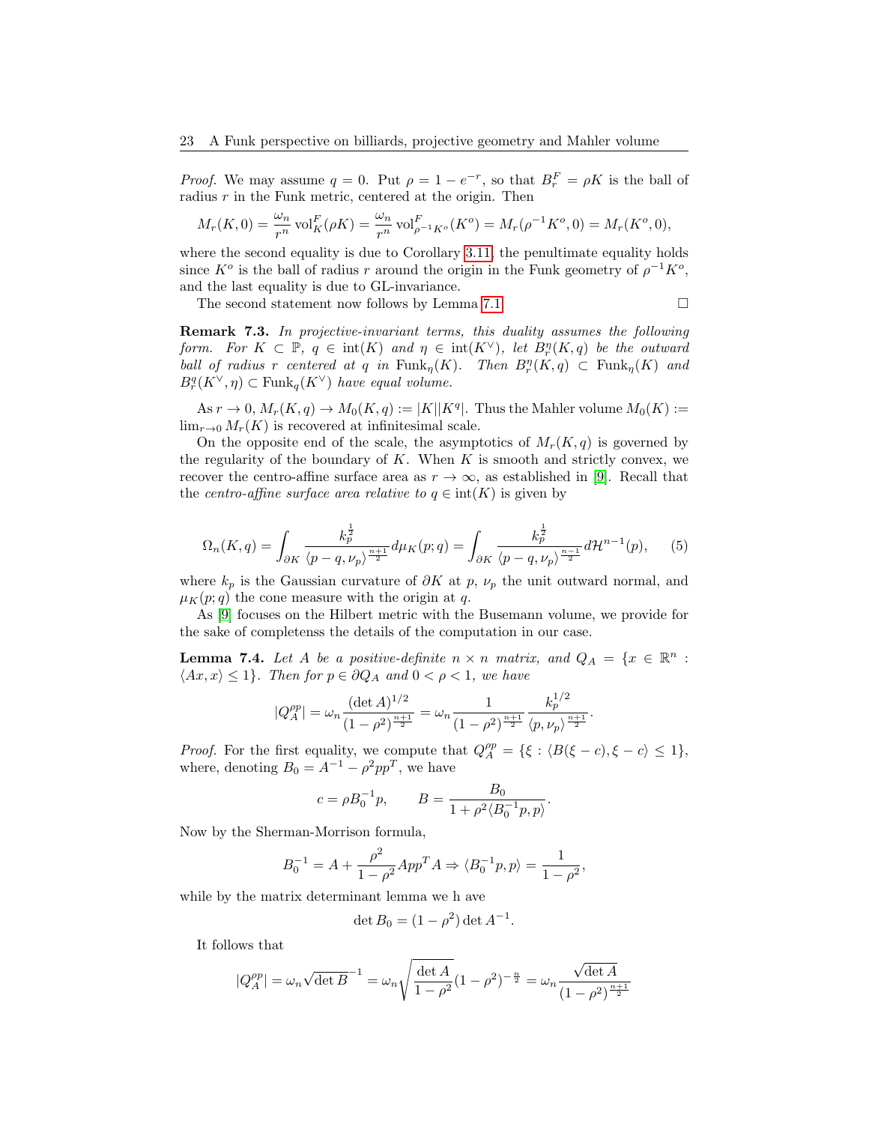*Proof.* We may assume  $q = 0$ . Put  $\rho = 1 - e^{-r}$ , so that  $B_r^F = \rho K$  is the ball of radius  $r$  in the Funk metric, centered at the origin. Then

$$
M_r(K,0) = \frac{\omega_n}{r^n} \operatorname{vol}_K^F(\rho K) = \frac{\omega_n}{r^n} \operatorname{vol}_{\rho^{-1}K^o}^F(K^o) = M_r(\rho^{-1}K^o, 0) = M_r(K^o, 0),
$$

where the second equality is due to Corollary [3.11,](#page-11-0) the penultimate equality holds since  $K^o$  is the ball of radius r around the origin in the Funk geometry of  $\rho^{-1}K^o$ , and the last equality is due to GL-invariance.

The second statement now follows by Lemma [7.1.](#page-21-1)  $\Box$ 

Remark 7.3. In projective-invariant terms, this duality assumes the following form. For  $K \subset \mathbb{P}$ ,  $q \in \text{int}(K)$  and  $\eta \in \text{int}(K^{\vee})$ , let  $B_r^{\eta}(K,q)$  be the outward ball of radius r centered at q in  $\text{Funk}_{\eta}(K)$ . Then  $B_r^{\eta}(K,q) \subset \text{Funk}_{\eta}(K)$  and  $B_r^q(K^{\vee}, \eta) \subset \text{Funk}_q(K^{\vee})$  have equal volume.

As  $r \to 0$ ,  $M_r(K,q) \to M_0(K,q) := |K||K^q|$ . Thus the Mahler volume  $M_0(K) :=$  $\lim_{r\to 0} M_r(K)$  is recovered at infinitesimal scale.

On the opposite end of the scale, the asymptotics of  $M_r(K,q)$  is governed by the regularity of the boundary of  $K$ . When  $K$  is smooth and strictly convex, we recover the centro-affine surface area as  $r \to \infty$ , as established in [\[9\]](#page-40-3). Recall that the centro-affine surface area relative to  $q \in \text{int}(K)$  is given by

<span id="page-22-0"></span>
$$
\Omega_n(K,q) = \int_{\partial K} \frac{k_p^{\frac{1}{2}}}{\langle p-q, \nu_p \rangle^{\frac{n+1}{2}}} d\mu_K(p;q) = \int_{\partial K} \frac{k_p^{\frac{1}{2}}}{\langle p-q, \nu_p \rangle^{\frac{n-1}{2}}} d\mathcal{H}^{n-1}(p), \quad (5)
$$

where  $k_p$  is the Gaussian curvature of  $\partial K$  at p,  $\nu_p$  the unit outward normal, and  $\mu_K(p;q)$  the cone measure with the origin at q.

As [\[9\]](#page-40-3) focuses on the Hilbert metric with the Busemann volume, we provide for the sake of completenss the details of the computation in our case.

<span id="page-22-1"></span>**Lemma 7.4.** Let A be a positive-definite  $n \times n$  matrix, and  $Q_A = \{x \in \mathbb{R}^n :$  $\langle Ax, x \rangle \leq 1$ . Then for  $p \in \partial Q_A$  and  $0 < \rho < 1$ , we have

$$
|Q_A^{\rho p}|=\omega_n\frac{(\det A)^{1/2}}{(1-\rho^2)^{\frac{n+1}{2}}}=\omega_n\frac{1}{(1-\rho^2)^{\frac{n+1}{2}}}\frac{k_p^{1/2}}{\langle p,\nu_p\rangle^{\frac{n+1}{2}}}.
$$

*Proof.* For the first equality, we compute that  $Q_A^{pp} = \{\xi : \langle B(\xi - c), \xi - c \rangle \leq 1\},\$ where, denoting  $B_0 = A^{-1} - \rho^2 pp^T$ , we have

$$
c = \rho B_0^{-1} p
$$
,  $B = \frac{B_0}{1 + \rho^2 \langle B_0^{-1} p, p \rangle}$ .

Now by the Sherman-Morrison formula,

$$
B_0^{-1} = A + \frac{\rho^2}{1 - \rho^2} App^T A \Rightarrow \langle B_0^{-1}p, p \rangle = \frac{1}{1 - \rho^2},
$$

while by the matrix determinant lemma we h ave

$$
\det B_0 = (1 - \rho^2) \det A^{-1}.
$$

It follows that

$$
|Q_A^{\rho p}| = \omega_n \sqrt{\det B}^{-1} = \omega_n \sqrt{\frac{\det A}{1 - \rho^2}} (1 - \rho^2)^{-\frac{n}{2}} = \omega_n \frac{\sqrt{\det A}}{(1 - \rho^2)^{\frac{n+1}{2}}}
$$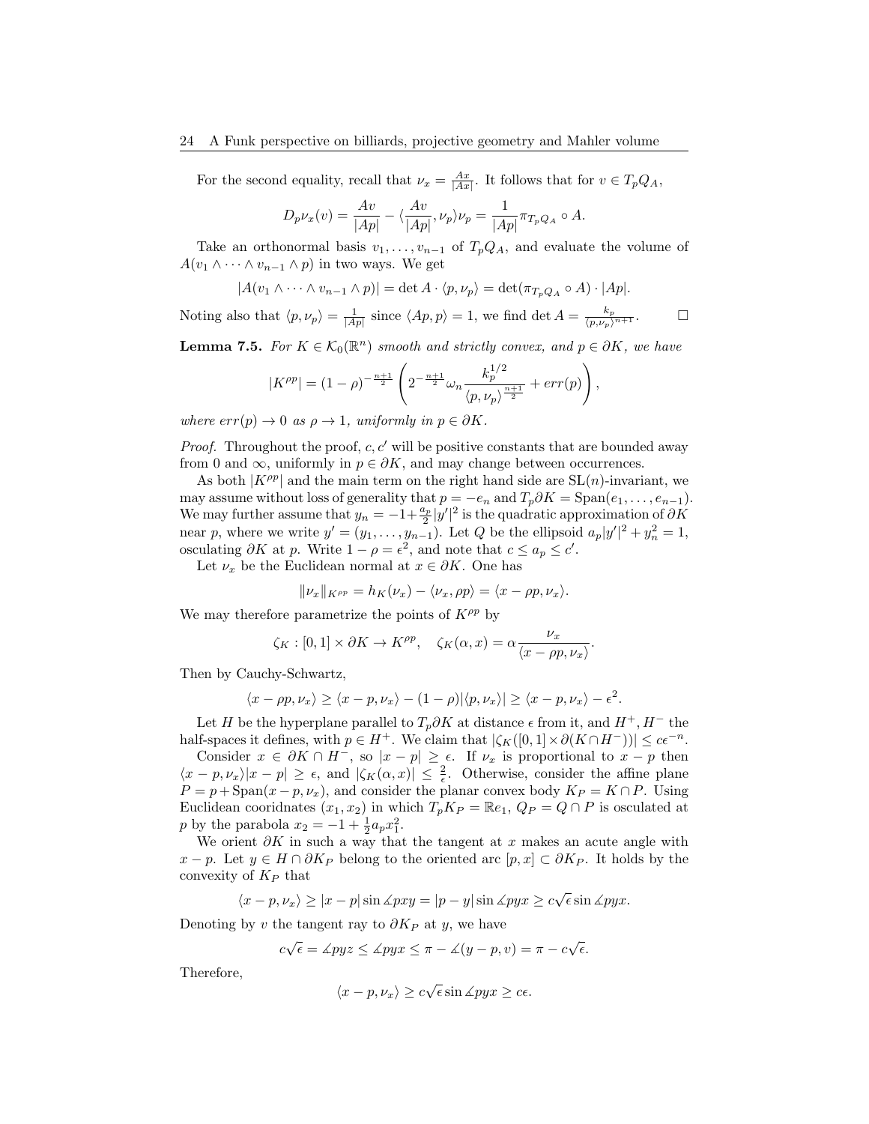For the second equality, recall that  $\nu_x = \frac{Ax}{|Ax|}$ . It follows that for  $v \in T_pQ_A$ ,

$$
D_p \nu_x(v) = \frac{Av}{|Ap|} - \langle \frac{Av}{|Ap|}, \nu_p \rangle \nu_p = \frac{1}{|Ap|} \pi_{T_p Q_A} \circ A.
$$

Take an orthonormal basis  $v_1, \ldots, v_{n-1}$  of  $T_pQ_A$ , and evaluate the volume of  $A(v_1 \wedge \cdots \wedge v_{n-1} \wedge p)$  in two ways. We get

$$
|A(v_1 \wedge \cdots \wedge v_{n-1} \wedge p)| = \det A \cdot \langle p, \nu_p \rangle = \det(\pi_{T_p Q_A} \circ A) \cdot |Ap|.
$$

Noting also that  $\langle p, \nu_p \rangle = \frac{1}{|Ap|}$  since  $\langle Ap, p \rangle = 1$ , we find det  $A = \frac{k_p}{\langle p, \nu_p \rangle^{n+1}}$ .

<span id="page-23-0"></span>**Lemma 7.5.** For  $K \in \mathcal{K}_0(\mathbb{R}^n)$  smooth and strictly convex, and  $p \in \partial K$ , we have

$$
|K^{\rho p}| = (1 - \rho)^{-\frac{n+1}{2}} \left( 2^{-\frac{n+1}{2}} \omega_n \frac{k_p^{1/2}}{\langle p, \nu_p \rangle^{\frac{n+1}{2}}} + \text{err}(p) \right),
$$

where  $err(p) \rightarrow 0$  as  $\rho \rightarrow 1$ , uniformly in  $p \in \partial K$ .

*Proof.* Throughout the proof, c, c' will be positive constants that are bounded away from 0 and  $\infty$ , uniformly in  $p \in \partial K$ , and may change between occurrences.

As both  $|K^{\rho p}|$  and the main term on the right hand side are  $SL(n)$ -invariant, we may assume without loss of generality that  $p = -e_n$  and  $T_p \partial K = \text{Span}(e_1, \ldots, e_{n-1}).$ We may further assume that  $y_n = -1 + \frac{a_p}{2} |y'|^2$  is the quadratic approximation of  $\partial K$ near p, where we write  $y' = (y_1, \ldots, y_{n-1})$ . Let Q be the ellipsoid  $a_p|y'|^2 + y_n^2 = 1$ , osculating  $\partial K$  at p. Write  $1 - \rho = \epsilon^2$ , and note that  $c \le a_p \le c'$ .

Let  $\nu_x$  be the Euclidean normal at  $x \in \partial K$ . One has

$$
\|\nu_x\|_{K^{\rho p}} = h_K(\nu_x) - \langle \nu_x, \rho p \rangle = \langle x - \rho p, \nu_x \rangle.
$$

We may therefore parametrize the points of  $K^{\rho p}$  by

$$
\zeta_K : [0,1] \times \partial K \to K^{\rho p}, \quad \zeta_K(\alpha, x) = \alpha \frac{\nu_x}{\langle x - \rho p, \nu_x \rangle}.
$$

Then by Cauchy-Schwartz,

$$
\langle x - \rho p, \nu_x \rangle \ge \langle x - p, \nu_x \rangle - (1 - \rho) |\langle p, \nu_x \rangle| \ge \langle x - p, \nu_x \rangle - \epsilon^2.
$$

Let H be the hyperplane parallel to  $T_p\partial K$  at distance  $\epsilon$  from it, and  $H^+, H^-$  the half-spaces it defines, with  $p \in H^+$ . We claim that  $|\zeta_K([0,1] \times \partial (K \cap H^-))| \leq c\epsilon^{-n}$ .

Consider  $x \in \partial K \cap H^-$ , so  $|x - p| \ge \epsilon$ . If  $\nu_x$  is proportional to  $x - p$  then  $\langle x-p,\nu_x\rangle |x-p| \geq \epsilon$ , and  $|\zeta_K(\alpha,x)| \leq \frac{2}{\epsilon}$ . Otherwise, consider the affine plane  $P = p + \text{Span}(x - p, \nu_x)$ , and consider the planar convex body  $K_P = K \cap P$ . Using Euclidean coordinates  $(x_1, x_2)$  in which  $T_p K_P = \mathbb{R}e_1, Q_P = Q \cap P$  is osculated at *p* by the parabola  $x_2 = -1 + \frac{1}{2} a_p x_1^2$ .

We orient  $\partial K$  in such a way that the tangent at x makes an acute angle with  $x - p$ . Let  $y \in H \cap \partial K_P$  belong to the oriented arc  $[p, x] \subset \partial K_P$ . It holds by the convexity of  $K_P$  that

$$
\langle x - p, \nu_x \rangle \ge |x - p| \sin \angle pxy = |p - y| \sin \angle pyx \ge c\sqrt{\epsilon} \sin \angle pyx.
$$

Denoting by v the tangent ray to  $\partial K_P$  at y, we have

$$
c\sqrt{\epsilon} = \measuredangle pyz \le \measuredangle pyx \le \pi - \measuredangle(y - p, v) = \pi - c\sqrt{\epsilon}.
$$

Therefore,

$$
\langle x - p, \nu_x \rangle \ge c\sqrt{\epsilon} \sin \angle pyx \ge c\epsilon.
$$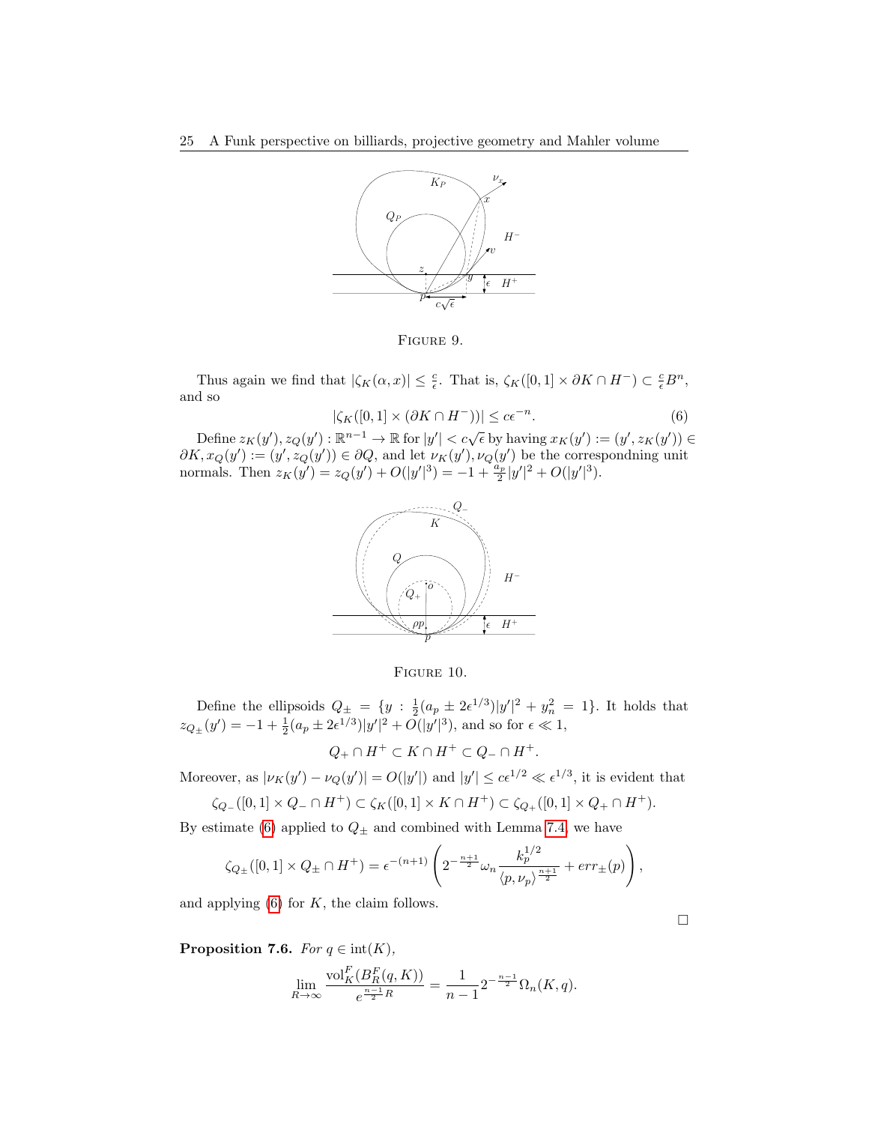

Figure 9.

Thus again we find that  $|\zeta_K(\alpha, x)| \leq \frac{c}{\epsilon}$ . That is,  $\zeta_K([0, 1] \times \partial K \cap H^-) \subset \frac{c}{\epsilon}B^n$ , and so

<span id="page-24-0"></span>
$$
|\zeta_K([0,1] \times (\partial K \cap H^-))| \le c\epsilon^{-n}.\tag{6}
$$

Define  $z_K(y')$ ,  $z_Q(y') : \mathbb{R}^{n-1} \to \mathbb{R}$  for  $|y'| < c\sqrt{\epsilon}$  by having  $x_K(y') := (y', z_K(y')) \in$  $\partial K, x_Q(y') := (y', z_Q(y')) \in \partial Q$ , and let  $\nu_K(y'), \nu_Q(y')$  be the correspondning unit normals. Then  $z_K(y') = z_Q(y') + O(|y'|^3) = -1 + \frac{\tilde{a}_p}{2}|y'|^2 + O(|y'|^3)$ .



FIGURE 10.

Define the ellipsoids  $Q_{\pm} = \{y : \frac{1}{2}(a_p \pm 2\epsilon^{1/3})|y'|^2 + y_n^2 = 1\}$ . It holds that  $z_{Q_{\pm}}(y') = -1 + \frac{1}{2}(a_p \pm 2\epsilon^{1/3})|y'|^2 + O(|y'|^3)$ , and so for  $\epsilon \ll 1$ ,

 $Q_+ \cap H^+ \subset K \cap H^+ \subset Q_- \cap H^+.$ 

Moreover, as  $|\nu_K(y') - \nu_Q(y')| = O(|y'|)$  and  $|y'| \le c\epsilon^{1/2} \ll \epsilon^{1/3}$ , it is evident that  $\zeta_{\Omega}$  ([0, 1] × Q− ∩ H<sup>+</sup>) ⊂  $\zeta_{K}$ ([0, 1] × K ∩ H<sup>+</sup>) ⊂  $\zeta_{\Omega}$  ([0, 1] × Q<sub>+</sub> ∩ H<sup>+</sup>).

$$
\zeta Q_{-}([0,1] \wedge \zeta_{-} + H) \subseteq \zeta K([0,1] \wedge K + H) \subseteq \zeta Q_{+}([0,1] \wedge \zeta_{+} + H)
$$

By estimate [\(6\)](#page-24-0) applied to  $Q_{\pm}$  and combined with Lemma [7.4,](#page-22-1) we have

$$
\zeta_{Q_{\pm}}([0,1] \times Q_{\pm} \cap H^{+}) = \epsilon^{-(n+1)} \left( 2^{-\frac{n+1}{2}} \omega_n \frac{k_p^{1/2}}{\langle p, \nu_p \rangle^{\frac{n+1}{2}}} + \text{err}_{\pm}(p) \right)
$$

and applying  $(6)$  for  $K$ , the claim follows.

<span id="page-24-1"></span>**Proposition 7.6.** For  $q \in \text{int}(K)$ ,

$$
\lim_{R \to \infty} \frac{\text{vol}_{K}^{F}(B_{R}^{F}(q,K))}{e^{\frac{n-1}{2}R}} = \frac{1}{n-1} 2^{-\frac{n-1}{2}} \Omega_{n}(K, q).
$$

 $\Box$ 

,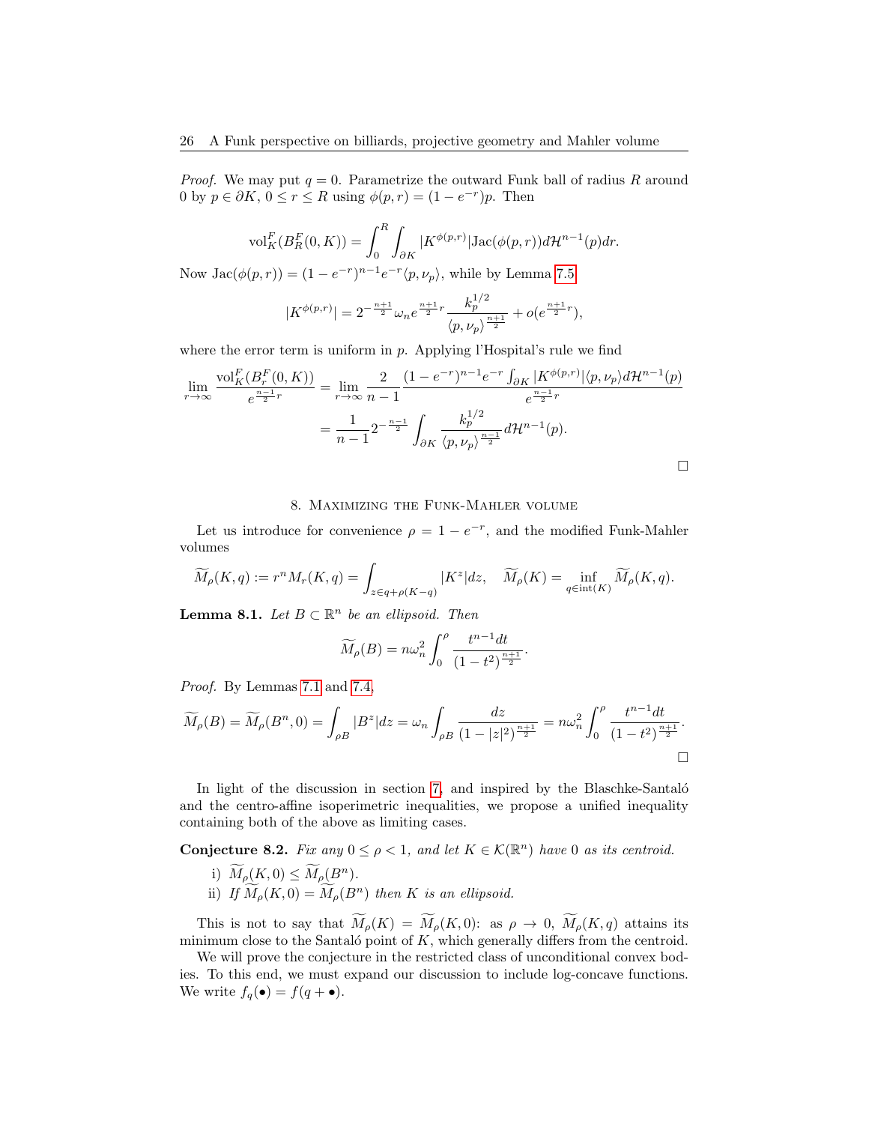*Proof.* We may put  $q = 0$ . Parametrize the outward Funk ball of radius R around 0 by  $p \in \partial K$ ,  $0 \le r \le R$  using  $\phi(p,r) = (1 - e^{-r})p$ . Then

$$
\text{vol}_{K}^{F}(B_{R}^{F}(0,K)) = \int_{0}^{R} \int_{\partial K} |K^{\phi(p,r)}| \text{Jac}(\phi(p,r)) d\mathcal{H}^{n-1}(p) dr.
$$

Now  $Jac(\phi(p,r)) = (1 - e^{-r})^{n-1} e^{-r} \langle p, \nu_p \rangle$ , while by Lemma [7.5](#page-23-0)

$$
|K^{\phi(p,r)}| = 2^{-\frac{n+1}{2}} \omega_n e^{\frac{n+1}{2}r} \frac{k_p^{1/2}}{\langle p, \nu_p \rangle^{\frac{n+1}{2}}} + o(e^{\frac{n+1}{2}r}),
$$

where the error term is uniform in  $p$ . Applying l'Hospital's rule we find

$$
\lim_{r \to \infty} \frac{\text{vol}_K^F(B_r^F(0, K))}{e^{\frac{n-1}{2}r}} = \lim_{r \to \infty} \frac{2}{n-1} \frac{(1 - e^{-r})^{n-1} e^{-r} \int_{\partial K} |K^{\phi(p,r)}| \langle p, \nu_p \rangle d\mathcal{H}^{n-1}(p)}{e^{\frac{n-1}{2}r}}
$$
\n
$$
= \frac{1}{n-1} 2^{-\frac{n-1}{2}} \int_{\partial K} \frac{k_p^{1/2}}{\langle p, \nu_p \rangle^{\frac{n-1}{2}}} d\mathcal{H}^{n-1}(p).
$$

#### 8. Maximizing the Funk-Mahler volume

<span id="page-25-0"></span>Let us introduce for convenience  $\rho = 1 - e^{-r}$ , and the modified Funk-Mahler volumes

$$
\widetilde{M}_{\rho}(K,q) := r^{n} M_{r}(K,q) = \int_{z \in q + \rho(K-q)} |K^{z}| dz, \quad \widetilde{M}_{\rho}(K) = \inf_{q \in \text{int}(K)} \widetilde{M}_{\rho}(K,q).
$$

**Lemma 8.1.** Let  $B \subset \mathbb{R}^n$  be an ellipsoid. Then

$$
\widetilde{M}_{\rho}(B) = n\omega_n^2 \int_0^{\rho} \frac{t^{n-1}dt}{(1-t^2)^{\frac{n+1}{2}}}.
$$

Proof. By Lemmas [7.1](#page-21-1) and [7.4,](#page-22-1)

$$
\widetilde{M}_{\rho}(B) = \widetilde{M}_{\rho}(B^n, 0) = \int_{\rho B} |B^z| dz = \omega_n \int_{\rho B} \frac{dz}{(1 - |z|^2)^{\frac{n+1}{2}}} = n\omega_n^2 \int_0^{\rho} \frac{t^{n-1}dt}{(1 - t^2)^{\frac{n+1}{2}}}.
$$

In light of the discussion in section [7,](#page-21-0) and inspired by the Blaschke-Santaló and the centro-affine isoperimetric inequalities, we propose a unified inequality containing both of the above as limiting cases.

<span id="page-25-1"></span>**Conjecture 8.2.** Fix any  $0 \leq \rho < 1$ , and let  $K \in \mathcal{K}(\mathbb{R}^n)$  have 0 as its centroid.

- i)  $\widetilde{M}_{\rho}(K, 0) \le \widetilde{M}_{\rho}(B^n)$ .
- ii) If  $\widetilde{M}_{\rho}(K, 0) = \widetilde{M}_{\rho}(B^n)$  then K is an ellipsoid.

This is not to say that  $\widetilde{M}_{\rho}(K) = \widetilde{M}_{\rho}(K,0)$ : as  $\rho \to 0$ ,  $\widetilde{M}_{\rho}(K,q)$  attains its minimum close to the Santaló point of  $K$ , which generally differs from the centroid.

We will prove the conjecture in the restricted class of unconditional convex bodies. To this end, we must expand our discussion to include log-concave functions. We write  $f_q(\bullet) = f(q + \bullet)$ .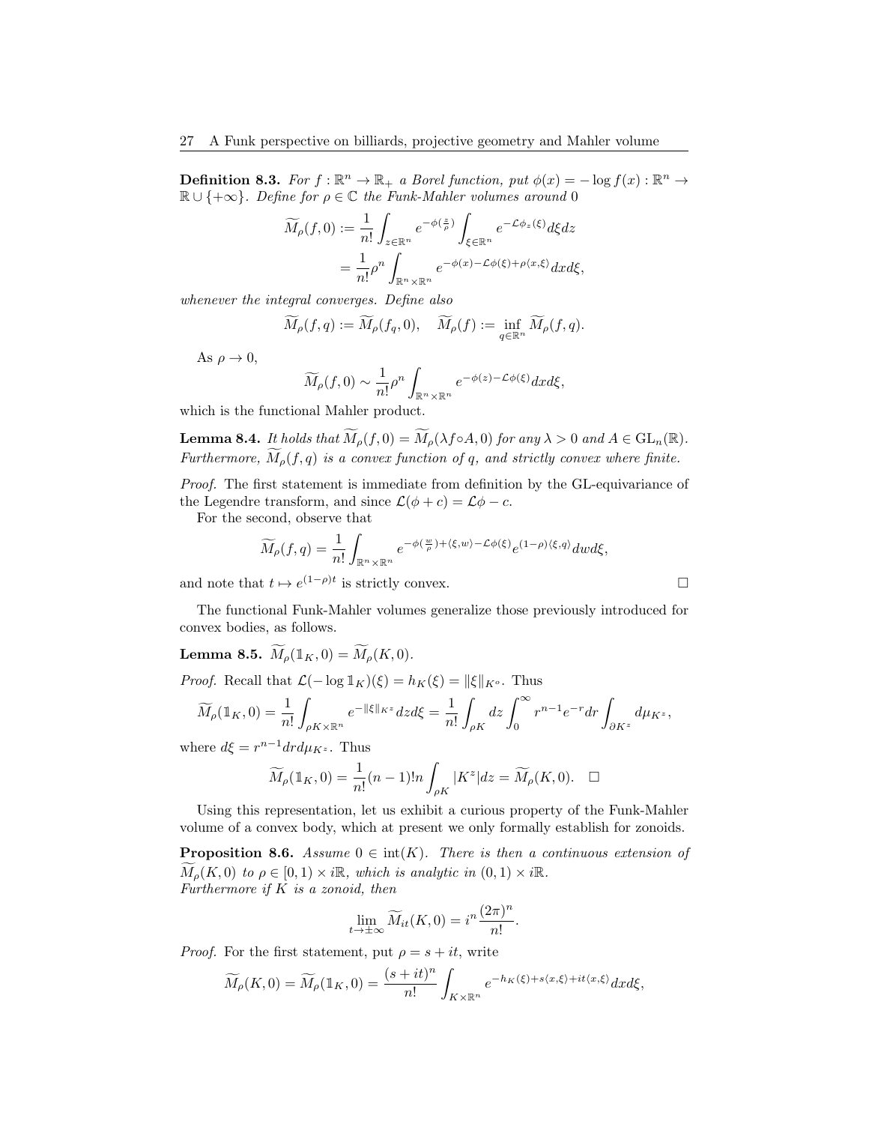**Definition 8.3.** For  $f : \mathbb{R}^n \to \mathbb{R}_+$  a Borel function, put  $\phi(x) = -\log f(x) : \mathbb{R}^n \to$  $\mathbb{R} \cup \{+\infty\}$ . Define for  $\rho \in \mathbb{C}$  the Funk-Mahler volumes around 0

$$
\widetilde{M}_{\rho}(f,0) := \frac{1}{n!} \int_{z \in \mathbb{R}^n} e^{-\phi(\frac{z}{\rho})} \int_{\xi \in \mathbb{R}^n} e^{-\mathcal{L}\phi_z(\xi)} d\xi dz
$$
  
= 
$$
\frac{1}{n!} \rho^n \int_{\mathbb{R}^n \times \mathbb{R}^n} e^{-\phi(x) - \mathcal{L}\phi(\xi) + \rho\langle x, \xi \rangle} dx d\xi,
$$

whenever the integral converges. Define also

$$
\widetilde{M}_{\rho}(f,q):=\widetilde{M}_{\rho}(f_q,0),\quad \widetilde{M}_{\rho}(f):=\inf_{q\in\mathbb{R}^n}\widetilde{M}_{\rho}(f,q).
$$

As  $\rho \to 0$ ,

$$
\widetilde{M}_{\rho}(f,0) \sim \frac{1}{n!} \rho^n \int_{\mathbb{R}^n \times \mathbb{R}^n} e^{-\phi(z) - \mathcal{L}\phi(\xi)} dx d\xi,
$$

which is the functional Mahler product.

<span id="page-26-0"></span>**Lemma 8.4.** It holds that  $\widetilde{M}_{\rho}(f, 0) = \widetilde{M}_{\rho}(\lambda f \circ A, 0)$  for any  $\lambda > 0$  and  $A \in GL_n(\mathbb{R})$ . Furthermore,  $\widetilde{M}_{\rho}(f,q)$  is a convex function of q, and strictly convex where finite.

Proof. The first statement is immediate from definition by the GL-equivariance of the Legendre transform, and since  $\mathcal{L}(\phi + c) = \mathcal{L}\phi - c$ .

For the second, observe that

$$
\widetilde{M}_{\rho}(f,q) = \frac{1}{n!} \int_{\mathbb{R}^n \times \mathbb{R}^n} e^{-\phi(\frac{w}{\rho}) + \langle \xi, w \rangle - \mathcal{L}\phi(\xi)} e^{(1-\rho)\langle \xi, q \rangle} dw d\xi,
$$

and note that  $t \mapsto e^{(1-\rho)t}$  is strictly convex.

The functional Funk-Mahler volumes generalize those previously introduced for convex bodies, as follows.

<span id="page-26-1"></span>**Lemma 8.5.**  $\widetilde{M}_{\rho}(\mathbb{1}_K, 0) = \widetilde{M}_{\rho}(K, 0).$ 

*Proof.* Recall that  $\mathcal{L}(-\log 1_K)(\xi) = h_K(\xi) = ||\xi||_{K^o}$ . Thus

$$
\widetilde{M}_{\rho}(\mathbb{1}_{K},0)=\frac{1}{n!}\int_{\rho K\times \mathbb{R}^{n}}e^{-\|\xi\|_{K^{z}}}dzd\xi=\frac{1}{n!}\int_{\rho K}dz\int_{0}^{\infty}r^{n-1}e^{-r}dr\int_{\partial K^{z}}d\mu_{K^{z}},
$$

where  $d\xi = r^{n-1} dr d\mu_{K^z}$ . Thus

$$
\widetilde{M}_{\rho}(\mathbb{1}_K,0) = \frac{1}{n!}(n-1)!n \int_{\rho K} |K^z| dz = \widetilde{M}_{\rho}(K,0). \quad \Box
$$

Using this representation, let us exhibit a curious property of the Funk-Mahler volume of a convex body, which at present we only formally establish for zonoids.

**Proposition 8.6.** Assume  $0 \in \text{int}(K)$ . There is then a continuous extension of  $M_{\rho}(K, 0)$  to  $\rho \in [0, 1) \times i\mathbb{R}$ , which is analytic in  $(0, 1) \times i\mathbb{R}$ . Furthermore if  $K$  is a zonoid, then

$$
\lim_{t \to \pm \infty} \widetilde{M}_{it}(K, 0) = i^{n} \frac{(2\pi)^{n}}{n!}.
$$

*Proof.* For the first statement, put  $\rho = s + it$ , write

$$
\widetilde{M}_{\rho}(K,0) = \widetilde{M}_{\rho}(\mathbb{1}_K,0) = \frac{(s+it)^n}{n!} \int_{K \times \mathbb{R}^n} e^{-h_K(\xi) + s\langle x,\xi \rangle + it\langle x,\xi \rangle} dx d\xi,
$$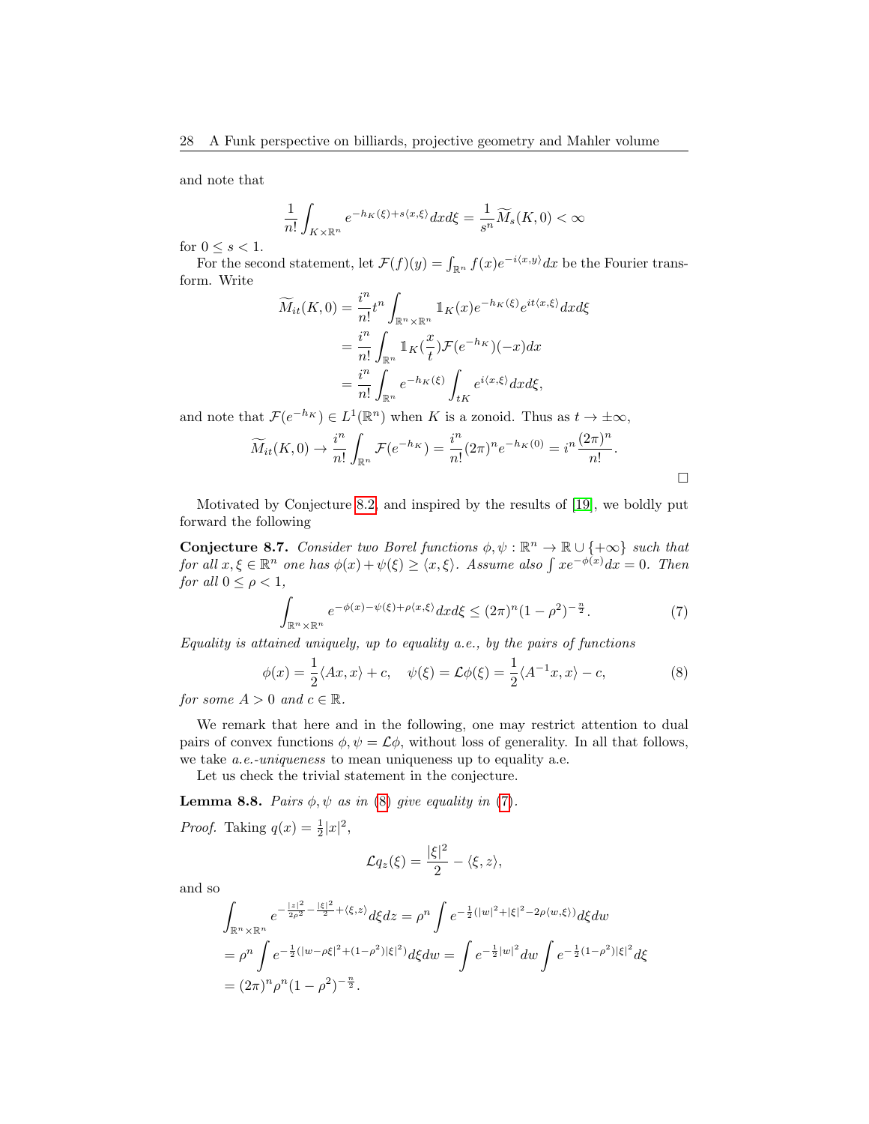and note that

$$
\frac{1}{n!} \int_{K \times \mathbb{R}^n} e^{-h_K(\xi) + s \langle x, \xi \rangle} dx d\xi = \frac{1}{s^n} \widetilde{M}_s(K, 0) < \infty
$$

for  $0 \leq s < 1$ .

For the second statement, let  $\mathcal{F}(f)(y) = \int_{\mathbb{R}^n} f(x)e^{-i\langle x, y \rangle} dx$  be the Fourier transform. Write

$$
\widetilde{M}_{it}(K,0) = \frac{i^n}{n!} t^n \int_{\mathbb{R}^n \times \mathbb{R}^n} \mathbb{1}_K(x) e^{-h_K(\xi)} e^{it\langle x,\xi \rangle} dx d\xi
$$

$$
= \frac{i^n}{n!} \int_{\mathbb{R}^n} \mathbb{1}_K(\frac{x}{t}) \mathcal{F}(e^{-h_K})(-x) dx
$$

$$
= \frac{i^n}{n!} \int_{\mathbb{R}^n} e^{-h_K(\xi)} \int_{tK} e^{i\langle x,\xi \rangle} dx d\xi,
$$

and note that  $\mathcal{F}(e^{-h_K}) \in L^1(\mathbb{R}^n)$  when K is a zonoid. Thus as  $t \to \pm \infty$ ,

$$
\widetilde{M}_{it}(K,0) \to \frac{i^n}{n!} \int_{\mathbb{R}^n} \mathcal{F}(e^{-h_K}) = \frac{i^n}{n!} (2\pi)^n e^{-h_K(0)} = i^n \frac{(2\pi)^n}{n!}.
$$

Motivated by Conjecture [8.2,](#page-25-1) and inspired by the results of [\[19\]](#page-41-11), we boldly put forward the following

<span id="page-27-2"></span>**Conjecture 8.7.** Consider two Borel functions  $\phi, \psi : \mathbb{R}^n \to \mathbb{R} \cup \{+\infty\}$  such that for all  $x, \xi \in \mathbb{R}^n$  one has  $\phi(x) + \psi(\xi) \geq \langle x, \xi \rangle$ . Assume also  $\int xe^{-\phi(x)}dx = 0$ . Then for all  $0 \leq \rho < 1$ ,

<span id="page-27-1"></span>
$$
\int_{\mathbb{R}^n \times \mathbb{R}^n} e^{-\phi(x) - \psi(\xi) + \rho\langle x, \xi \rangle} dx d\xi \le (2\pi)^n (1 - \rho^2)^{-\frac{n}{2}}.
$$
 (7)

Equality is attained uniquely, up to equality a.e., by the pairs of functions

<span id="page-27-0"></span>
$$
\phi(x) = \frac{1}{2} \langle Ax, x \rangle + c, \quad \psi(\xi) = \mathcal{L}\phi(\xi) = \frac{1}{2} \langle A^{-1}x, x \rangle - c,
$$
\n(8)

for some  $A > 0$  and  $c \in \mathbb{R}$ .

We remark that here and in the following, one may restrict attention to dual pairs of convex functions  $\phi, \psi = \mathcal{L}\phi$ , without loss of generality. In all that follows, we take a.e.-uniqueness to mean uniqueness up to equality a.e.

Let us check the trivial statement in the conjecture.

**Lemma 8.8.** Pairs  $\phi, \psi$  as in [\(8\)](#page-27-0) give equality in [\(7\)](#page-27-1).

*Proof.* Taking  $q(x) = \frac{1}{2}|x|^2$ ,

$$
\mathcal{L}q_z(\xi) = \frac{|\xi|^2}{2} - \langle \xi, z \rangle,
$$

and so

$$
\int_{\mathbb{R}^n \times \mathbb{R}^n} e^{-\frac{|z|^2}{2\rho^2} - \frac{|\xi|^2}{2} + \langle \xi, z \rangle} d\xi dz = \rho^n \int e^{-\frac{1}{2}(|w|^2 + |\xi|^2 - 2\rho \langle w, \xi \rangle)} d\xi dw
$$
  
\n
$$
= \rho^n \int e^{-\frac{1}{2}(|w - \rho \xi|^2 + (1 - \rho^2)|\xi|^2)} d\xi dw = \int e^{-\frac{1}{2}|w|^2} dw \int e^{-\frac{1}{2}(1 - \rho^2)|\xi|^2} d\xi
$$
  
\n
$$
= (2\pi)^n \rho^n (1 - \rho^2)^{-\frac{n}{2}}.
$$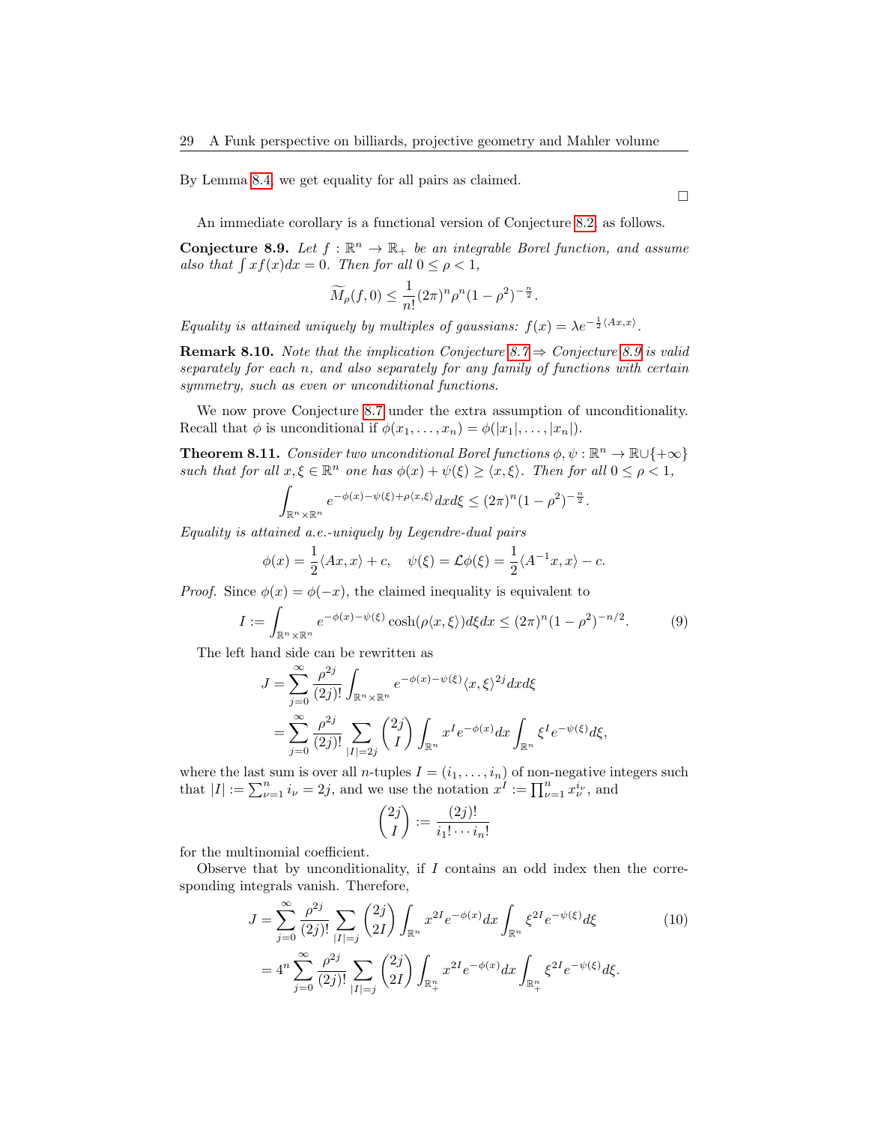By Lemma [8.4,](#page-26-0) we get equality for all pairs as claimed.

An immediate corollary is a functional version of Conjecture [8.2,](#page-25-1) as follows.

<span id="page-28-0"></span>**Conjecture 8.9.** Let  $f : \mathbb{R}^n \to \mathbb{R}_+$  be an integrable Borel function, and assume also that  $\int x f(x) dx = 0$ . Then for all  $0 \le \rho < 1$ ,

$$
\widetilde{M}_{\rho}(f,0) \le \frac{1}{n!} (2\pi)^n \rho^n (1-\rho^2)^{-\frac{n}{2}}.
$$

Equality is attained uniquely by multiples of gaussians:  $f(x) = \lambda e^{-\frac{1}{2} \langle Ax, x \rangle}$ .

**Remark 8.10.** Note that the implication Conjecture [8.7](#page-27-2)  $\Rightarrow$  Conjecture [8.9](#page-28-0) is valid separately for each n, and also separately for any family of functions with certain symmetry, such as even or unconditional functions.

We now prove Conjecture [8.7](#page-27-2) under the extra assumption of unconditionality. Recall that  $\phi$  is unconditional if  $\phi(x_1, \ldots, x_n) = \phi(|x_1|, \ldots, |x_n|)$ .

<span id="page-28-3"></span>**Theorem 8.11.** Consider two unconditional Borel functions  $\phi, \psi : \mathbb{R}^n \to \mathbb{R} \cup \{+\infty\}$ such that for all  $x, \xi \in \mathbb{R}^n$  one has  $\phi(x) + \psi(\xi) \geq \langle x, \xi \rangle$ . Then for all  $0 \leq \rho < 1$ ,

$$
\int_{\mathbb{R}^n \times \mathbb{R}^n} e^{-\phi(x) - \psi(\xi) + \rho\langle x, \xi \rangle} dx d\xi \le (2\pi)^n (1 - \rho^2)^{-\frac{n}{2}}.
$$

Equality is attained a.e.-uniquely by Legendre-dual pairs

$$
\phi(x) = \frac{1}{2} \langle Ax, x \rangle + c, \quad \psi(\xi) = \mathcal{L}\phi(\xi) = \frac{1}{2} \langle A^{-1}x, x \rangle - c.
$$

*Proof.* Since  $\phi(x) = \phi(-x)$ , the claimed inequality is equivalent to

<span id="page-28-1"></span>
$$
I := \int_{\mathbb{R}^n \times \mathbb{R}^n} e^{-\phi(x) - \psi(\xi)} \cosh(\rho \langle x, \xi \rangle) d\xi dx \le (2\pi)^n (1 - \rho^2)^{-n/2}.
$$
 (9)

The left hand side can be rewritten as

$$
J = \sum_{j=0}^{\infty} \frac{\rho^{2j}}{(2j)!} \int_{\mathbb{R}^n \times \mathbb{R}^n} e^{-\phi(x) - \psi(\xi)} \langle x, \xi \rangle^{2j} dx d\xi
$$
  
= 
$$
\sum_{j=0}^{\infty} \frac{\rho^{2j}}{(2j)!} \sum_{|I| = 2j} {2j \choose I} \int_{\mathbb{R}^n} x^I e^{-\phi(x)} dx \int_{\mathbb{R}^n} \xi^I e^{-\psi(\xi)} d\xi,
$$

where the last sum is over all *n*-tuples  $I = (i_1, \ldots, i_n)$  of non-negative integers such that  $|I| := \sum_{\nu=1}^n i_{\nu} = 2j$ , and we use the notation  $x^I := \prod_{\nu=1}^n x_{\nu}^{i_{\nu}}$ , and

<span id="page-28-2"></span>
$$
\binom{2j}{I} := \frac{(2j)!}{i_1! \cdots i_n!}
$$

for the multinomial coefficient.

Observe that by unconditionality, if  $I$  contains an odd index then the corresponding integrals vanish. Therefore,

$$
J = \sum_{j=0}^{\infty} \frac{\rho^{2j}}{(2j)!} \sum_{|I|=j} {2j \choose 2I} \int_{\mathbb{R}^n} x^{2I} e^{-\phi(x)} dx \int_{\mathbb{R}^n} \xi^{2I} e^{-\psi(\xi)} d\xi
$$
  
=  $4^n \sum_{j=0}^{\infty} \frac{\rho^{2j}}{(2j)!} \sum_{|I|=j} {2j \choose 2I} \int_{\mathbb{R}^n_+} x^{2I} e^{-\phi(x)} dx \int_{\mathbb{R}^n_+} \xi^{2I} e^{-\psi(\xi)} d\xi.$  (10)

 $\Box$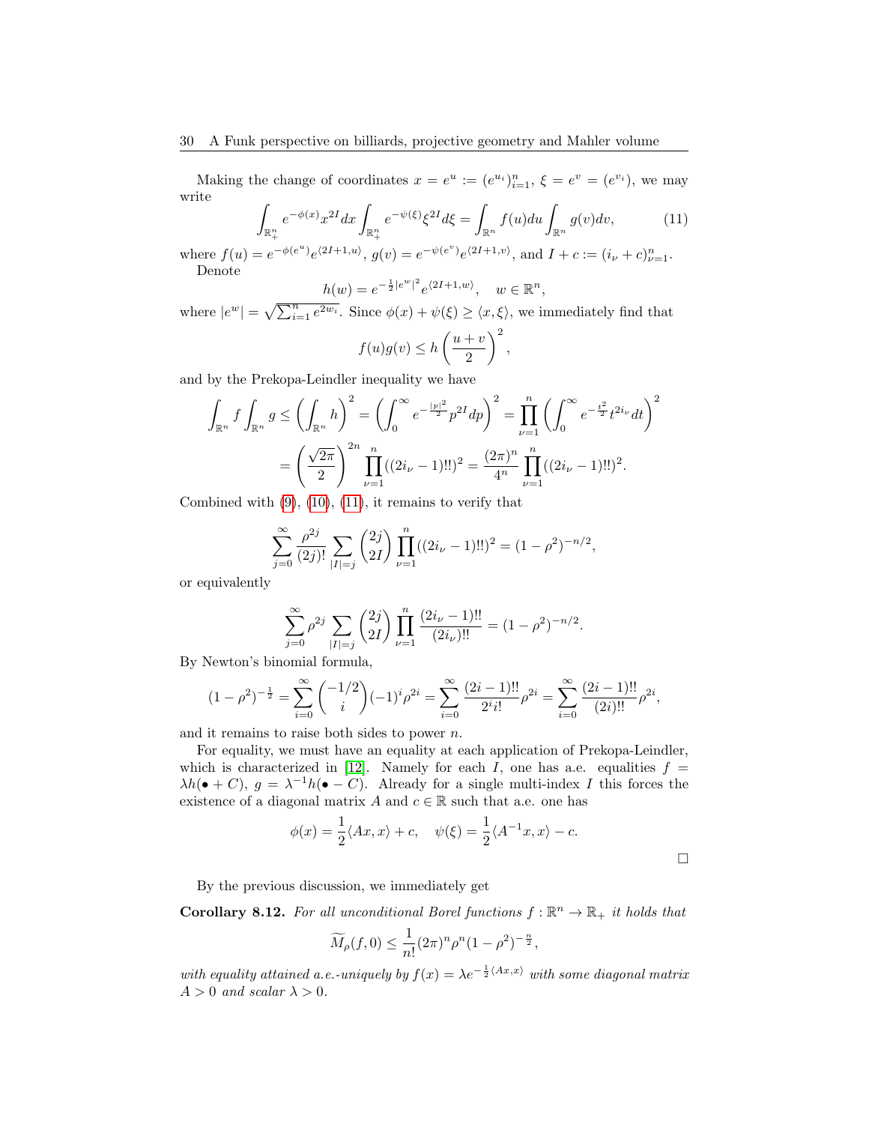Making the change of coordinates  $x = e^u := (e^{u_i})_{i=1}^n$ ,  $\xi = e^v = (e^{v_i})$ , we may write Z

<span id="page-29-0"></span>
$$
\int_{\mathbb{R}_+^n} e^{-\phi(x)} x^{2I} dx \int_{\mathbb{R}_+^n} e^{-\psi(\xi)} \xi^{2I} d\xi = \int_{\mathbb{R}^n} f(u) du \int_{\mathbb{R}^n} g(v) dv,
$$
\n(11)

where  $f(u) = e^{-\phi(e^u)} e^{\langle 2I+1, u \rangle}$ ,  $g(v) = e^{-\psi(e^v)} e^{\langle 2I+1, v \rangle}$ , and  $I + c := (i_{\nu} + c)_{\nu=1}^n$ . Denote

$$
h(w) = e^{-\frac{1}{2}|e^w|^2} e^{\langle 2I+1, w \rangle}, \quad w \in \mathbb{R}^n
$$

where  $|e^w| = \sqrt{\sum_{i=1}^n e^{2w_i}}$ . Since  $\phi(x) + \psi(\xi) \ge \langle x, \xi \rangle$ , we immediately find that

$$
f(u)g(v) \le h\left(\frac{u+v}{2}\right)^2,
$$

and by the Prekopa-Leindler inequality we have

$$
\int_{\mathbb{R}^n} f \int_{\mathbb{R}^n} g \le \left( \int_{\mathbb{R}^n} h \right)^2 = \left( \int_0^\infty e^{-\frac{|p|^2}{2}} p^{2I} dp \right)^2 = \prod_{\nu=1}^n \left( \int_0^\infty e^{-\frac{t^2}{2}} t^{2i_\nu} dt \right)^2
$$

$$
= \left( \frac{\sqrt{2\pi}}{2} \right)^{2n} \prod_{\nu=1}^n ((2i_\nu - 1)!!)^2 = \frac{(2\pi)^n}{4^n} \prod_{\nu=1}^n ((2i_\nu - 1)!!)^2.
$$

Combined with  $(9)$ ,  $(10)$ ,  $(11)$ , it remains to verify that

$$
\sum_{j=0}^{\infty} \frac{\rho^{2j}}{(2j)!} \sum_{|I|=j} {2j \choose 2I} \prod_{\nu=1}^{n} ((2i_{\nu} - 1)!!)^2 = (1 - \rho^2)^{-n/2},
$$

or equivalently

$$
\sum_{j=0}^{\infty} \rho^{2j} \sum_{|I|=j} {2j \choose 2I} \prod_{\nu=1}^{n} \frac{(2i_{\nu} - 1)!!}{(2i_{\nu})!!} = (1 - \rho^{2})^{-n/2}.
$$

By Newton's binomial formula,

$$
(1 - \rho^2)^{-\frac{1}{2}} = \sum_{i=0}^{\infty} {\binom{-1/2}{i}} (-1)^i \rho^{2i} = \sum_{i=0}^{\infty} \frac{(2i-1)!!}{2^i i!} \rho^{2i} = \sum_{i=0}^{\infty} \frac{(2i-1)!!}{(2i)!!} \rho^{2i},
$$

and it remains to raise both sides to power  $n$ .

For equality, we must have an equality at each application of Prekopa-Leindler, which is characterized in [\[12\]](#page-40-13). Namely for each I, one has a.e. equalities  $f =$  $\lambda h(\bullet + C), g = \lambda^{-1} h(\bullet - C).$  Already for a single multi-index I this forces the existence of a diagonal matrix A and  $c \in \mathbb{R}$  such that a.e. one has

$$
\phi(x) = \frac{1}{2} \langle Ax, x \rangle + c, \quad \psi(\xi) = \frac{1}{2} \langle A^{-1}x, x \rangle - c.
$$

By the previous discussion, we immediately get

**Corollary 8.12.** For all unconditional Borel functions  $f : \mathbb{R}^n \to \mathbb{R}_+$  it holds that

$$
\widetilde{M}_{\rho}(f,0) \le \frac{1}{n!} (2\pi)^n \rho^n (1-\rho^2)^{-\frac{n}{2}},
$$

with equality attained a.e.-uniquely by  $f(x) = \lambda e^{-\frac{1}{2} \langle Ax, x \rangle}$  with some diagonal matrix  $A > 0$  and scalar  $\lambda > 0$ .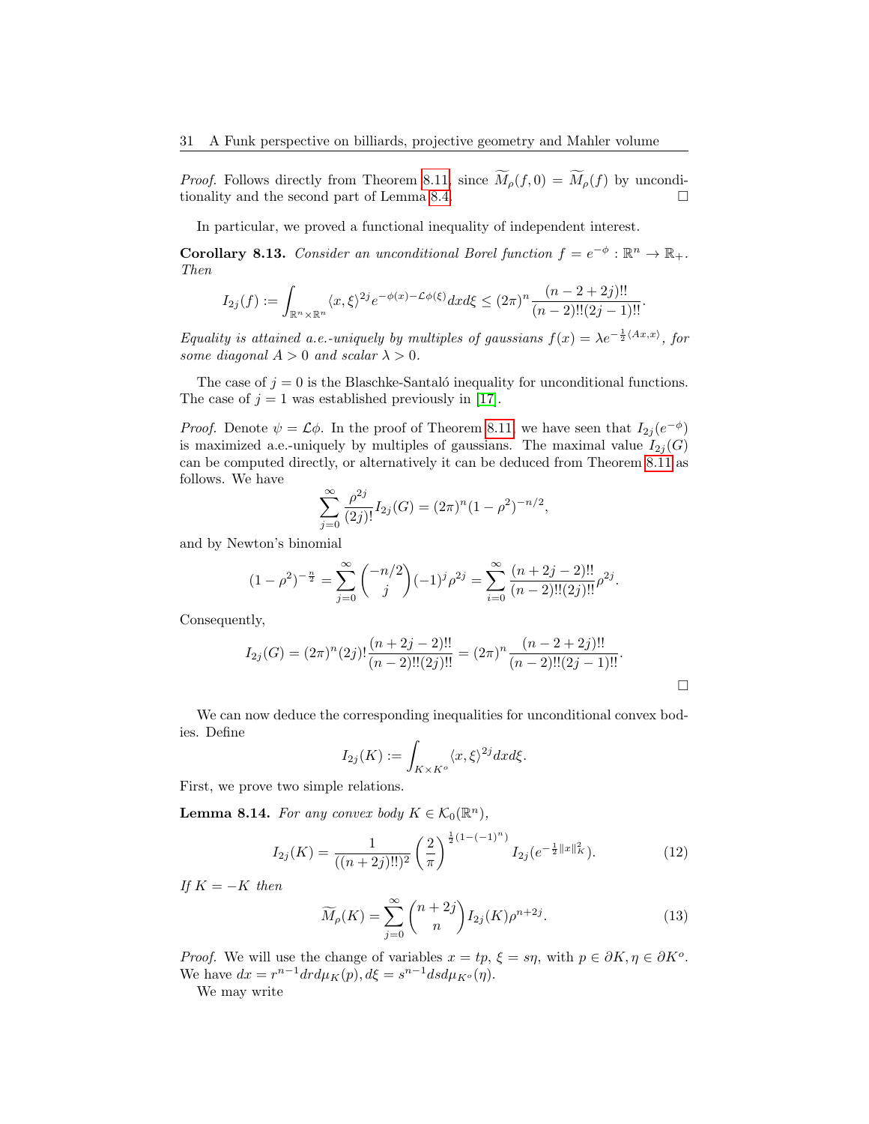*Proof.* Follows directly from Theorem [8.11,](#page-28-3) since  $\widetilde{M}_{\rho}(f, 0) = \widetilde{M}_{\rho}(f)$  by unconditionality and the second part of Lemma 8.4 tionality and the second part of Lemma [8.4.](#page-26-0)

In particular, we proved a functional inequality of independent interest.

<span id="page-30-0"></span>**Corollary 8.13.** Consider an unconditional Borel function  $f = e^{-\phi}: \mathbb{R}^n \to \mathbb{R}_+$ . Then

$$
I_{2j}(f) := \int_{\mathbb{R}^n \times \mathbb{R}^n} \langle x, \xi \rangle^{2j} e^{-\phi(x) - \mathcal{L}\phi(\xi)} dx d\xi \le (2\pi)^n \frac{(n-2+2j)!!}{(n-2)!!(2j-1)!!}.
$$

Equality is attained a.e.-uniquely by multiples of gaussians  $f(x) = \lambda e^{-\frac{1}{2} \langle Ax, x \rangle}$ , for some diagonal  $A > 0$  and scalar  $\lambda > 0$ .

The case of  $j = 0$  is the Blaschke-Santaló inequality for unconditional functions. The case of  $j = 1$  was established previously in [\[17\]](#page-41-10).

*Proof.* Denote  $\psi = \mathcal{L}\phi$ . In the proof of Theorem [8.11,](#page-28-3) we have seen that  $I_{2j}(e^{-\phi})$ is maximized a.e.-uniquely by multiples of gaussians. The maximal value  $I_{2j}(G)$ can be computed directly, or alternatively it can be deduced from Theorem [8.11](#page-28-3) as follows. We have

$$
\sum_{j=0}^{\infty} \frac{\rho^{2j}}{(2j)!} I_{2j}(G) = (2\pi)^n (1 - \rho^2)^{-n/2},
$$

and by Newton's binomial

$$
(1 - \rho^2)^{-\frac{n}{2}} = \sum_{j=0}^{\infty} {\binom{-n/2}{j}} (-1)^j \rho^{2j} = \sum_{i=0}^{\infty} \frac{(n+2j-2)!!}{(n-2)!!(2j)!!} \rho^{2j}.
$$

Consequently,

$$
I_{2j}(G) = (2\pi)^n (2j)! \frac{(n+2j-2)!!}{(n-2)!!(2j)!!} = (2\pi)^n \frac{(n-2+2j)!!}{(n-2)!!(2j-1)!!}.
$$

We can now deduce the corresponding inequalities for unconditional convex bodies. Define

$$
I_{2j}(K) := \int_{K \times K^{\circ}} \langle x, \xi \rangle^{2j} dx d\xi.
$$

First, we prove two simple relations.

**Lemma 8.14.** For any convex body  $K \in \mathcal{K}_0(\mathbb{R}^n)$ ,

<span id="page-30-1"></span>
$$
I_{2j}(K) = \frac{1}{((n+2j)!!)^2} \left(\frac{2}{\pi}\right)^{\frac{1}{2}(1-(-1)^n)} I_{2j}(e^{-\frac{1}{2}||x||_K^2}).
$$
 (12)

If  $K = -K$  then

<span id="page-30-2"></span>
$$
\widetilde{M}_{\rho}(K) = \sum_{j=0}^{\infty} {n+2j \choose n} I_{2j}(K) \rho^{n+2j}.
$$
\n(13)

*Proof.* We will use the change of variables  $x = tp$ ,  $\xi = sn$ , with  $p \in \partial K$ ,  $\eta \in \partial K^o$ . We have  $dx = r^{n-1} dr d\mu_K(p), d\xi = s^{n-1} ds d\mu_{K^o}(\eta).$ 

We may write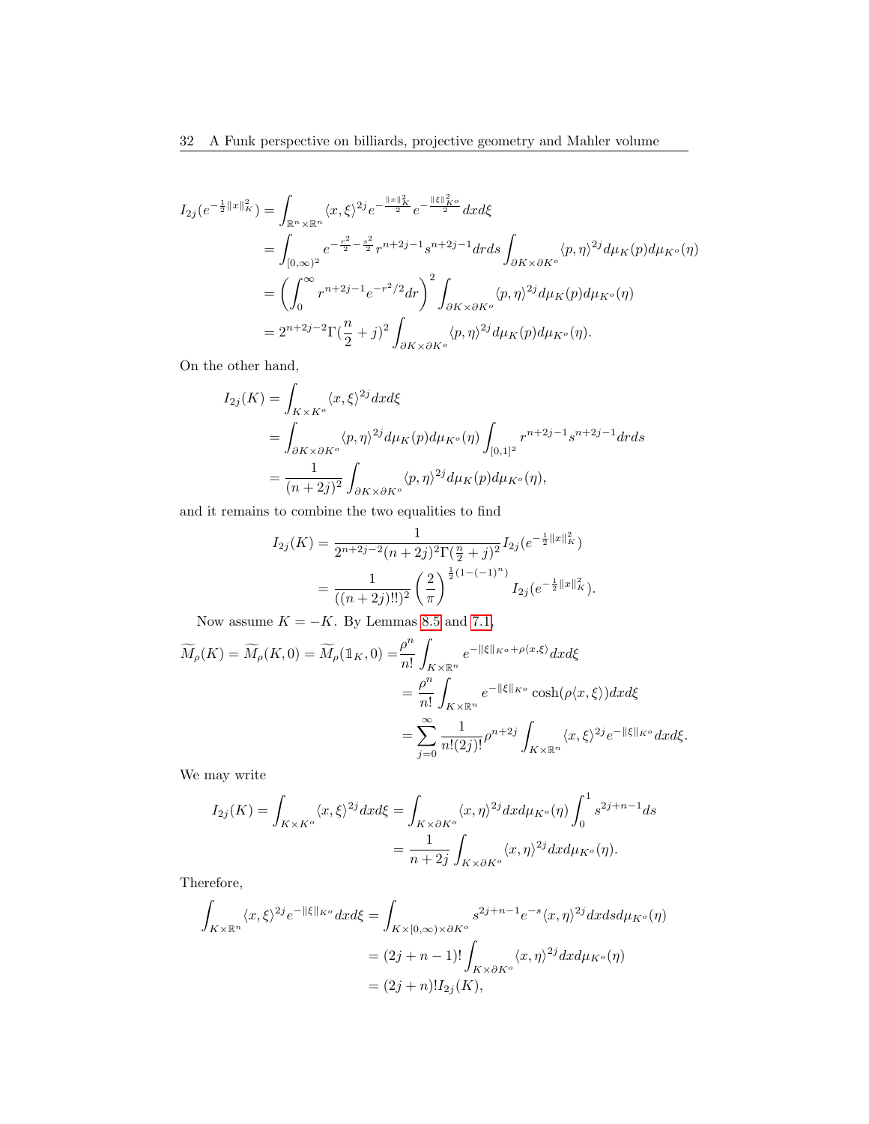$$
I_{2j}(e^{-\frac{1}{2}||x||_{K}^{2}}) = \int_{\mathbb{R}^{n} \times \mathbb{R}^{n}} \langle x, \xi \rangle^{2j} e^{-\frac{||x||_{K}^{2}}{2}} e^{-\frac{||\xi||_{K^{o}}^{2}}{2}} dx d\xi
$$
  
\n
$$
= \int_{[0,\infty)^{2}} e^{-\frac{r^{2}}{2} - \frac{s^{2}}{2}} r^{n+2j-1} s^{n+2j-1} dr ds \int_{\partial K \times \partial K^{o}} \langle p, \eta \rangle^{2j} d\mu_{K}(p) d\mu_{K^{o}}(\eta)
$$
  
\n
$$
= \left( \int_{0}^{\infty} r^{n+2j-1} e^{-r^{2}/2} dr \right)^{2} \int_{\partial K \times \partial K^{o}} \langle p, \eta \rangle^{2j} d\mu_{K}(p) d\mu_{K^{o}}(\eta)
$$
  
\n
$$
= 2^{n+2j-2} \Gamma(\frac{n}{2} + j)^{2} \int_{\partial K \times \partial K^{o}} \langle p, \eta \rangle^{2j} d\mu_{K}(p) d\mu_{K^{o}}(\eta).
$$

On the other hand,

$$
I_{2j}(K) = \int_{K \times K^o} \langle x, \xi \rangle^{2j} dx d\xi
$$
  
= 
$$
\int_{\partial K \times \partial K^o} \langle p, \eta \rangle^{2j} d\mu_K(p) d\mu_{K^o}(\eta) \int_{[0,1]^2} r^{n+2j-1} s^{n+2j-1} dr ds
$$
  
= 
$$
\frac{1}{(n+2j)^2} \int_{\partial K \times \partial K^o} \langle p, \eta \rangle^{2j} d\mu_K(p) d\mu_{K^o}(\eta),
$$

and it remains to combine the two equalities to find

$$
I_{2j}(K) = \frac{1}{2^{n+2j-2}(n+2j)^2 \Gamma(\frac{n}{2}+j)^2} I_{2j}(e^{-\frac{1}{2}||x||_K^2})
$$
  
= 
$$
\frac{1}{((n+2j)!!)^2} \left(\frac{2}{\pi}\right)^{\frac{1}{2}(1-(-1)^n)} I_{2j}(e^{-\frac{1}{2}||x||_K^2}).
$$

Now assume  $K = -K$ . By Lemmas [8.5](#page-26-1) and [7.1,](#page-21-1)

$$
\widetilde{M}_{\rho}(K) = \widetilde{M}_{\rho}(K,0) = \widetilde{M}_{\rho}(\mathbb{1}_{K},0) = \frac{\rho^{n}}{n!} \int_{K \times \mathbb{R}^{n}} e^{-\|\xi\|_{K^{o}} + \rho\langle x,\xi\rangle} dx d\xi
$$
  
\n
$$
= \frac{\rho^{n}}{n!} \int_{K \times \mathbb{R}^{n}} e^{-\|\xi\|_{K^{o}}} \cosh(\rho\langle x,\xi\rangle) dx d\xi
$$
  
\n
$$
= \sum_{j=0}^{\infty} \frac{1}{n!(2j)!} \rho^{n+2j} \int_{K \times \mathbb{R}^{n}} \langle x,\xi\rangle^{2j} e^{-\|\xi\|_{K^{o}}} dx d\xi.
$$

We may write

$$
I_{2j}(K) = \int_{K \times K^o} \langle x, \xi \rangle^{2j} dx d\xi = \int_{K \times \partial K^o} \langle x, \eta \rangle^{2j} dx d\mu_{K^o}(\eta) \int_0^1 s^{2j+n-1} ds
$$
  
= 
$$
\frac{1}{n+2j} \int_{K \times \partial K^o} \langle x, \eta \rangle^{2j} dx d\mu_{K^o}(\eta).
$$

Therefore,

$$
\int_{K \times \mathbb{R}^n} \langle x, \xi \rangle^{2j} e^{-\|\xi\|_{K^o}} dx d\xi = \int_{K \times [0, \infty) \times \partial K^o} s^{2j+n-1} e^{-s} \langle x, \eta \rangle^{2j} dx ds d\mu_{K^o}(\eta)
$$

$$
= (2j+n-1)! \int_{K \times \partial K^o} \langle x, \eta \rangle^{2j} dx d\mu_{K^o}(\eta)
$$

$$
= (2j+n)! I_{2j}(K),
$$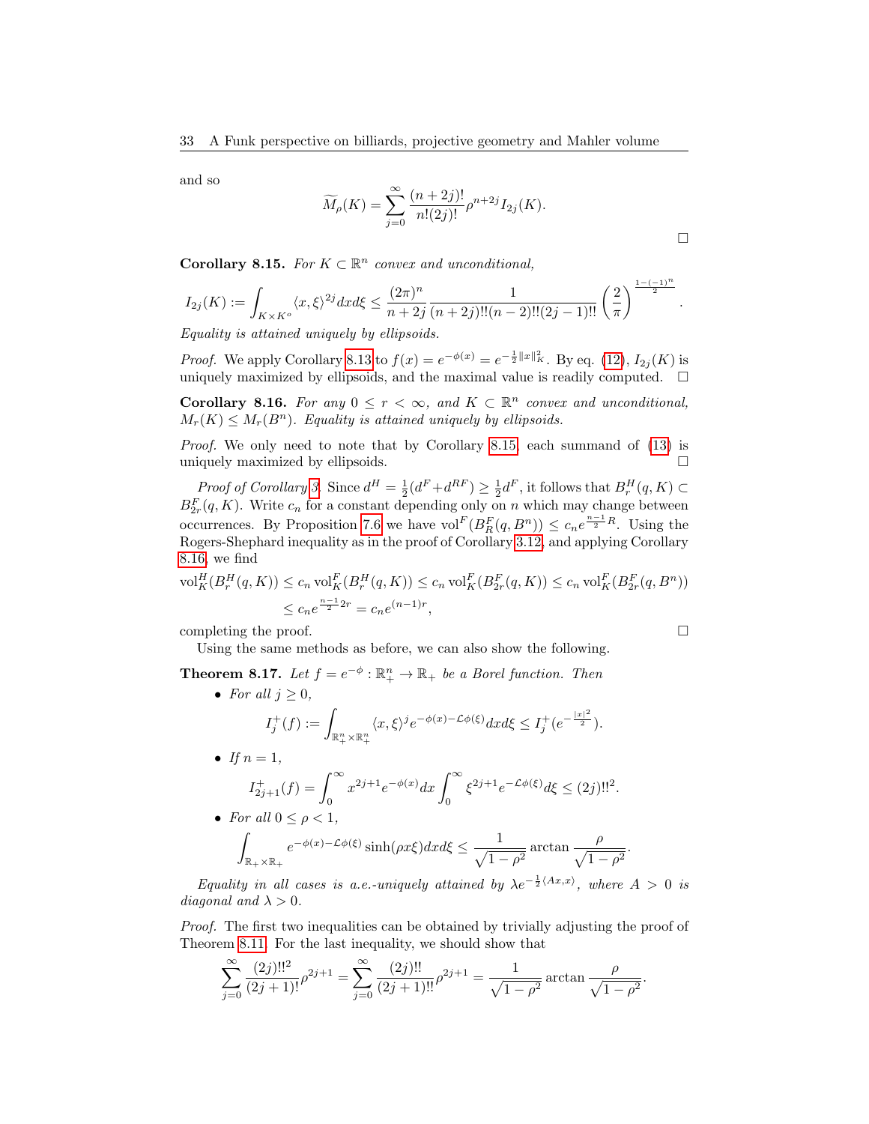and so

$$
\widetilde{M}_{\rho}(K) = \sum_{j=0}^{\infty} \frac{(n+2j)!}{n!(2j)!} \rho^{n+2j} I_{2j}(K).
$$

 $\Box$ 

.

<span id="page-32-0"></span>Corollary 8.15. For  $K \subset \mathbb{R}^n$  convex and unconditional,

$$
I_{2j}(K):=\int_{K\times K^o}\langle x,\xi\rangle^{2j}dxd\xi\leq \frac{(2\pi)^n}{n+2j}\frac{1}{(n+2j)!!(n-2)!!(2j-1)!!}\left(\frac{2}{\pi}\right)^{\frac{1-(-1)^n}{2}}
$$

Equality is attained uniquely by ellipsoids.

*Proof.* We apply Corollary [8.13](#page-30-0) to  $f(x) = e^{-\phi(x)} = e^{-\frac{1}{2}||x||_K^2}$ . By eq. [\(12\)](#page-30-1),  $I_{2j}(K)$  is uniquely maximized by ellipsoids, and the maximal value is readily computed.  $\square$ 

<span id="page-32-1"></span>**Corollary 8.16.** For any  $0 \leq r < \infty$ , and  $K \subset \mathbb{R}^n$  convex and unconditional,  $M_r(K) \leq M_r(B^n)$ . Equality is attained uniquely by ellipsoids.

Proof. We only need to note that by Corollary [8.15,](#page-32-0) each summand of [\(13\)](#page-30-2) is uniquely maximized by ellipsoids.

Proof of Corollary [3](#page-4-2). Since  $d^H = \frac{1}{2}(d^F + d^{RF}) \geq \frac{1}{2}d^F$ , it follows that  $B_r^H(q, K) \subset$  $B_{2r}^F(q,K)$ . Write  $c_n$  for a constant depending only on n which may change between occurrences. By Proposition [7.6](#page-24-1) we have  $\text{vol}^F(B_R^F(q, B^n)) \leq c_n e^{\frac{n-1}{2}R}$ . Using the Rogers-Shephard inequality as in the proof of Corollary [3.12,](#page-11-1) and applying Corollary [8.16,](#page-32-1) we find

$$
\text{vol}_{K}^{H}(B_{r}^{H}(q,K)) \leq c_{n} \text{ vol}_{K}^{F}(B_{r}^{H}(q,K)) \leq c_{n} \text{ vol}_{K}^{F}(B_{2r}^{F}(q,K)) \leq c_{n} \text{ vol}_{K}^{F}(B_{2r}^{F}(q,B^{n}))
$$
  

$$
\leq c_{n} e^{\frac{n-1}{2}2r} = c_{n} e^{(n-1)r},
$$

completing the proof.  $\Box$ 

Using the same methods as before, we can also show the following.

**Theorem 8.17.** Let  $f = e^{-\phi}: \mathbb{R}^n_+ \to \mathbb{R}_+$  be a Borel function. Then

• For all  $j \geq 0$ ,  $I_j^+(f) := \int_{\mathbb{R}^n_+ \times \mathbb{R}^n_+}$  $\langle x,\xi\rangle^j e^{-\phi(x)-\mathcal{L}\phi(\xi)}dxd\xi\leq I_j^+(e^{-\frac{|x|^2}{2}}).$ • If  $n=1$ ,  $I_{2j+1}^+(f) = \int_0^\infty$  $x^{2j+1}e^{-\phi(x)}dx \int_{-\infty}^{\infty}$ 0  $\xi^{2j+1} e^{-\mathcal{L}\phi(\xi)} d\xi \leq (2j)!!^2.$ • For all  $0 \leq \rho < 1$ , Z  $\mathbb{R}_+ \times \mathbb{R}_+$  $e^{-\phi(x)-\mathcal{L}\phi(\xi)}\sinh(\rho x\xi)dxd\xi\leq \frac{1}{\sqrt{2\pi}}$  $\frac{1}{\sqrt{1-\rho^2}} \arctan \frac{\rho}{\sqrt{1-\rho^2}}$  $\frac{r}{\sqrt{1-\rho^2}}$ 

Equality in all cases is a.e.-uniquely attained by  $\lambda e^{-\frac{1}{2}\langle Ax,x\rangle}$ , where  $A > 0$  is diagonal and  $\lambda > 0$ .

Proof. The first two inequalities can be obtained by trivially adjusting the proof of Theorem [8.11.](#page-28-3) For the last inequality, we should show that

$$
\sum_{j=0}^{\infty} \frac{(2j)!!^2}{(2j+1)!} \rho^{2j+1} = \sum_{j=0}^{\infty} \frac{(2j)!!}{(2j+1)!!} \rho^{2j+1} = \frac{1}{\sqrt{1-\rho^2}} \arctan \frac{\rho}{\sqrt{1-\rho^2}}.
$$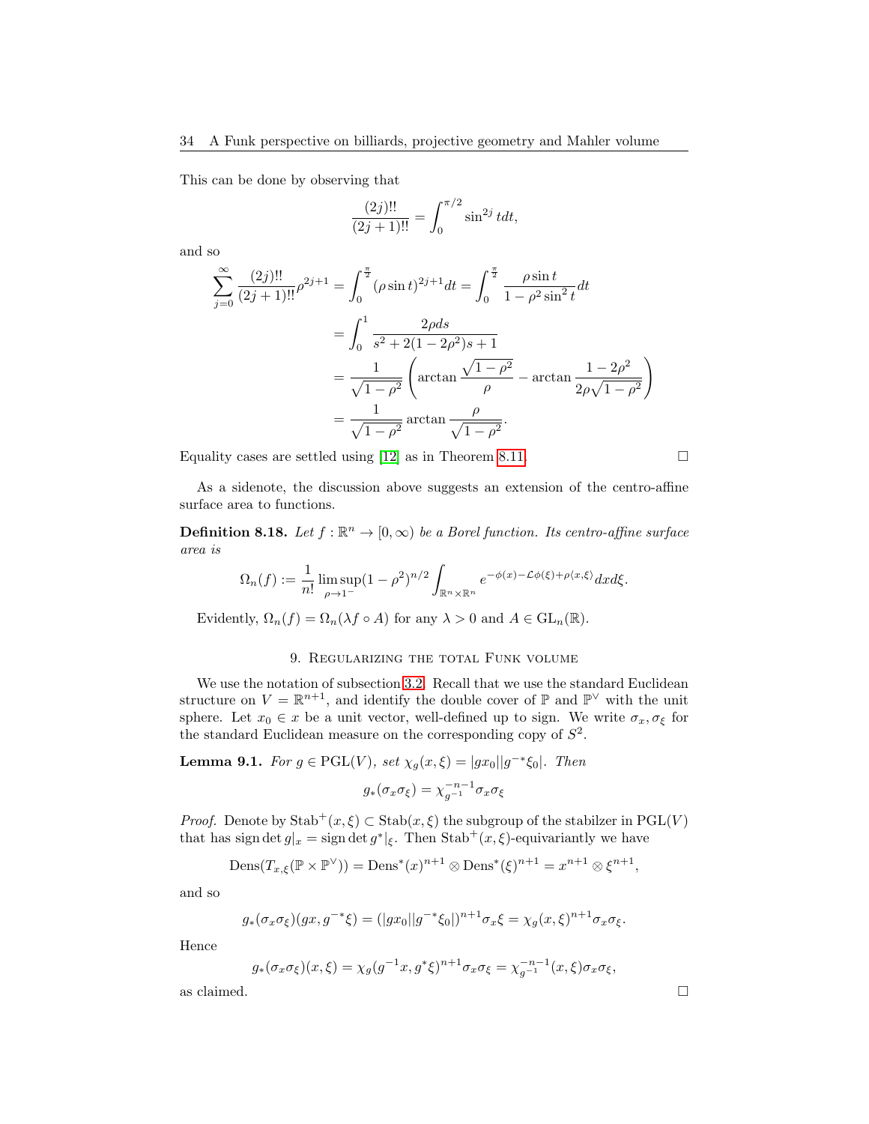This can be done by observing that

$$
\frac{(2j)!!}{(2j+1)!!} = \int_0^{\pi/2} \sin^{2j} t dt,
$$

and so

$$
\sum_{j=0}^{\infty} \frac{(2j)!!}{(2j+1)!!} \rho^{2j+1} = \int_0^{\frac{\pi}{2}} (\rho \sin t)^{2j+1} dt = \int_0^{\frac{\pi}{2}} \frac{\rho \sin t}{1 - \rho^2 \sin^2 t} dt
$$
  
= 
$$
\int_0^1 \frac{2\rho ds}{s^2 + 2(1 - 2\rho^2)s + 1}
$$
  
= 
$$
\frac{1}{\sqrt{1 - \rho^2}} \left( \arctan \frac{\sqrt{1 - \rho^2}}{\rho} - \arctan \frac{1 - 2\rho^2}{2\rho\sqrt{1 - \rho^2}} \right)
$$
  
= 
$$
\frac{1}{\sqrt{1 - \rho^2}} \arctan \frac{\rho}{\sqrt{1 - \rho^2}}.
$$

Equality cases are settled using [\[12\]](#page-40-13) as in Theorem [8.11.](#page-28-3)

$$
\qquad \qquad \Box
$$

As a sidenote, the discussion above suggests an extension of the centro-affine surface area to functions.

**Definition 8.18.** Let  $f : \mathbb{R}^n \to [0, \infty)$  be a Borel function. Its centro-affine surface area is

$$
\Omega_n(f) := \frac{1}{n!} \limsup_{\rho \to 1^-} (1 - \rho^2)^{n/2} \int_{\mathbb{R}^n \times \mathbb{R}^n} e^{-\phi(x) - \mathcal{L}\phi(\xi) + \rho\langle x, \xi \rangle} dx d\xi.
$$

Evidently,  $\Omega_n(f) = \Omega_n(\lambda f \circ A)$  for any  $\lambda > 0$  and  $A \in GL_n(\mathbb{R})$ .

# 9. Regularizing the total Funk volume

<span id="page-33-0"></span>We use the notation of subsection [3.2.](#page-10-0) Recall that we use the standard Euclidean structure on  $V = \mathbb{R}^{n+1}$ , and identify the double cover of  $\mathbb{P}$  and  $\mathbb{P}^{\vee}$  with the unit sphere. Let  $x_0 \in x$  be a unit vector, well-defined up to sign. We write  $\sigma_x, \sigma_\xi$  for the standard Euclidean measure on the corresponding copy of  $S^2$ .

<span id="page-33-1"></span>**Lemma 9.1.** For  $g \in \text{PGL}(V)$ , set  $\chi_g(x,\xi) = |gx_0||g^{-*}\xi_0|$ . Then

$$
g_*(\sigma_x \sigma_{\xi}) = \chi_{g^{-1}}^{-n-1} \sigma_x \sigma_{\xi}
$$

*Proof.* Denote by  $\text{Stab}^+(x,\xi) \subset \text{Stab}(x,\xi)$  the subgroup of the stabilzer in  $\text{PGL}(V)$ that has sign det  $g_x = \text{sign} \det g^*|_{\xi}$ . Then  $\text{Stab}^+(x, \xi)$ -equivariantly we have

$$
\operatorname{Dens}(T_{x,\xi}(\mathbb{P}\times\mathbb{P}^{\vee}))=\operatorname{Dens}^*(x)^{n+1}\otimes\operatorname{Dens}^*(\xi)^{n+1}=x^{n+1}\otimes\xi^{n+1},
$$

and so

$$
g_*(\sigma_x \sigma_{\xi})(gx, g^{-*}\xi) = (|gx_0||g^{-*}\xi_0|)^{n+1} \sigma_x \xi = \chi_g(x, \xi)^{n+1} \sigma_x \sigma_{\xi}.
$$

Hence

$$
g_*(\sigma_x \sigma_{\xi})(x,\xi) = \chi_g(g^{-1}x, g^*\xi)^{n+1} \sigma_x \sigma_{\xi} = \chi_{g^{-1}}^{-n-1}(x,\xi) \sigma_x \sigma_{\xi},
$$

as claimed.

$$
\qquad \qquad \Box
$$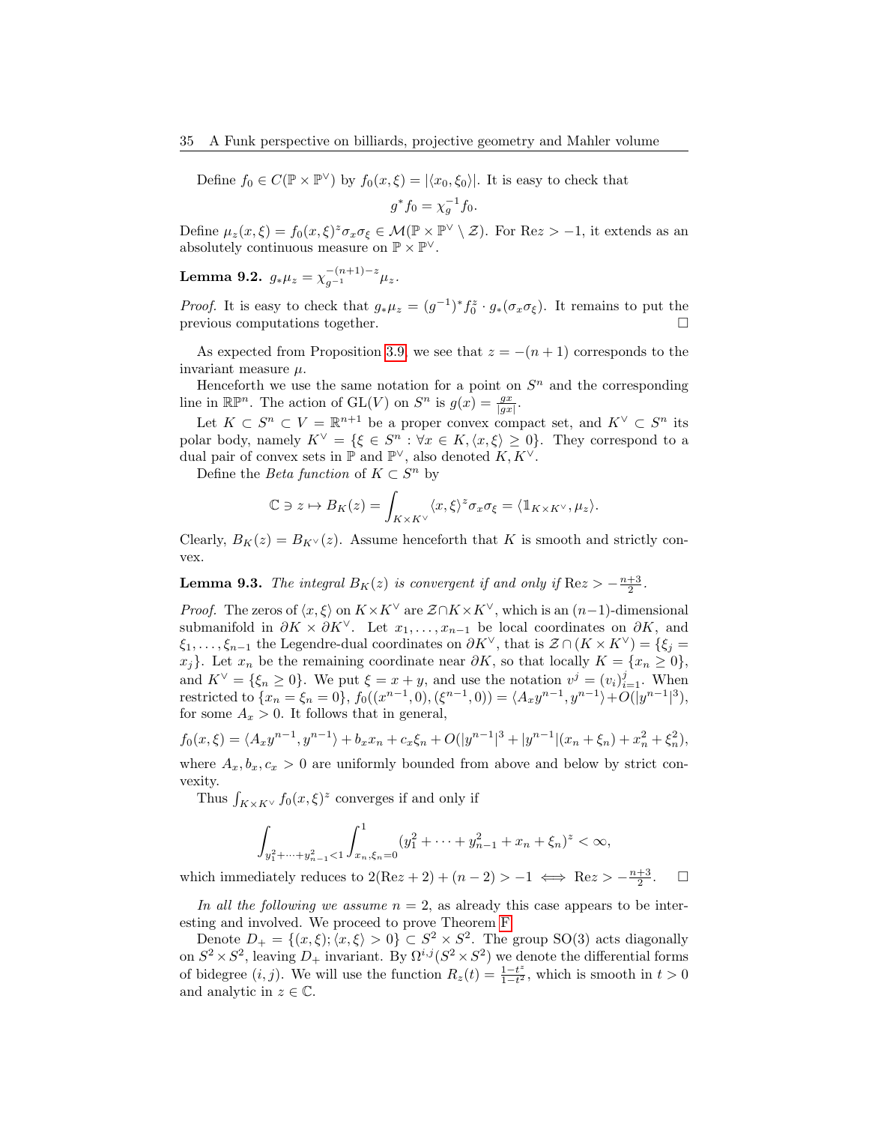Define  $f_0 \in C(\mathbb{P} \times \mathbb{P}^{\vee})$  by  $f_0(x,\xi) = |\langle x_0, \xi_0 \rangle|$ . It is easy to check that

$$
g^* f_0 = \chi_g^{-1} f_0.
$$

Define  $\mu_z(x,\xi) = f_0(x,\xi)^z \sigma_x \sigma_\xi \in \mathcal{M}(\mathbb{P} \times \mathbb{P}^\vee \setminus \mathcal{Z})$ . For Re $z > -1$ , it extends as an absolutely continuous measure on  $\mathbb{P} \times \mathbb{P}^{\vee}$ .

<span id="page-34-1"></span>Lemma 9.2.  $g_*\mu_z = \chi_{g^{-1}}^{-(n+1)-z}\mu_z$ .

*Proof.* It is easy to check that  $g_*\mu_z = (g^{-1})^* f_0^z \cdot g_*(\sigma_x \sigma_\xi)$ . It remains to put the previous computations together.

As expected from Proposition [3.9,](#page-10-4) we see that  $z = -(n+1)$  corresponds to the invariant measure  $\mu$ .

Henceforth we use the same notation for a point on  $S<sup>n</sup>$  and the corresponding line in  $\mathbb{R}\mathbb{P}^n$ . The action of  $GL(V)$  on  $S^n$  is  $g(x) = \frac{gx}{|gx|}$ .

Let  $K \subset S^n \subset V = \mathbb{R}^{n+1}$  be a proper convex compact set, and  $K^{\vee} \subset S^n$  its polar body, namely  $K^{\vee} = \{\xi \in S^n : \forall x \in K, \langle x, \xi \rangle \geq 0\}.$  They correspond to a dual pair of convex sets in  $\mathbb P$  and  $\mathbb P^{\vee}$ , also denoted  $K, K^{\vee}$ .

Define the *Beta function* of  $K \subset S^n$  by

$$
\mathbb{C} \ni z \mapsto B_K(z) = \int_{K \times K^{\vee}} \langle x, \xi \rangle^z \sigma_x \sigma_{\xi} = \langle \mathbb{1}_{K \times K^{\vee}}, \mu_z \rangle.
$$

Clearly,  $B_K(z) = B_{K^{\vee}}(z)$ . Assume henceforth that K is smooth and strictly convex.

<span id="page-34-0"></span>**Lemma 9.3.** The integral  $B_K(z)$  is convergent if and only if  $\text{Re}z > -\frac{n+3}{2}$ .

*Proof.* The zeros of  $\langle x, \xi \rangle$  on  $K \times K^{\vee}$  are  $\mathcal{Z} \cap K \times K^{\vee}$ , which is an  $(n-1)$ -dimensional submanifold in  $\partial K \times \partial K^{\vee}$ . Let  $x_1, \ldots, x_{n-1}$  be local coordinates on  $\partial K$ , and  $\xi_1, \ldots, \xi_{n-1}$  the Legendre-dual coordinates on  $\partial K^{\vee}$ , that is  $\mathcal{Z} \cap (K \times K^{\vee}) = \{\xi_j = \xi_j\}$  $x_i$ }. Let  $x_n$  be the remaining coordinate near  $\partial K$ , so that locally  $K = \{x_n \geq 0\},$ and  $K^{\vee} = \{\xi_n \geq 0\}$ . We put  $\xi = x + y$ , and use the notation  $v^j = (v_i)_{i=1}^j$ . When restricted to  $\{x_n = \xi_n = 0\}$ ,  $f_0((x^{n-1}, 0), (\xi^{n-1}, 0)) = \langle A_x y^{n-1}, y^{n-1} \rangle + O(|y^{n-1}|^3)$ , for some  $A_x > 0$ . It follows that in general,

$$
f_0(x,\xi) = \langle A_x y^{n-1}, y^{n-1} \rangle + b_x x_n + c_x \xi_n + O(|y^{n-1}|^3 + |y^{n-1}| (x_n + \xi_n) + x_n^2 + \xi_n^2),
$$

where  $A_x, b_x, c_x > 0$  are uniformly bounded from above and below by strict convexity.

Thus  $\int_{K\times K^{\vee}} f_0(x,\xi)^z$  converges if and only if

$$
\int_{y_1^2 + \dots + y_{n-1}^2 < 1} \int_{x_n, \xi_n = 0}^1 (y_1^2 + \dots + y_{n-1}^2 + x_n + \xi_n)^z < \infty,
$$

which immediately reduces to  $2(Rez + 2) + (n - 2) > -1 \iff Rez > -\frac{n+3}{2}$  $\Box$ 

In all the following we assume  $n = 2$ , as already this case appears to be interesting and involved. We proceed to prove Theorem [F.](#page-5-2)

Denote  $D_+ = \{(x, \xi); \langle x, \xi \rangle > 0\} \subset S^2 \times S^2$ . The group SO(3) acts diagonally on  $S^2 \times S^2$ , leaving  $D_+$  invariant. By  $\Omega^{i,j}(S^2 \times S^2)$  we denote the differential forms of bidegree  $(i, j)$ . We will use the function  $R_z(t) = \frac{1-t^z}{1-t^z}$  $\frac{1-t^2}{1-t^2}$ , which is smooth in  $t > 0$ and analytic in  $z \in \mathbb{C}$ .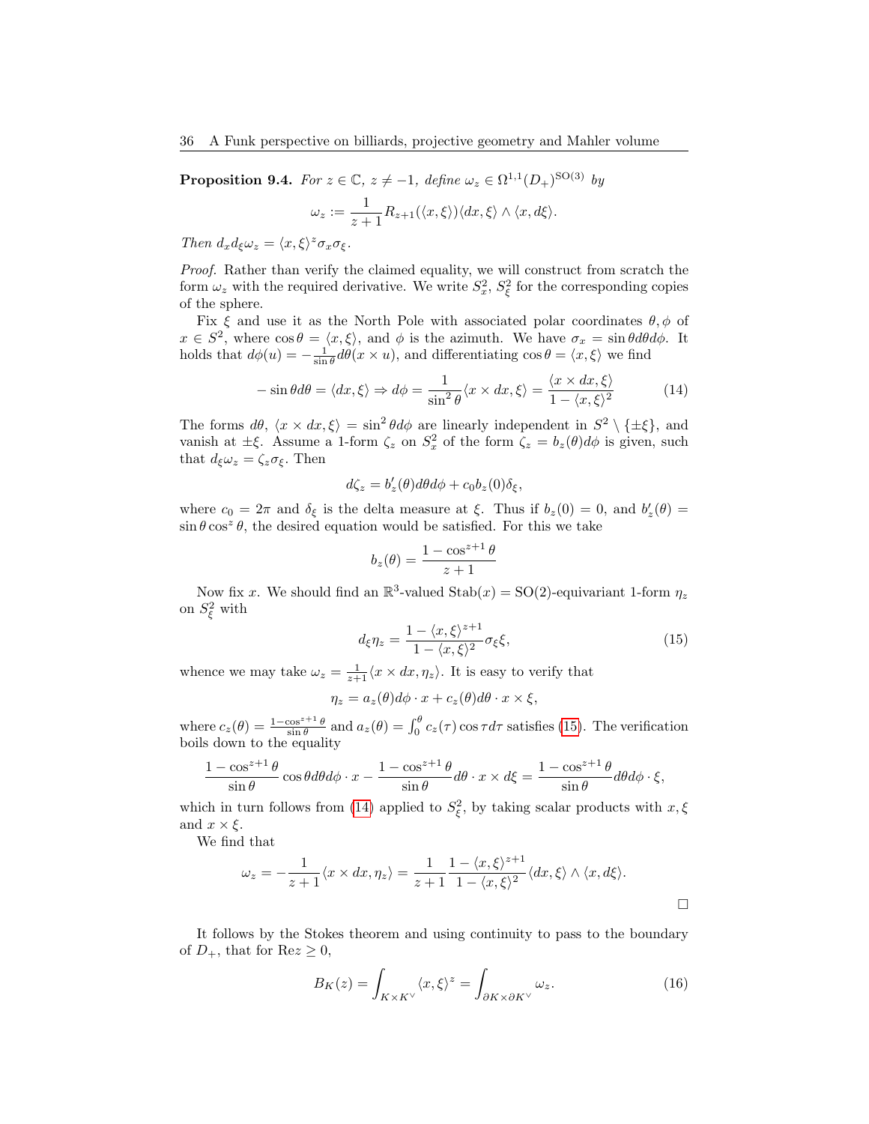<span id="page-35-3"></span>**Proposition 9.4.** For  $z \in \mathbb{C}$ ,  $z \neq -1$ , define  $\omega_z \in \Omega^{1,1}(D_+)^{\text{SO}(3)}$  by

$$
\omega_z := \frac{1}{z+1} R_{z+1}(\langle x,\xi \rangle) \langle dx,\xi \rangle \wedge \langle x,d\xi \rangle.
$$

Then  $d_x d_\xi \omega_z = \langle x, \xi \rangle^z \sigma_x \sigma_\xi$ .

Proof. Rather than verify the claimed equality, we will construct from scratch the form  $\omega_z$  with the required derivative. We write  $S_x^2$ ,  $S_\xi^2$  for the corresponding copies of the sphere.

Fix  $\xi$  and use it as the North Pole with associated polar coordinates  $\theta$ ,  $\phi$  of  $x \in S^2$ , where  $\cos \theta = \langle x, \xi \rangle$ , and  $\phi$  is the azimuth. We have  $\sigma_x = \sin \theta d\theta d\phi$ . It holds that  $d\phi(u) = -\frac{1}{\sin \theta} d\theta(x \times u)$ , and differentiating  $\cos \theta = \langle x, \xi \rangle$  we find

<span id="page-35-1"></span>
$$
-\sin\theta d\theta = \langle dx, \xi \rangle \Rightarrow d\phi = \frac{1}{\sin^2 \theta} \langle x \times dx, \xi \rangle = \frac{\langle x \times dx, \xi \rangle}{1 - \langle x, \xi \rangle^2}
$$
(14)

The forms  $d\theta$ ,  $\langle x \times dx, \xi \rangle = \sin^2 \theta d\phi$  are linearly independent in  $S^2 \setminus {\{\pm \xi\}}$ , and vanish at  $\pm \xi$ . Assume a 1-form  $\zeta_z$  on  $S_x^2$  of the form  $\zeta_z = b_z(\theta)d\phi$  is given, such that  $d_{\xi}\omega_z = \zeta_z \sigma_{\xi}$ . Then

$$
d\zeta_z = b'_z(\theta)d\theta d\phi + c_0 b_z(0)\delta_{\xi},
$$

where  $c_0 = 2\pi$  and  $\delta_{\xi}$  is the delta measure at  $\xi$ . Thus if  $b_z(0) = 0$ , and  $b'_z(\theta) =$  $\sin \theta \cos^2 \theta$ , the desired equation would be satisfied. For this we take

$$
b_z(\theta) = \frac{1 - \cos^{z+1}\theta}{z+1}
$$

Now fix x. We should find an  $\mathbb{R}^3$ -valued  $\text{Stab}(x) = \text{SO}(2)$ -equivariant 1-form  $\eta_z$ on  $S_{\xi}^2$  with

<span id="page-35-0"></span>
$$
d_{\xi}\eta_z = \frac{1 - \langle x, \xi \rangle^{z+1}}{1 - \langle x, \xi \rangle^2} \sigma_{\xi} \xi,
$$
\n(15)

whence we may take  $\omega_z = \frac{1}{z+1} \langle x \times dx, \eta_z \rangle$ . It is easy to verify that

$$
\eta_z = a_z(\theta)d\phi \cdot x + c_z(\theta)d\theta \cdot x \times \xi,
$$

where  $c_z(\theta) = \frac{1-\cos^{z+1}\theta}{\sin\theta}$  and  $a_z(\theta) = \int_0^{\theta} c_z(\tau) \cos \tau d\tau$  satisfies [\(15\)](#page-35-0). The verification boils down to the equality

$$
\frac{1-\cos^{z+1}\theta}{\sin\theta}\cos\theta d\theta d\phi \cdot x - \frac{1-\cos^{z+1}\theta}{\sin\theta}d\theta \cdot x \times d\xi = \frac{1-\cos^{z+1}\theta}{\sin\theta}d\theta d\phi \cdot \xi,
$$

which in turn follows from [\(14\)](#page-35-1) applied to  $S_{\xi}^2$ , by taking scalar products with  $x, \xi$ and  $x \times \xi$ .

We find that

$$
\omega_z = -\frac{1}{z+1} \langle x \times dx, \eta_z \rangle = \frac{1}{z+1} \frac{1 - \langle x, \xi \rangle^{z+1}}{1 - \langle x, \xi \rangle^2} \langle dx, \xi \rangle \wedge \langle x, d\xi \rangle.
$$

It follows by the Stokes theorem and using continuity to pass to the boundary of  $D_+$ , that for  $\text{Re } z \geq 0$ ,

<span id="page-35-2"></span>
$$
B_K(z) = \int_{K \times K^{\vee}} \langle x, \xi \rangle^z = \int_{\partial K \times \partial K^{\vee}} \omega_z.
$$
 (16)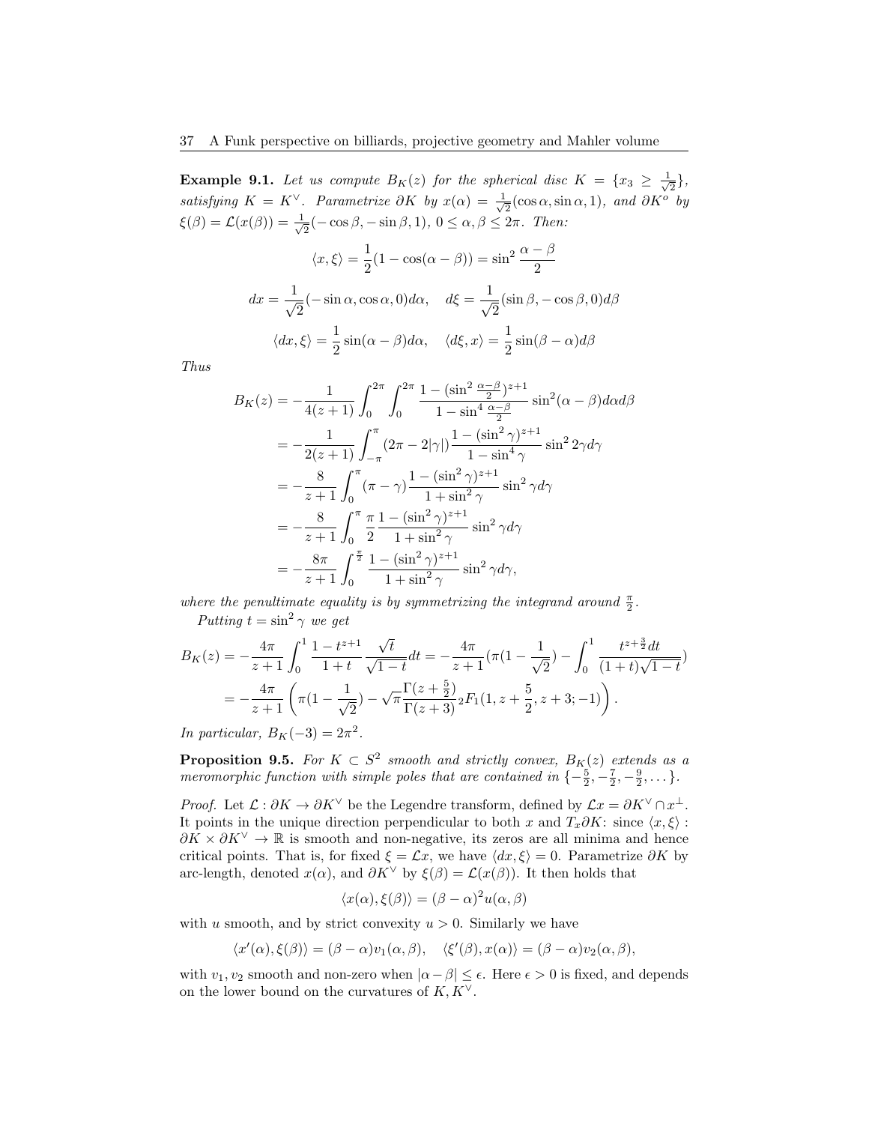**Example 9.1.** Let us compute  $B_K(z)$  for the spherical disc  $K = \{x_3 \geq \frac{1}{\sqrt{2}}\}$  $\frac{1}{2}\},$ satisfying  $K = K^{\vee}$ . Parametrize ∂K by  $x(\alpha) = \frac{1}{\alpha}$  $\frac{1}{2}(\cos\alpha, \sin\alpha, 1)$ , and  $\partial K^o$  by  $\xi(\beta) = \mathcal{L}(x(\beta)) = \frac{1}{\beta}$  $\frac{1}{2}(-\cos\beta, -\sin\beta, 1), 0 \le \alpha, \beta \le 2\pi$ . Then:

$$
\langle x, \xi \rangle = \frac{1}{2} (1 - \cos(\alpha - \beta)) = \sin^2 \frac{\alpha - \beta}{2}
$$

$$
dx = \frac{1}{\sqrt{2}} (-\sin \alpha, \cos \alpha, 0) d\alpha, \quad d\xi = \frac{1}{\sqrt{2}} (\sin \beta, -\cos \beta, 0) d\beta
$$

$$
\langle dx, \xi \rangle = \frac{1}{2} \sin(\alpha - \beta) d\alpha, \quad \langle d\xi, x \rangle = \frac{1}{2} \sin(\beta - \alpha) d\beta
$$

Thus

$$
B_K(z) = -\frac{1}{4(z+1)} \int_0^{2\pi} \int_0^{2\pi} \frac{1 - (\sin^2 \frac{\alpha - \beta}{2})^{z+1}}{1 - \sin^4 \frac{\alpha - \beta}{2}} \sin^2(\alpha - \beta) d\alpha d\beta
$$
  
\n
$$
= -\frac{1}{2(z+1)} \int_{-\pi}^{\pi} (2\pi - 2|\gamma|) \frac{1 - (\sin^2 \gamma)^{z+1}}{1 - \sin^4 \gamma} \sin^2 2\gamma d\gamma
$$
  
\n
$$
= -\frac{8}{z+1} \int_0^{\pi} (\pi - \gamma) \frac{1 - (\sin^2 \gamma)^{z+1}}{1 + \sin^2 \gamma} \sin^2 \gamma d\gamma
$$
  
\n
$$
= -\frac{8}{z+1} \int_0^{\pi} \frac{\pi}{2} \frac{1 - (\sin^2 \gamma)^{z+1}}{1 + \sin^2 \gamma} \sin^2 \gamma d\gamma
$$
  
\n
$$
= -\frac{8\pi}{z+1} \int_0^{\frac{\pi}{2}} \frac{1 - (\sin^2 \gamma)^{z+1}}{1 + \sin^2 \gamma} \sin^2 \gamma d\gamma,
$$

where the penultimate equality is by symmetrizing the integrand around  $\frac{\pi}{2}$ . Putting  $t = \sin^2 \gamma$  we get

$$
B_K(z) = -\frac{4\pi}{z+1} \int_0^1 \frac{1-t^{z+1}}{1+t} \frac{\sqrt{t}}{\sqrt{1-t}} dt = -\frac{4\pi}{z+1} (\pi (1 - \frac{1}{\sqrt{2}}) - \int_0^1 \frac{t^{z+\frac{3}{2}} dt}{(1+t)\sqrt{1-t}})
$$
  
=  $-\frac{4\pi}{z+1} \left( \pi (1 - \frac{1}{\sqrt{2}}) - \sqrt{\pi} \frac{\Gamma(z+\frac{5}{2})}{\Gamma(z+3)} {}_2F_1(1, z+\frac{5}{2}, z+3; -1) \right).$ 

In particular,  $B_K(-3) = 2\pi^2$ .

**Proposition 9.5.** For  $K \subset S^2$  smooth and strictly convex,  $B_K(z)$  extends as a meromorphic function with simple poles that are contained in  $\{-\frac{5}{2}, -\frac{7}{2}, -\frac{9}{2}, \dots\}$ .

*Proof.* Let  $\mathcal{L} : \partial K \to \partial K^{\vee}$  be the Legendre transform, defined by  $\mathcal{L}x = \partial K^{\vee} \cap x^{\perp}$ . It points in the unique direction perpendicular to both x and  $T_x\partial K$ : since  $\langle x,\xi\rangle$ :  $\partial K \times \partial K^{\vee} \to \mathbb{R}$  is smooth and non-negative, its zeros are all minima and hence critical points. That is, for fixed  $\xi = \mathcal{L}x$ , we have  $\langle dx, \xi \rangle = 0$ . Parametrize ∂K by arc-length, denoted  $x(\alpha)$ , and  $\partial K^{\vee}$  by  $\xi(\beta) = \mathcal{L}(x(\beta))$ . It then holds that

$$
\langle x(\alpha), \xi(\beta) \rangle = (\beta - \alpha)^2 u(\alpha, \beta)
$$

with u smooth, and by strict convexity  $u > 0$ . Similarly we have

$$
\langle x'(\alpha), \xi(\beta) \rangle = (\beta - \alpha) v_1(\alpha, \beta), \quad \langle \xi'(\beta), x(\alpha) \rangle = (\beta - \alpha) v_2(\alpha, \beta),
$$

with  $v_1, v_2$  smooth and non-zero when  $|\alpha - \beta| \leq \epsilon$ . Here  $\epsilon > 0$  is fixed, and depends on the lower bound on the curvatures of  $K, K^{\vee}$ .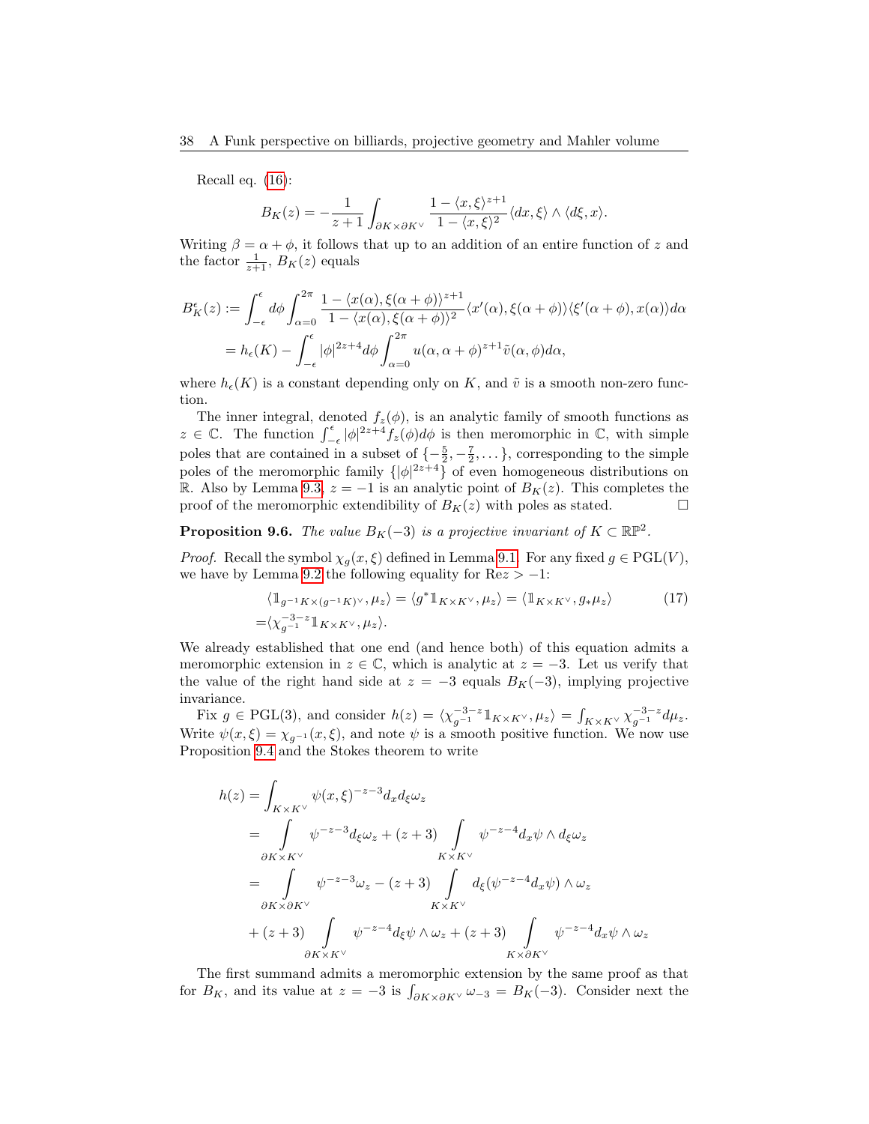Recall eq. [\(16\)](#page-35-2):

$$
B_K(z) = -\frac{1}{z+1} \int_{\partial K \times \partial K^{\vee}} \frac{1 - \langle x, \xi \rangle^{z+1}}{1 - \langle x, \xi \rangle^2} \langle dx, \xi \rangle \wedge \langle d\xi, x \rangle.
$$

Writing  $\beta = \alpha + \phi$ , it follows that up to an addition of an entire function of z and the factor  $\frac{1}{z+1}$ ,  $B_K(z)$  equals

$$
B_K^{\epsilon}(z) := \int_{-\epsilon}^{\epsilon} d\phi \int_{\alpha=0}^{2\pi} \frac{1 - \langle x(\alpha), \xi(\alpha+\phi) \rangle^{z+1}}{1 - \langle x(\alpha), \xi(\alpha+\phi) \rangle^2} \langle x'(\alpha), \xi(\alpha+\phi) \rangle \langle \xi'(\alpha+\phi), x(\alpha) \rangle d\alpha
$$
  
=  $h_{\epsilon}(K) - \int_{-\epsilon}^{\epsilon} |\phi|^{2z+4} d\phi \int_{\alpha=0}^{2\pi} u(\alpha, \alpha+\phi)^{z+1} \tilde{v}(\alpha, \phi) d\alpha,$ 

where  $h_{\epsilon}(K)$  is a constant depending only on K, and  $\tilde{v}$  is a smooth non-zero function.

The inner integral, denoted  $f_z(\phi)$ , is an analytic family of smooth functions as  $z \in \mathbb{C}$ . The function  $\int_{-\epsilon}^{\epsilon} |\phi|^{2z+4} f_z(\phi) d\phi$  is then meromorphic in  $\mathbb{C}$ , with simple poles that are contained in a subset of  $\{-\frac{5}{2}, -\frac{7}{2}, \dots\}$ , corresponding to the simple poles of the meromorphic family  $\{|\phi|^{2z+4}\}$  of even homogeneous distributions on R. Also by Lemma [9.3,](#page-34-0)  $z = -1$  is an analytic point of  $B_K(z)$ . This completes the proof of the meromorphic extendibility of  $B_K(z)$  with poles as stated.

# **Proposition 9.6.** The value  $B_K(-3)$  is a projective invariant of  $K \subset \mathbb{RP}^2$ .

*Proof.* Recall the symbol  $\chi_g(x, \xi)$  defined in Lemma [9.1.](#page-33-1) For any fixed  $g \in \mathrm{PGL}(V)$ , we have by Lemma [9.2](#page-34-1) the following equality for  $\text{Re} z > -1$ :

$$
\langle \mathbb{1}_{g^{-1}K \times (g^{-1}K)^{\vee}}, \mu_z \rangle = \langle g^* \mathbb{1}_{K \times K^{\vee}}, \mu_z \rangle = \langle \mathbb{1}_{K \times K^{\vee}}, g_* \mu_z \rangle
$$
\n
$$
= \langle \chi_{g^{-1}}^{-3-z} \mathbb{1}_{K \times K^{\vee}}, \mu_z \rangle.
$$
\n(17)

We already established that one end (and hence both) of this equation admits a meromorphic extension in  $z \in \mathbb{C}$ , which is analytic at  $z = -3$ . Let us verify that the value of the right hand side at  $z = -3$  equals  $B_K(-3)$ , implying projective invariance.

Fix  $g \in \text{PGL}(3)$ , and consider  $h(z) = \langle \chi_{g^{-1}}^{-3-z} \mathbb{1}_{K \times K^\vee}, \mu_z \rangle = \int_{K \times K^\vee} \chi_{g^{-1}}^{-3-z} d\mu_z$ . Write  $\psi(x,\xi) = \chi_{q^{-1}}(x,\xi)$ , and note  $\psi$  is a smooth positive function. We now use Proposition [9.4](#page-35-3) and the Stokes theorem to write

$$
h(z) = \int_{K \times K^{\vee}} \psi(x,\xi)^{-z-3} d_x d_{\xi} \omega_z
$$
  
\n
$$
= \int_{\partial K \times K^{\vee}} \psi^{-z-3} d_{\xi} \omega_z + (z+3) \int_{K \times K^{\vee}} \psi^{-z-4} d_x \psi \wedge d_{\xi} \omega_z
$$
  
\n
$$
= \int_{\partial K \times \partial K^{\vee}} \psi^{-z-3} \omega_z - (z+3) \int_{K \times K^{\vee}} d_{\xi} (\psi^{-z-4} d_x \psi) \wedge \omega_z
$$
  
\n
$$
+ (z+3) \int_{\partial K \times K^{\vee}} \psi^{-z-4} d_{\xi} \psi \wedge \omega_z + (z+3) \int_{K \times \partial K^{\vee}} \psi^{-z-4} d_x \psi \wedge \omega_z
$$

The first summand admits a meromorphic extension by the same proof as that for  $B_K$ , and its value at  $z = -3$  is  $\int_{\partial K \times \partial K} \omega_{-3} = B_K(-3)$ . Consider next the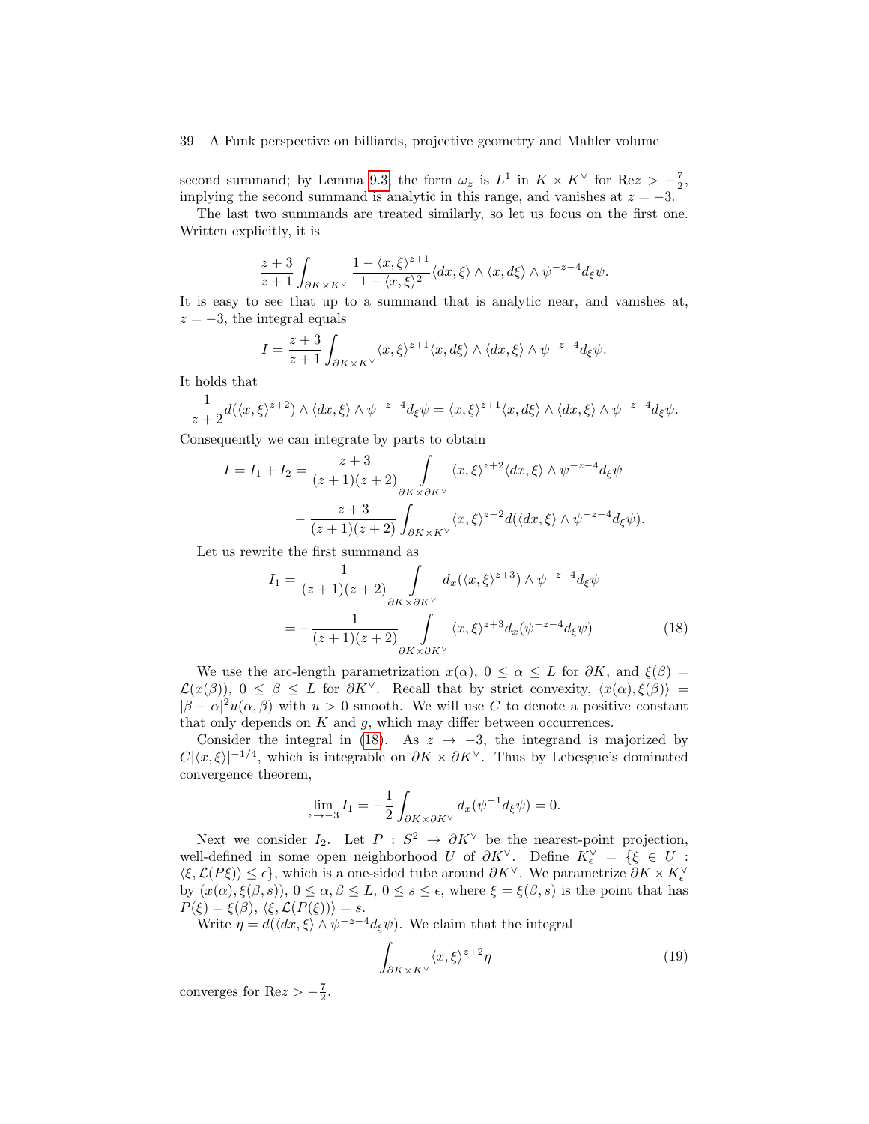second summand; by Lemma [9.3,](#page-34-0) the form  $\omega_z$  is  $L^1$  in  $K \times K^\vee$  for Re $z > -\frac{7}{2}$ , implying the second summand is analytic in this range, and vanishes at  $z = -3$ .

The last two summands are treated similarly, so let us focus on the first one. Written explicitly, it is

$$
\frac{z+3}{z+1}\int_{\partial K\times K^\vee} \frac{1-\langle x,\xi\rangle^{z+1}}{1-\langle x,\xi\rangle^2} \langle dx,\xi\rangle \wedge \langle x,d\xi\rangle \wedge \psi^{-z-4}d_\xi\psi.
$$

It is easy to see that up to a summand that is analytic near, and vanishes at,  $z = -3$ , the integral equals

$$
I = \frac{z+3}{z+1} \int_{\partial K \times K^{\vee}} \langle x, \xi \rangle^{z+1} \langle x, d\xi \rangle \wedge \langle dx, \xi \rangle \wedge \psi^{-z-4} d_{\xi} \psi.
$$

It holds that

$$
\frac{1}{z+2}d(\langle x,\xi\rangle^{z+2})\wedge\langle dx,\xi\rangle\wedge\psi^{-z-4}d_{\xi}\psi=\langle x,\xi\rangle^{z+1}\langle x,d\xi\rangle\wedge\langle dx,\xi\rangle\wedge\psi^{-z-4}d_{\xi}\psi.
$$

Consequently we can integrate by parts to obtain

$$
I = I_1 + I_2 = \frac{z+3}{(z+1)(z+2)} \int_{\partial K \times \partial K^{\vee}} \langle x, \xi \rangle^{z+2} \langle dx, \xi \rangle \wedge \psi^{-z-4} d_{\xi} \psi
$$

$$
- \frac{z+3}{(z+1)(z+2)} \int_{\partial K \times K^{\vee}} \langle x, \xi \rangle^{z+2} d(\langle dx, \xi \rangle \wedge \psi^{-z-4} d_{\xi} \psi).
$$

Let us rewrite the first summand as

<span id="page-38-0"></span>
$$
I_1 = \frac{1}{(z+1)(z+2)} \int_{\partial K \times \partial K^{\vee}} d_x(\langle x,\xi \rangle^{z+3}) \wedge \psi^{-z-4} d_{\xi} \psi
$$
  
= 
$$
-\frac{1}{(z+1)(z+2)} \int_{\partial K \times \partial K^{\vee}} \langle x,\xi \rangle^{z+3} d_x(\psi^{-z-4} d_{\xi} \psi)
$$
(18)

We use the arc-length parametrization  $x(\alpha)$ ,  $0 \leq \alpha \leq L$  for  $\partial K$ , and  $\xi(\beta) =$  $\mathcal{L}(x(\beta)), 0 \leq \beta \leq L$  for  $\partial K^{\vee}$ . Recall that by strict convexity,  $\langle x(\alpha), \xi(\beta) \rangle =$  $|\beta - \alpha|^2 u(\alpha, \beta)$  with  $u > 0$  smooth. We will use C to denote a positive constant that only depends on  $K$  and  $g$ , which may differ between occurrences.

Consider the integral in [\(18\)](#page-38-0). As  $z \rightarrow -3$ , the integrand is majorized by  $C|\langle x,\xi\rangle|^{-1/4}$ , which is integrable on  $\partial K \times \partial K^{\vee}$ . Thus by Lebesgue's dominated convergence theorem,

$$
\lim_{z \to -3} I_1 = -\frac{1}{2} \int_{\partial K \times \partial K^{\vee}} d_x(\psi^{-1} d_{\xi} \psi) = 0.
$$

Next we consider  $I_2$ . Let  $P : S^2 \to \partial K^\vee$  be the nearest-point projection, well-defined in some open neighborhood U of  $\partial K^{\vee}$ . Define  $K_{\epsilon}^{\vee} = \{ \xi \in U :$  $\langle \xi,\mathcal{L}(P\xi)\rangle\leq \epsilon\},$  which is a one-sided tube around  $\partial K^{\vee}$ . We parametrize  $\partial K\times K_{\epsilon}^{\vee}$ by  $(x(\alpha), \xi(\beta, s)), 0 \leq \alpha, \beta \leq L, 0 \leq s \leq \epsilon$ , where  $\xi = \xi(\beta, s)$  is the point that has  $P(\xi) = \xi(\beta), \langle \xi, \mathcal{L}(P(\xi)) \rangle = s.$ 

Write  $\eta = d(\langle dx, \xi \rangle \wedge \psi^{-z-4} d_{\xi} \psi)$ . We claim that the integral

<span id="page-38-1"></span>
$$
\int_{\partial K \times K^{\vee}} \langle x, \xi \rangle^{z+2} \eta \tag{19}
$$

converges for Re $z > -\frac{7}{2}$ .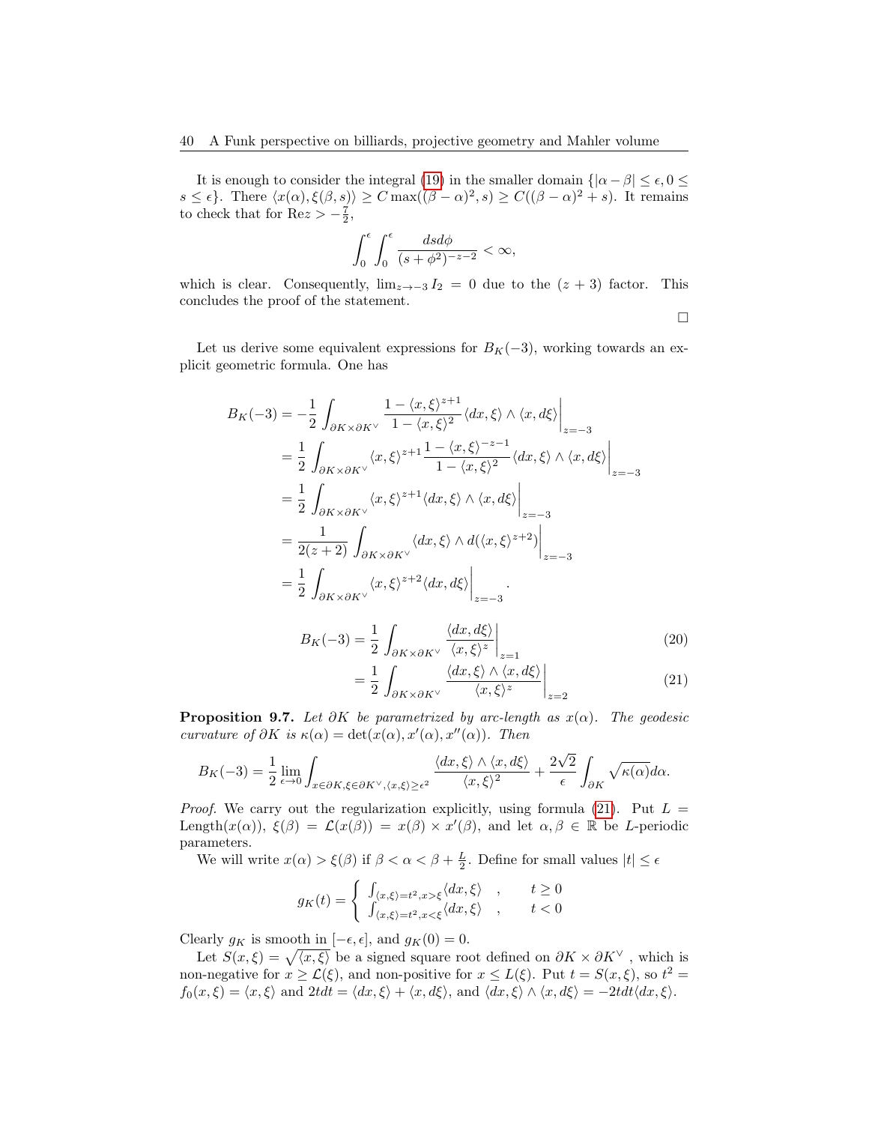It is enough to consider the integral [\(19\)](#page-38-1) in the smaller domain  $\{|\alpha - \beta| \leq \epsilon, 0 \leq \epsilon\}$  $s \leq \epsilon$ . There  $\langle x(\alpha), \xi(\beta, s) \rangle \geq C \max((\beta - \alpha)^2, s) \geq C((\beta - \alpha)^2 + s)$ . It remains to check that for  $\text{Re}z > -\frac{7}{2}$ ,

$$
\int_0^{\epsilon} \int_0^{\epsilon} \frac{dsd\phi}{(s+\phi^2)^{-z-2}} < \infty,
$$

which is clear. Consequently,  $\lim_{z\to -3} I_2 = 0$  due to the  $(z + 3)$  factor. This concludes the proof of the statement.

<span id="page-39-0"></span> $\Box$ 

Let us derive some equivalent expressions for  $B_K(-3)$ , working towards an explicit geometric formula. One has

$$
B_K(-3) = -\frac{1}{2} \int_{\partial K \times \partial K^{\vee}} \frac{1 - \langle x, \xi \rangle^{z+1}}{1 - \langle x, \xi \rangle^{2}} \langle dx, \xi \rangle \wedge \langle x, d\xi \rangle \Big|_{z=-3}
$$
  
\n
$$
= \frac{1}{2} \int_{\partial K \times \partial K^{\vee}} \langle x, \xi \rangle^{z+1} \frac{1 - \langle x, \xi \rangle^{-z-1}}{1 - \langle x, \xi \rangle^{2}} \langle dx, \xi \rangle \wedge \langle x, d\xi \rangle \Big|_{z=-3}
$$
  
\n
$$
= \frac{1}{2} \int_{\partial K \times \partial K^{\vee}} \langle x, \xi \rangle^{z+1} \langle dx, \xi \rangle \wedge \langle x, d\xi \rangle \Big|_{z=-3}
$$
  
\n
$$
= \frac{1}{2(z+2)} \int_{\partial K \times \partial K^{\vee}} \langle dx, \xi \rangle \wedge d(\langle x, \xi \rangle^{z+2}) \Big|_{z=-3}
$$
  
\n
$$
= \frac{1}{2} \int_{\partial K \times \partial K^{\vee}} \langle x, \xi \rangle^{z+2} \langle dx, d\xi \rangle \Big|_{z=-3}
$$
  
\n
$$
B_K(-3) = \frac{1}{2} \int_{\partial K \times \partial K^{\vee}} \frac{\langle dx, d\xi \rangle}{\langle x, \xi \rangle^{z}} \Big|_{z=1}
$$
  
\n
$$
= \frac{1}{2} \int_{\partial K \times \partial K^{\vee}} \frac{\langle dx, \xi \rangle \wedge \langle x, d\xi \rangle}{\langle x, \xi \rangle^{z}} \Big|_{z=2}
$$
  
\n(20)

**Proposition 9.7.** Let  $\partial K$  be parametrized by arc-length as  $x(\alpha)$ . The geodesic curvature of  $\partial K$  is  $\kappa(\alpha) = \det(x(\alpha), x'(\alpha), x''(\alpha))$ . Then

$$
B_K(-3) = \frac{1}{2} \lim_{\epsilon \to 0} \int_{x \in \partial K, \xi \in \partial K^{\vee}, \langle x, \xi \rangle \ge \epsilon^2} \frac{\langle dx, \xi \rangle \wedge \langle x, d\xi \rangle}{\langle x, \xi \rangle^2} + \frac{2\sqrt{2}}{\epsilon} \int_{\partial K} \sqrt{\kappa(\alpha)} d\alpha.
$$

*Proof.* We carry out the regularization explicitly, using formula [\(21\)](#page-39-0). Put  $L =$ Length $(x(\alpha))$ ,  $\xi(\beta) = \mathcal{L}(x(\beta)) = x(\beta) \times x'(\beta)$ , and let  $\alpha, \beta \in \mathbb{R}$  be *L*-periodic parameters.

We will write  $x(\alpha) > \xi(\beta)$  if  $\beta < \alpha < \beta + \frac{L}{2}$ . Define for small values  $|t| \le \epsilon$ 

$$
g_K(t) = \begin{cases} \int_{\langle x,\xi\rangle=t^2, x>\xi} \langle dx,\xi\rangle & , & t \ge 0\\ \int_{\langle x,\xi\rangle=t^2, x<\xi} \langle dx,\xi\rangle & , & t < 0 \end{cases}
$$

Clearly  $g_K$  is smooth in  $[-\epsilon, \epsilon]$ , and  $g_K(0) = 0$ .

Let  $S(x,\xi) = \sqrt{\langle x,\xi \rangle}$  be a signed square root defined on  $\partial K \times \partial K^{\vee}$ , which is non-negative for  $x \geq \mathcal{L}(\xi)$ , and non-positive for  $x \leq L(\xi)$ . Put  $t = S(x, \xi)$ , so  $t^2 =$  $f_0(x, \xi) = \langle x, \xi \rangle$  and  $2tdt = \langle dx, \xi \rangle + \langle x, d\xi \rangle$ , and  $\langle dx, \xi \rangle \wedge \langle x, d\xi \rangle = -2tdt\langle dx, \xi \rangle$ .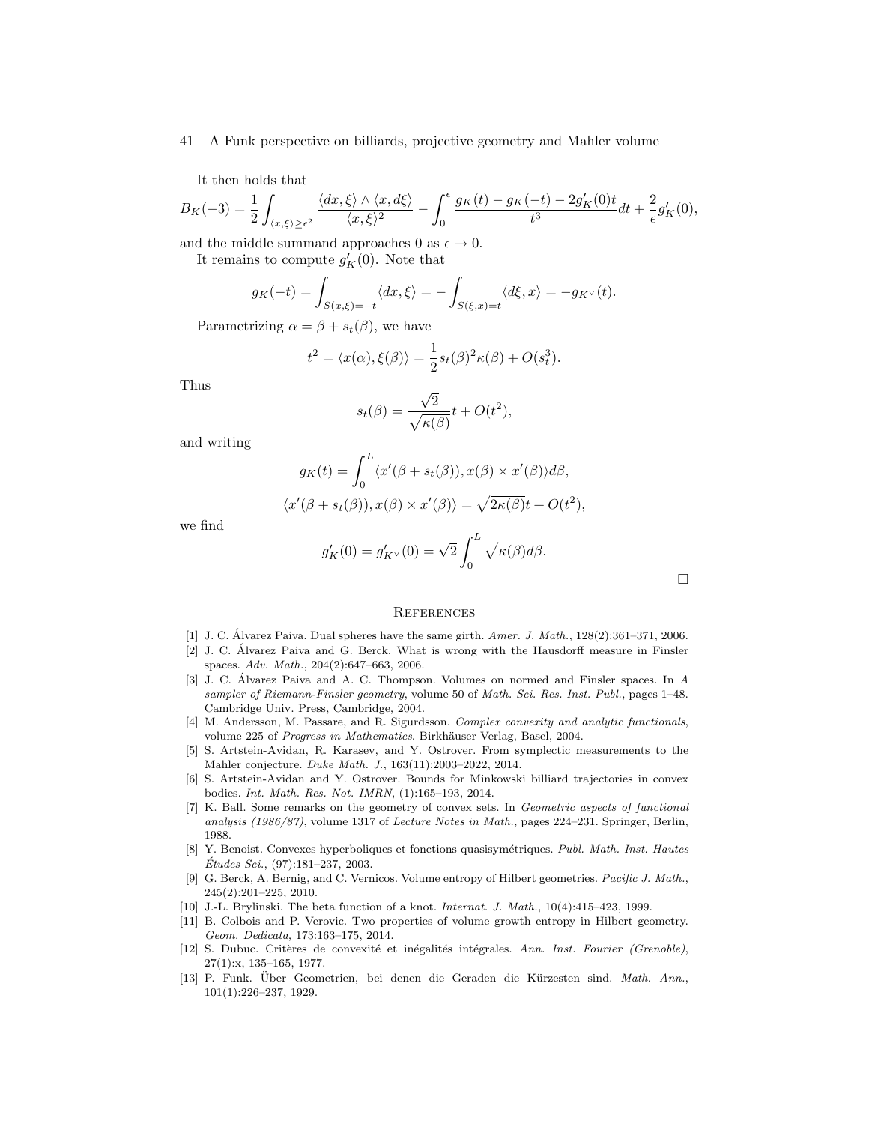It then holds that

$$
B_K(-3) = \frac{1}{2} \int_{\langle x,\xi \rangle \ge \epsilon^2} \frac{\langle dx,\xi \rangle \wedge \langle x,d\xi \rangle}{\langle x,\xi \rangle^2} - \int_0^{\epsilon} \frac{g_K(t) - g_K(-t) - 2g_K'(0)t}{t^3} dt + \frac{2}{\epsilon} g_K'(0),
$$

and the middle summand approaches 0 as  $\epsilon \to 0$ .

It remains to compute  $g'_{K}(0)$ . Note that

$$
g_K(-t) = \int_{S(x,\xi)=-t} \langle dx, \xi \rangle = -\int_{S(\xi,x)=t} \langle d\xi, x \rangle = -g_{K^{\vee}}(t).
$$

Parametrizing  $\alpha = \beta + s_t(\beta)$ , we have

 $\langle$ 

$$
t^{2} = \langle x(\alpha), \xi(\beta) \rangle = \frac{1}{2} s_{t}(\beta)^{2} \kappa(\beta) + O(s_{t}^{3}).
$$

Thus

$$
s_t(\beta) = \frac{\sqrt{2}}{\sqrt{\kappa(\beta)}} t + O(t^2),
$$

and writing

$$
g_K(t) = \int_0^L \langle x'(\beta + s_t(\beta)), x(\beta) \times x'(\beta) \rangle d\beta,
$$
  

$$
x'(\beta + s_t(\beta)), x(\beta) \times x'(\beta) \rangle = \sqrt{2\kappa(\beta)}t + O(t^2),
$$

we find

$$
g'_{K}(0) = g'_{K^{\vee}}(0) = \sqrt{2} \int_{0}^{L} \sqrt{\kappa(\beta)} d\beta.
$$

 $\Box$ 

# <span id="page-40-0"></span>**REFERENCES**

- <span id="page-40-7"></span>[1] J. C. Alvarez Paiva. Dual spheres have the same girth.  $Amer.$  J. Math.,  $128(2):361-371$ , 2006.
- <span id="page-40-12"></span>[2] J. C. Alvarez Paiva and G. Berck. What is wrong with the Hausdorff measure in Finsler ´ spaces. Adv. Math., 204(2):647–663, 2006.
- <span id="page-40-11"></span>[3] J. C. Álvarez Paiva and A. C. Thompson. Volumes on normed and Finsler spaces. In A sampler of Riemann-Finsler geometry, volume 50 of Math. Sci. Res. Inst. Publ., pages 1–48. Cambridge Univ. Press, Cambridge, 2004.
- <span id="page-40-10"></span>[4] M. Andersson, M. Passare, and R. Sigurdsson. Complex convexity and analytic functionals, volume 225 of Progress in Mathematics. Birkhäuser Verlag, Basel, 2004.
- <span id="page-40-6"></span>[5] S. Artstein-Avidan, R. Karasev, and Y. Ostrover. From symplectic measurements to the Mahler conjecture. Duke Math. J., 163(11):2003–2022, 2014.
- <span id="page-40-5"></span>[6] S. Artstein-Avidan and Y. Ostrover. Bounds for Minkowski billiard trajectories in convex bodies. Int. Math. Res. Not. IMRN, (1):165–193, 2014.
- <span id="page-40-8"></span>[7] K. Ball. Some remarks on the geometry of convex sets. In Geometric aspects of functional analysis (1986/87), volume 1317 of Lecture Notes in Math., pages 224–231. Springer, Berlin, 1988.
- <span id="page-40-4"></span>[8] Y. Benoist. Convexes hyperboliques et fonctions quasisymétriques. Publ. Math. Inst. Hautes  $\acute{E}tudes\, Sci.,\, (97):181–237,\, 2003.$
- <span id="page-40-3"></span>[9] G. Berck, A. Bernig, and C. Vernicos. Volume entropy of Hilbert geometries. Pacific J. Math., 245(2):201–225, 2010.
- <span id="page-40-9"></span>[10] J.-L. Brylinski. The beta function of a knot. Internat. J. Math., 10(4):415–423, 1999.
- <span id="page-40-2"></span>[11] B. Colbois and P. Verovic. Two properties of volume growth entropy in Hilbert geometry. Geom. Dedicata, 173:163–175, 2014.
- <span id="page-40-13"></span>[12] S. Dubuc. Critères de convexité et inégalités intégrales. Ann. Inst. Fourier (Grenoble), 27(1):x, 135–165, 1977.
- <span id="page-40-1"></span>[13] P. Funk. Über Geometrien, bei denen die Geraden die Kürzesten sind. Math. Ann., 101(1):226–237, 1929.